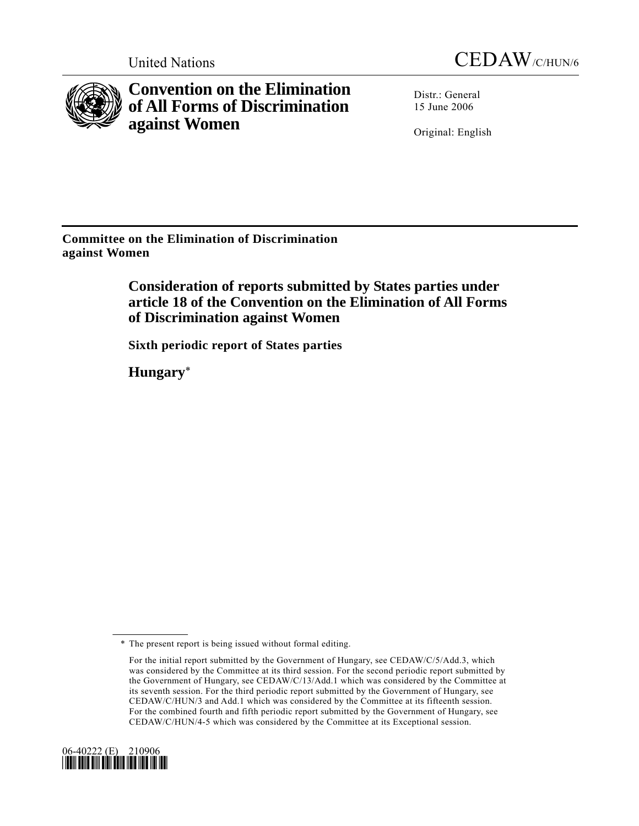



**Convention on the Elimination of All Forms of Discrimination against Women** 

Distr.: General 15 June 2006

Original: English

**Committee on the Elimination of Discrimination against Women** 

> **Consideration of reports submitted by States parties under article 18 of the Convention on the Elimination of All Forms of Discrimination against Women**

 **Sixth periodic report of States parties** 

 **Hungary**\*

For the initial report submitted by the Government of Hungary, see CEDAW/C/5/Add.3, which was considered by the Committee at its third session. For the second periodic report submitted by the Government of Hungary, see CEDAW/C/13/Add.1 which was considered by the Committee at its seventh session. For the third periodic report submitted by the Government of Hungary, see CEDAW/C/HUN/3 and Add.1 which was considered by the Committee at its fifteenth session. For the combined fourth and fifth periodic report submitted by the Government of Hungary, see CEDAW/C/HUN/4-5 which was considered by the Committee at its Exceptional session.



 <sup>\*</sup> The present report is being issued without formal editing.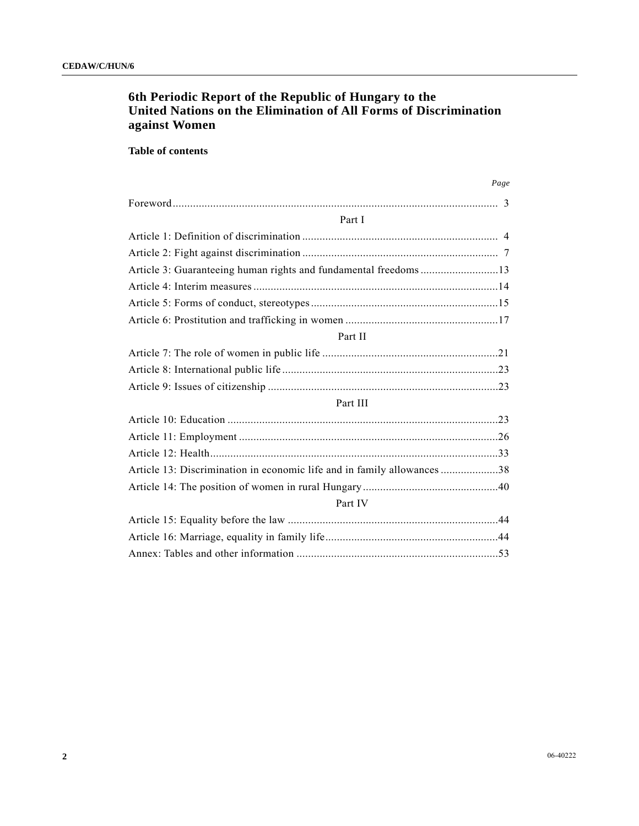## **6th Periodic Report of the Republic of Hungary to the United Nations on the Elimination of All Forms of Discrimination against Women**

### **Table of contents**

|                                                                         | Page |
|-------------------------------------------------------------------------|------|
|                                                                         |      |
| Part I                                                                  |      |
|                                                                         |      |
|                                                                         |      |
| Article 3: Guaranteeing human rights and fundamental freedoms13         |      |
|                                                                         |      |
|                                                                         |      |
|                                                                         |      |
| Part II                                                                 |      |
|                                                                         |      |
|                                                                         |      |
|                                                                         |      |
| Part III                                                                |      |
|                                                                         |      |
|                                                                         |      |
|                                                                         |      |
| Article 13: Discrimination in economic life and in family allowances 38 |      |
|                                                                         |      |
| Part IV                                                                 |      |
|                                                                         |      |
|                                                                         |      |
|                                                                         |      |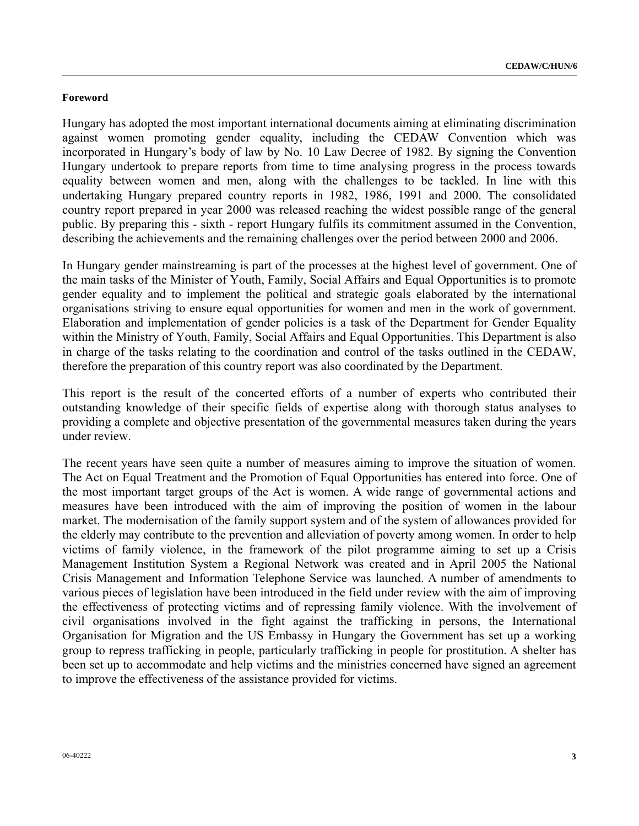#### **Foreword**

Hungary has adopted the most important international documents aiming at eliminating discrimination against women promoting gender equality, including the CEDAW Convention which was incorporated in Hungary's body of law by No. 10 Law Decree of 1982. By signing the Convention Hungary undertook to prepare reports from time to time analysing progress in the process towards equality between women and men, along with the challenges to be tackled. In line with this undertaking Hungary prepared country reports in 1982, 1986, 1991 and 2000. The consolidated country report prepared in year 2000 was released reaching the widest possible range of the general public. By preparing this - sixth - report Hungary fulfils its commitment assumed in the Convention, describing the achievements and the remaining challenges over the period between 2000 and 2006.

In Hungary gender mainstreaming is part of the processes at the highest level of government. One of the main tasks of the Minister of Youth, Family, Social Affairs and Equal Opportunities is to promote gender equality and to implement the political and strategic goals elaborated by the international organisations striving to ensure equal opportunities for women and men in the work of government. Elaboration and implementation of gender policies is a task of the Department for Gender Equality within the Ministry of Youth, Family, Social Affairs and Equal Opportunities. This Department is also in charge of the tasks relating to the coordination and control of the tasks outlined in the CEDAW, therefore the preparation of this country report was also coordinated by the Department.

This report is the result of the concerted efforts of a number of experts who contributed their outstanding knowledge of their specific fields of expertise along with thorough status analyses to providing a complete and objective presentation of the governmental measures taken during the years under review.

The recent years have seen quite a number of measures aiming to improve the situation of women. The Act on Equal Treatment and the Promotion of Equal Opportunities has entered into force. One of the most important target groups of the Act is women. A wide range of governmental actions and measures have been introduced with the aim of improving the position of women in the labour market. The modernisation of the family support system and of the system of allowances provided for the elderly may contribute to the prevention and alleviation of poverty among women. In order to help victims of family violence, in the framework of the pilot programme aiming to set up a Crisis Management Institution System a Regional Network was created and in April 2005 the National Crisis Management and Information Telephone Service was launched. A number of amendments to various pieces of legislation have been introduced in the field under review with the aim of improving the effectiveness of protecting victims and of repressing family violence. With the involvement of civil organisations involved in the fight against the trafficking in persons, the International Organisation for Migration and the US Embassy in Hungary the Government has set up a working group to repress trafficking in people, particularly trafficking in people for prostitution. A shelter has been set up to accommodate and help victims and the ministries concerned have signed an agreement to improve the effectiveness of the assistance provided for victims.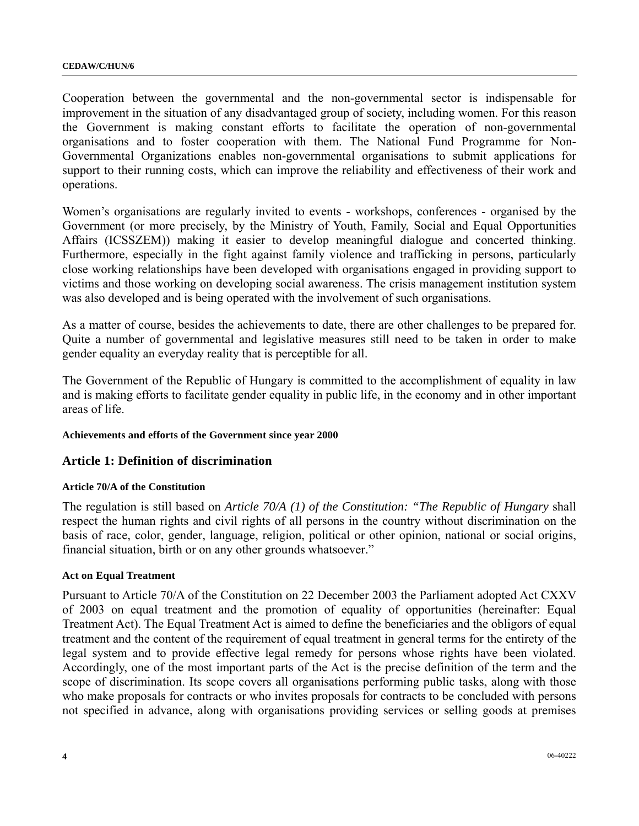Cooperation between the governmental and the non-governmental sector is indispensable for improvement in the situation of any disadvantaged group of society, including women. For this reason the Government is making constant efforts to facilitate the operation of non-governmental organisations and to foster cooperation with them. The National Fund Programme for Non-Governmental Organizations enables non-governmental organisations to submit applications for support to their running costs, which can improve the reliability and effectiveness of their work and operations.

Women's organisations are regularly invited to events - workshops, conferences - organised by the Government (or more precisely, by the Ministry of Youth, Family, Social and Equal Opportunities Affairs (ICSSZEM)) making it easier to develop meaningful dialogue and concerted thinking. Furthermore, especially in the fight against family violence and trafficking in persons, particularly close working relationships have been developed with organisations engaged in providing support to victims and those working on developing social awareness. The crisis management institution system was also developed and is being operated with the involvement of such organisations.

As a matter of course, besides the achievements to date, there are other challenges to be prepared for. Quite a number of governmental and legislative measures still need to be taken in order to make gender equality an everyday reality that is perceptible for all.

The Government of the Republic of Hungary is committed to the accomplishment of equality in law and is making efforts to facilitate gender equality in public life, in the economy and in other important areas of life.

### **Achievements and efforts of the Government since year 2000**

### **Article 1: Definition of discrimination**

#### **Article 70/A of the Constitution**

The regulation is still based on *Article 70/A (1) of the Constitution: "The Republic of Hungary* shall respect the human rights and civil rights of all persons in the country without discrimination on the basis of race, color, gender, language, religion, political or other opinion, national or social origins, financial situation, birth or on any other grounds whatsoever."

#### **Act on Equal Treatment**

Pursuant to Article 70/A of the Constitution on 22 December 2003 the Parliament adopted Act CXXV of 2003 on equal treatment and the promotion of equality of opportunities (hereinafter: Equal Treatment Act). The Equal Treatment Act is aimed to define the beneficiaries and the obligors of equal treatment and the content of the requirement of equal treatment in general terms for the entirety of the legal system and to provide effective legal remedy for persons whose rights have been violated. Accordingly, one of the most important parts of the Act is the precise definition of the term and the scope of discrimination. Its scope covers all organisations performing public tasks, along with those who make proposals for contracts or who invites proposals for contracts to be concluded with persons not specified in advance, along with organisations providing services or selling goods at premises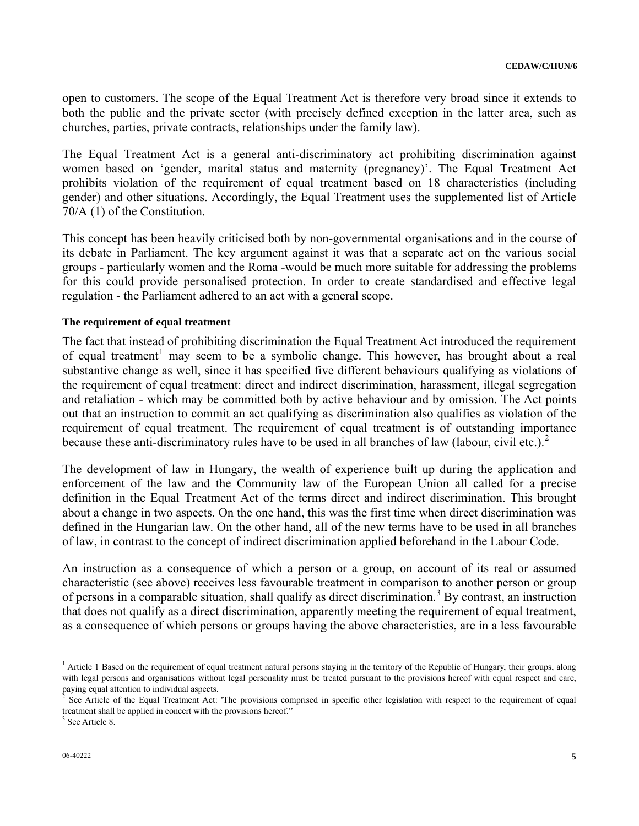open to customers. The scope of the Equal Treatment Act is therefore very broad since it extends to both the public and the private sector (with precisely defined exception in the latter area, such as churches, parties, private contracts, relationships under the family law).

The Equal Treatment Act is a general anti-discriminatory act prohibiting discrimination against women based on 'gender, marital status and maternity (pregnancy)'. The Equal Treatment Act prohibits violation of the requirement of equal treatment based on 18 characteristics (including gender) and other situations. Accordingly, the Equal Treatment uses the supplemented list of Article 70/A (1) of the Constitution.

This concept has been heavily criticised both by non-governmental organisations and in the course of its debate in Parliament. The key argument against it was that a separate act on the various social groups - particularly women and the Roma -would be much more suitable for addressing the problems for this could provide personalised protection. In order to create standardised and effective legal regulation - the Parliament adhered to an act with a general scope.

#### **The requirement of equal treatment**

The fact that instead of prohibiting discrimination the Equal Treatment Act introduced the requirement of equal treatment<sup>[1](#page-4-0)</sup> may seem to be a symbolic change. This however, has brought about a real substantive change as well, since it has specified five different behaviours qualifying as violations of the requirement of equal treatment: direct and indirect discrimination, harassment, illegal segregation and retaliation - which may be committed both by active behaviour and by omission. The Act points out that an instruction to commit an act qualifying as discrimination also qualifies as violation of the requirement of equal treatment. The requirement of equal treatment is of outstanding importance because these anti-discriminatory rules have to be used in all branches of law (labour, civil etc.).<sup>[2](#page-4-1)</sup>

The development of law in Hungary, the wealth of experience built up during the application and enforcement of the law and the Community law of the European Union all called for a precise definition in the Equal Treatment Act of the terms direct and indirect discrimination. This brought about a change in two aspects. On the one hand, this was the first time when direct discrimination was defined in the Hungarian law. On the other hand, all of the new terms have to be used in all branches of law, in contrast to the concept of indirect discrimination applied beforehand in the Labour Code.

An instruction as a consequence of which a person or a group, on account of its real or assumed characteristic (see above) receives less favourable treatment in comparison to another person or group of persons in a comparable situation, shall qualify as direct discrimination.<sup>[3](#page-4-2)</sup> By contrast, an instruction that does not qualify as a direct discrimination, apparently meeting the requirement of equal treatment, as a consequence of which persons or groups having the above characteristics, are in a less favourable

 $\overline{a}$ 

<span id="page-4-0"></span><sup>&</sup>lt;sup>1</sup> Article 1 Based on the requirement of equal treatment natural persons staying in the territory of the Republic of Hungary, their groups, along with legal persons and organisations without legal personality must be treated pursuant to the provisions hereof with equal respect and care,

<span id="page-4-1"></span>paying equal attention to individual aspects.<br><sup>2</sup> See Article of the Equal Treatment Act: 'The provisions comprised in specific other legislation with respect to the requirement of equal treatment shall be applied in concert with the provisions hereof."

<span id="page-4-2"></span><sup>&</sup>lt;sup>3</sup> See Article 8.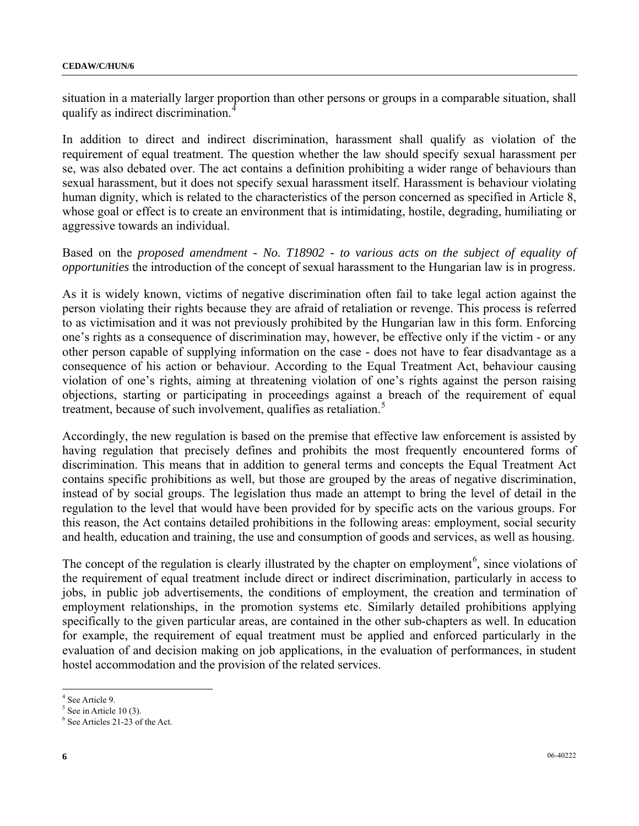situation in a materially larger proportion than other persons or groups in a comparable situation, shall qualify as indirect discrimination.<sup>[4](#page-5-0)</sup>

In addition to direct and indirect discrimination, harassment shall qualify as violation of the requirement of equal treatment. The question whether the law should specify sexual harassment per se, was also debated over. The act contains a definition prohibiting a wider range of behaviours than sexual harassment, but it does not specify sexual harassment itself. Harassment is behaviour violating human dignity, which is related to the characteristics of the person concerned as specified in Article 8, whose goal or effect is to create an environment that is intimidating, hostile, degrading, humiliating or aggressive towards an individual.

Based on the *proposed amendment - No. T18902 - to various acts on the subject of equality of opportunities* the introduction of the concept of sexual harassment to the Hungarian law is in progress.

As it is widely known, victims of negative discrimination often fail to take legal action against the person violating their rights because they are afraid of retaliation or revenge. This process is referred to as victimisation and it was not previously prohibited by the Hungarian law in this form. Enforcing one's rights as a consequence of discrimination may, however, be effective only if the victim - or any other person capable of supplying information on the case - does not have to fear disadvantage as a consequence of his action or behaviour. According to the Equal Treatment Act, behaviour causing violation of one's rights, aiming at threatening violation of one's rights against the person raising objections, starting or participating in proceedings against a breach of the requirement of equal treatment, because of such involvement, qualifies as retaliation.<sup>[5](#page-5-1)</sup>

Accordingly, the new regulation is based on the premise that effective law enforcement is assisted by having regulation that precisely defines and prohibits the most frequently encountered forms of discrimination. This means that in addition to general terms and concepts the Equal Treatment Act contains specific prohibitions as well, but those are grouped by the areas of negative discrimination, instead of by social groups. The legislation thus made an attempt to bring the level of detail in the regulation to the level that would have been provided for by specific acts on the various groups. For this reason, the Act contains detailed prohibitions in the following areas: employment, social security and health, education and training, the use and consumption of goods and services, as well as housing.

The concept of the regulation is clearly illustrated by the chapter on employment<sup>[6](#page-5-2)</sup>, since violations of the requirement of equal treatment include direct or indirect discrimination, particularly in access to jobs, in public job advertisements, the conditions of employment, the creation and termination of employment relationships, in the promotion systems etc. Similarly detailed prohibitions applying specifically to the given particular areas, are contained in the other sub-chapters as well. In education for example, the requirement of equal treatment must be applied and enforced particularly in the evaluation of and decision making on job applications, in the evaluation of performances, in student hostel accommodation and the provision of the related services.

 $\overline{a}$ 

<span id="page-5-0"></span><sup>4</sup> See Article 9.

<span id="page-5-1"></span> $<sup>5</sup>$  See in Article 10 (3).</sup>

<span id="page-5-2"></span><sup>6</sup> See Articles 21-23 of the Act.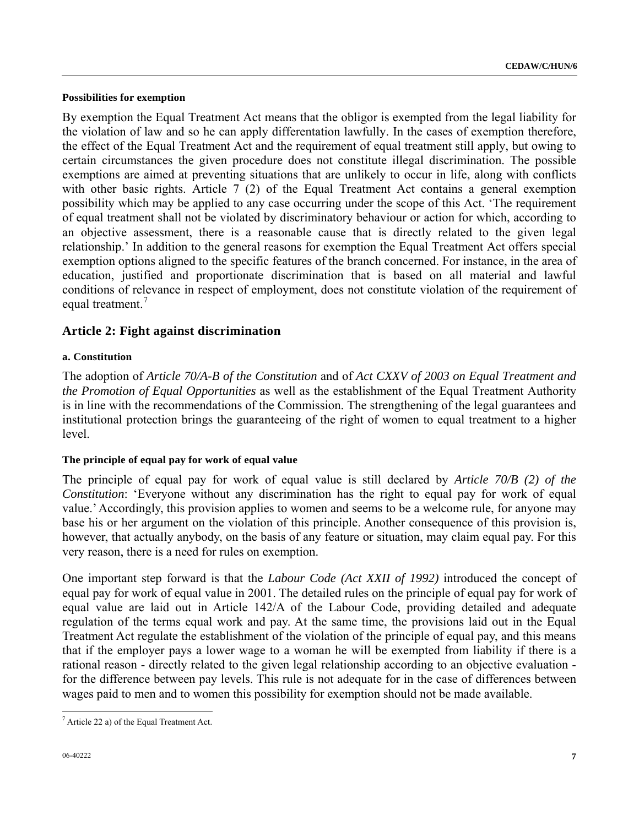#### **Possibilities for exemption**

By exemption the Equal Treatment Act means that the obligor is exempted from the legal liability for the violation of law and so he can apply differentation lawfully. In the cases of exemption therefore, the effect of the Equal Treatment Act and the requirement of equal treatment still apply, but owing to certain circumstances the given procedure does not constitute illegal discrimination. The possible exemptions are aimed at preventing situations that are unlikely to occur in life, along with conflicts with other basic rights. Article 7 (2) of the Equal Treatment Act contains a general exemption possibility which may be applied to any case occurring under the scope of this Act. 'The requirement of equal treatment shall not be violated by discriminatory behaviour or action for which, according to an objective assessment, there is a reasonable cause that is directly related to the given legal relationship.' In addition to the general reasons for exemption the Equal Treatment Act offers special exemption options aligned to the specific features of the branch concerned. For instance, in the area of education, justified and proportionate discrimination that is based on all material and lawful conditions of relevance in respect of employment, does not constitute violation of the requirement of equal treatment.<sup>[7](#page-6-0)</sup>

## **Article 2: Fight against discrimination**

### **a. Constitution**

The adoption of *Article 70/A-B of the Constitution* and of *Act CXXV of 2003 on Equal Treatment and the Promotion of Equal Opportunities* as well as the establishment of the Equal Treatment Authority is in line with the recommendations of the Commission. The strengthening of the legal guarantees and institutional protection brings the guaranteeing of the right of women to equal treatment to a higher level.

### **The principle of equal pay for work of equal value**

The principle of equal pay for work of equal value is still declared by *Article 70/B (2) of the Constitution*: 'Everyone without any discrimination has the right to equal pay for work of equal value.' Accordingly, this provision applies to women and seems to be a welcome rule, for anyone may base his or her argument on the violation of this principle. Another consequence of this provision is, however, that actually anybody, on the basis of any feature or situation, may claim equal pay. For this very reason, there is a need for rules on exemption.

One important step forward is that the *Labour Code (Act XXII of 1992)* introduced the concept of equal pay for work of equal value in 2001. The detailed rules on the principle of equal pay for work of equal value are laid out in Article 142/A of the Labour Code, providing detailed and adequate regulation of the terms equal work and pay. At the same time, the provisions laid out in the Equal Treatment Act regulate the establishment of the violation of the principle of equal pay, and this means that if the employer pays a lower wage to a woman he will be exempted from liability if there is a rational reason - directly related to the given legal relationship according to an objective evaluation for the difference between pay levels. This rule is not adequate for in the case of differences between wages paid to men and to women this possibility for exemption should not be made available.

<span id="page-6-0"></span> $\overline{a}$  $<sup>7</sup>$  Article 22 a) of the Equal Treatment Act.</sup>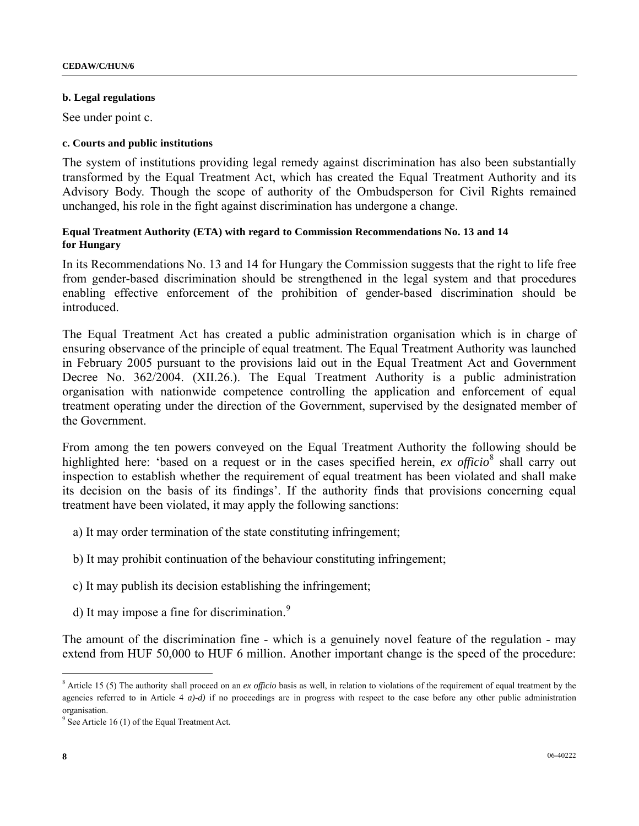#### **b. Legal regulations**

See under point c.

#### **c. Courts and public institutions**

The system of institutions providing legal remedy against discrimination has also been substantially transformed by the Equal Treatment Act, which has created the Equal Treatment Authority and its Advisory Body. Though the scope of authority of the Ombudsperson for Civil Rights remained unchanged, his role in the fight against discrimination has undergone a change.

#### **Equal Treatment Authority (ETA) with regard to Commission Recommendations No. 13 and 14 for Hungary**

In its Recommendations No. 13 and 14 for Hungary the Commission suggests that the right to life free from gender-based discrimination should be strengthened in the legal system and that procedures enabling effective enforcement of the prohibition of gender-based discrimination should be **introduced** 

The Equal Treatment Act has created a public administration organisation which is in charge of ensuring observance of the principle of equal treatment. The Equal Treatment Authority was launched in February 2005 pursuant to the provisions laid out in the Equal Treatment Act and Government Decree No. 362/2004. (XII.26.). The Equal Treatment Authority is a public administration organisation with nationwide competence controlling the application and enforcement of equal treatment operating under the direction of the Government, supervised by the designated member of the Government.

From among the ten powers conveyed on the Equal Treatment Authority the following should be highlighted here: 'based on a request or in the cases specified herein, *ex officio*<sup>[8](#page-7-0)</sup> shall carry out inspection to establish whether the requirement of equal treatment has been violated and shall make its decision on the basis of its findings'. If the authority finds that provisions concerning equal treatment have been violated, it may apply the following sanctions:

- a) It may order termination of the state constituting infringement;
- b) It may prohibit continuation of the behaviour constituting infringement;
- c) It may publish its decision establishing the infringement;
- d) It may impose a fine for discrimination.<sup>[9](#page-7-1)</sup>

The amount of the discrimination fine - which is a genuinely novel feature of the regulation - may extend from HUF 50,000 to HUF 6 million. Another important change is the speed of the procedure:

 $\overline{a}$ 

<span id="page-7-0"></span><sup>&</sup>lt;sup>8</sup> Article 15 (5) The authority shall proceed on an *ex officio* basis as well, in relation to violations of the requirement of equal treatment by the agencies referred to in Article 4 *a)-d)* if no proceedings are in progress with respect to the case before any other public administration organisation.

<span id="page-7-1"></span><sup>&</sup>lt;sup>9</sup> See Article 16 (1) of the Equal Treatment Act.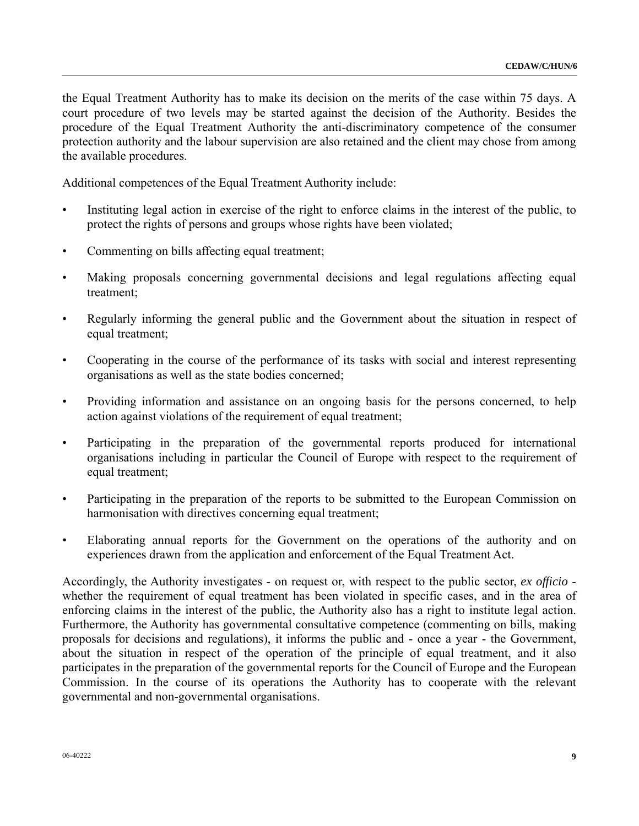the Equal Treatment Authority has to make its decision on the merits of the case within 75 days. A court procedure of two levels may be started against the decision of the Authority. Besides the procedure of the Equal Treatment Authority the anti-discriminatory competence of the consumer protection authority and the labour supervision are also retained and the client may chose from among the available procedures.

Additional competences of the Equal Treatment Authority include:

- Instituting legal action in exercise of the right to enforce claims in the interest of the public, to protect the rights of persons and groups whose rights have been violated;
- Commenting on bills affecting equal treatment;
- Making proposals concerning governmental decisions and legal regulations affecting equal treatment;
- Regularly informing the general public and the Government about the situation in respect of equal treatment;
- Cooperating in the course of the performance of its tasks with social and interest representing organisations as well as the state bodies concerned;
- Providing information and assistance on an ongoing basis for the persons concerned, to help action against violations of the requirement of equal treatment;
- Participating in the preparation of the governmental reports produced for international organisations including in particular the Council of Europe with respect to the requirement of equal treatment;
- Participating in the preparation of the reports to be submitted to the European Commission on harmonisation with directives concerning equal treatment;
- Elaborating annual reports for the Government on the operations of the authority and on experiences drawn from the application and enforcement of the Equal Treatment Act.

Accordingly, the Authority investigates - on request or, with respect to the public sector, *ex officio*  whether the requirement of equal treatment has been violated in specific cases, and in the area of enforcing claims in the interest of the public, the Authority also has a right to institute legal action. Furthermore, the Authority has governmental consultative competence (commenting on bills, making proposals for decisions and regulations), it informs the public and - once a year - the Government, about the situation in respect of the operation of the principle of equal treatment, and it also participates in the preparation of the governmental reports for the Council of Europe and the European Commission. In the course of its operations the Authority has to cooperate with the relevant governmental and non-governmental organisations.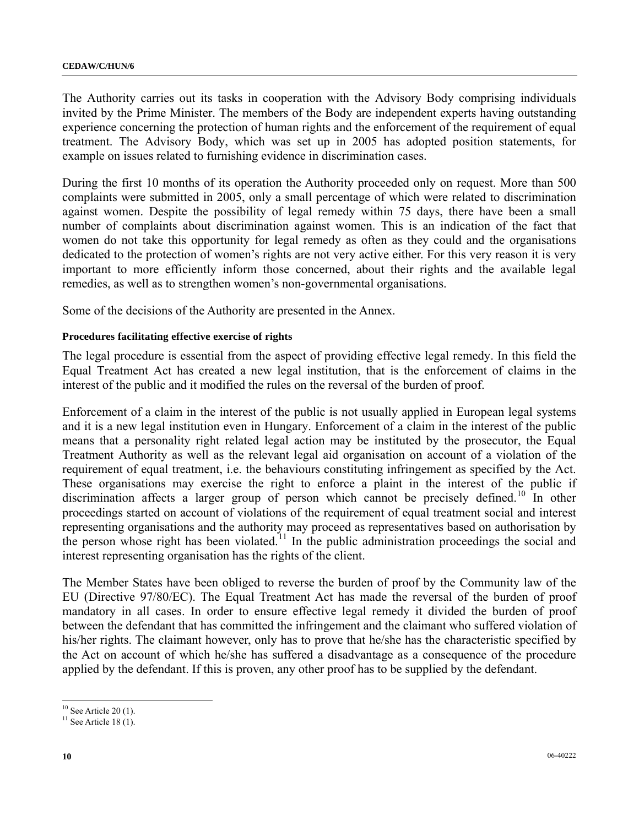The Authority carries out its tasks in cooperation with the Advisory Body comprising individuals invited by the Prime Minister. The members of the Body are independent experts having outstanding experience concerning the protection of human rights and the enforcement of the requirement of equal treatment. The Advisory Body, which was set up in 2005 has adopted position statements, for example on issues related to furnishing evidence in discrimination cases.

During the first 10 months of its operation the Authority proceeded only on request. More than 500 complaints were submitted in 2005, only a small percentage of which were related to discrimination against women. Despite the possibility of legal remedy within 75 days, there have been a small number of complaints about discrimination against women. This is an indication of the fact that women do not take this opportunity for legal remedy as often as they could and the organisations dedicated to the protection of women's rights are not very active either. For this very reason it is very important to more efficiently inform those concerned, about their rights and the available legal remedies, as well as to strengthen women's non-governmental organisations.

Some of the decisions of the Authority are presented in the Annex.

### **Procedures facilitating effective exercise of rights**

The legal procedure is essential from the aspect of providing effective legal remedy. In this field the Equal Treatment Act has created a new legal institution, that is the enforcement of claims in the interest of the public and it modified the rules on the reversal of the burden of proof.

Enforcement of a claim in the interest of the public is not usually applied in European legal systems and it is a new legal institution even in Hungary. Enforcement of a claim in the interest of the public means that a personality right related legal action may be instituted by the prosecutor, the Equal Treatment Authority as well as the relevant legal aid organisation on account of a violation of the requirement of equal treatment, i.e. the behaviours constituting infringement as specified by the Act. These organisations may exercise the right to enforce a plaint in the interest of the public if discrimination affects a larger group of person which cannot be precisely defined.<sup>[10](#page-9-0)</sup> In other proceedings started on account of violations of the requirement of equal treatment social and interest representing organisations and the authority may proceed as representatives based on authorisation by the person whose right has been violated.<sup>[1](#page-9-1)1</sup> In the public administration proceedings the social and interest representing organisation has the rights of the client.

The Member States have been obliged to reverse the burden of proof by the Community law of the EU (Directive 97/80/EC). The Equal Treatment Act has made the reversal of the burden of proof mandatory in all cases. In order to ensure effective legal remedy it divided the burden of proof between the defendant that has committed the infringement and the claimant who suffered violation of his/her rights. The claimant however, only has to prove that he/she has the characteristic specified by the Act on account of which he/she has suffered a disadvantage as a consequence of the procedure applied by the defendant. If this is proven, any other proof has to be supplied by the defendant.

 $\overline{a}$ 

<span id="page-9-0"></span> $10$  See Article 20 (1).

<span id="page-9-1"></span> $11$  See Article 18 (1).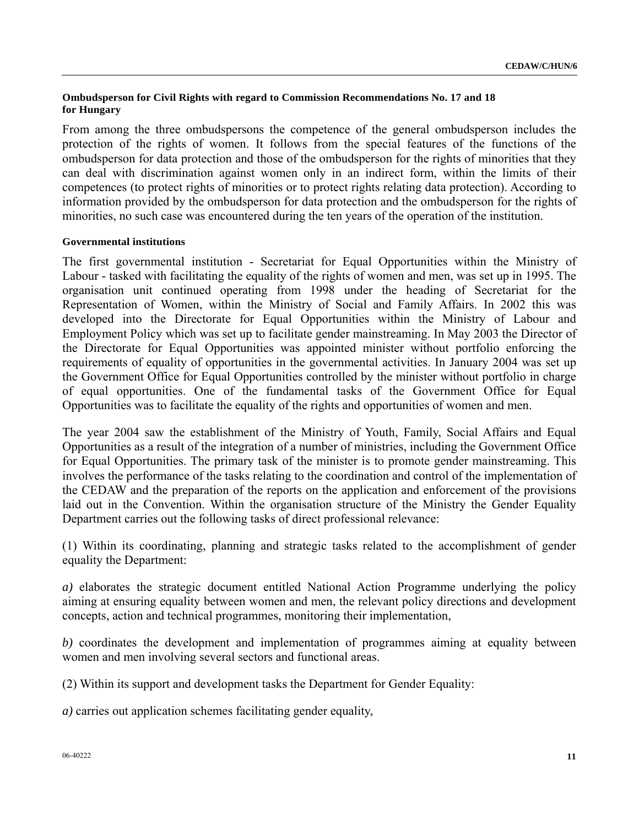### **Ombudsperson for Civil Rights with regard to Commission Recommendations No. 17 and 18 for Hungary**

From among the three ombudspersons the competence of the general ombudsperson includes the protection of the rights of women. It follows from the special features of the functions of the ombudsperson for data protection and those of the ombudsperson for the rights of minorities that they can deal with discrimination against women only in an indirect form, within the limits of their competences (to protect rights of minorities or to protect rights relating data protection). According to information provided by the ombudsperson for data protection and the ombudsperson for the rights of minorities, no such case was encountered during the ten years of the operation of the institution.

#### **Governmental institutions**

The first governmental institution - Secretariat for Equal Opportunities within the Ministry of Labour - tasked with facilitating the equality of the rights of women and men, was set up in 1995. The organisation unit continued operating from 1998 under the heading of Secretariat for the Representation of Women, within the Ministry of Social and Family Affairs. In 2002 this was developed into the Directorate for Equal Opportunities within the Ministry of Labour and Employment Policy which was set up to facilitate gender mainstreaming. In May 2003 the Director of the Directorate for Equal Opportunities was appointed minister without portfolio enforcing the requirements of equality of opportunities in the governmental activities. In January 2004 was set up the Government Office for Equal Opportunities controlled by the minister without portfolio in charge of equal opportunities. One of the fundamental tasks of the Government Office for Equal Opportunities was to facilitate the equality of the rights and opportunities of women and men.

The year 2004 saw the establishment of the Ministry of Youth, Family, Social Affairs and Equal Opportunities as a result of the integration of a number of ministries, including the Government Office for Equal Opportunities. The primary task of the minister is to promote gender mainstreaming. This involves the performance of the tasks relating to the coordination and control of the implementation of the CEDAW and the preparation of the reports on the application and enforcement of the provisions laid out in the Convention. Within the organisation structure of the Ministry the Gender Equality Department carries out the following tasks of direct professional relevance:

(1) Within its coordinating, planning and strategic tasks related to the accomplishment of gender equality the Department:

*a)* elaborates the strategic document entitled National Action Programme underlying the policy aiming at ensuring equality between women and men, the relevant policy directions and development concepts, action and technical programmes, monitoring their implementation,

*b)* coordinates the development and implementation of programmes aiming at equality between women and men involving several sectors and functional areas.

(2) Within its support and development tasks the Department for Gender Equality:

*a)* carries out application schemes facilitating gender equality,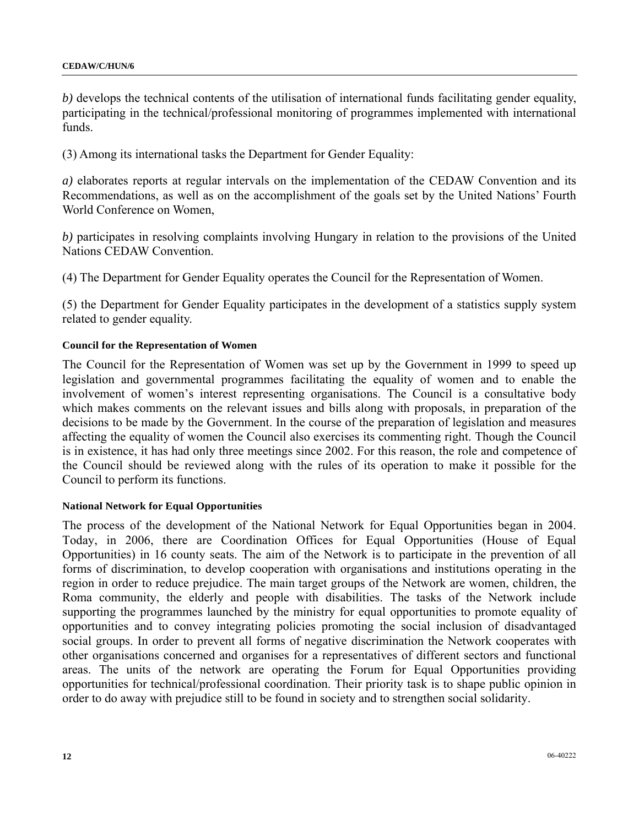*b)* develops the technical contents of the utilisation of international funds facilitating gender equality, participating in the technical/professional monitoring of programmes implemented with international funds.

(3) Among its international tasks the Department for Gender Equality:

*a)* elaborates reports at regular intervals on the implementation of the CEDAW Convention and its Recommendations, as well as on the accomplishment of the goals set by the United Nations' Fourth World Conference on Women,

*b)* participates in resolving complaints involving Hungary in relation to the provisions of the United Nations CEDAW Convention.

(4) The Department for Gender Equality operates the Council for the Representation of Women.

(5) the Department for Gender Equality participates in the development of a statistics supply system related to gender equality.

#### **Council for the Representation of Women**

The Council for the Representation of Women was set up by the Government in 1999 to speed up legislation and governmental programmes facilitating the equality of women and to enable the involvement of women's interest representing organisations. The Council is a consultative body which makes comments on the relevant issues and bills along with proposals, in preparation of the decisions to be made by the Government. In the course of the preparation of legislation and measures affecting the equality of women the Council also exercises its commenting right. Though the Council is in existence, it has had only three meetings since 2002. For this reason, the role and competence of the Council should be reviewed along with the rules of its operation to make it possible for the Council to perform its functions.

#### **National Network for Equal Opportunities**

The process of the development of the National Network for Equal Opportunities began in 2004. Today, in 2006, there are Coordination Offices for Equal Opportunities (House of Equal Opportunities) in 16 county seats. The aim of the Network is to participate in the prevention of all forms of discrimination, to develop cooperation with organisations and institutions operating in the region in order to reduce prejudice. The main target groups of the Network are women, children, the Roma community, the elderly and people with disabilities. The tasks of the Network include supporting the programmes launched by the ministry for equal opportunities to promote equality of opportunities and to convey integrating policies promoting the social inclusion of disadvantaged social groups. In order to prevent all forms of negative discrimination the Network cooperates with other organisations concerned and organises for a representatives of different sectors and functional areas. The units of the network are operating the Forum for Equal Opportunities providing opportunities for technical/professional coordination. Their priority task is to shape public opinion in order to do away with prejudice still to be found in society and to strengthen social solidarity.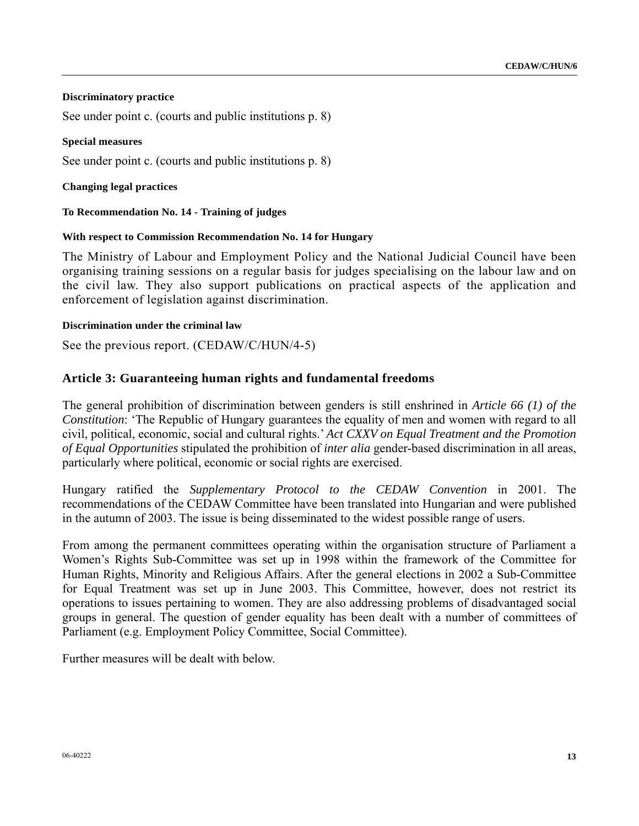#### **Discriminatory practice**

See under point c. (courts and public institutions p. 8)

#### **Special measures**

See under point c. (courts and public institutions p. 8)

#### **Changing legal practices**

#### **To Recommendation No. 14 - Training of judges**

#### **With respect to Commission Recommendation No. 14 for Hungary**

The Ministry of Labour and Employment Policy and the National Judicial Council have been organising training sessions on a regular basis for judges specialising on the labour law and on the civil law. They also support publications on practical aspects of the application and enforcement of legislation against discrimination.

#### **Discrimination under the criminal law**

See the previous report. (CEDAW/C/HUN/4-5)

## **Article 3: Guaranteeing human rights and fundamental freedoms**

The general prohibition of discrimination between genders is still enshrined in *Article 66 (1) of the Constitution*: 'The Republic of Hungary guarantees the equality of men and women with regard to all civil, political, economic, social and cultural rights.' *Act CXXV on Equal Treatment and the Promotion of Equal Opportunities* stipulated the prohibition of *inter alia* gender-based discrimination in all areas, particularly where political, economic or social rights are exercised.

Hungary ratified the *Supplementary Protocol to the CEDAW Convention* in 2001. The recommendations of the CEDAW Committee have been translated into Hungarian and were published in the autumn of 2003. The issue is being disseminated to the widest possible range of users.

From among the permanent committees operating within the organisation structure of Parliament a Women's Rights Sub-Committee was set up in 1998 within the framework of the Committee for Human Rights, Minority and Religious Affairs. After the general elections in 2002 a Sub-Committee for Equal Treatment was set up in June 2003. This Committee, however, does not restrict its operations to issues pertaining to women. They are also addressing problems of disadvantaged social groups in general. The question of gender equality has been dealt with a number of committees of Parliament (e.g. Employment Policy Committee, Social Committee).

Further measures will be dealt with below.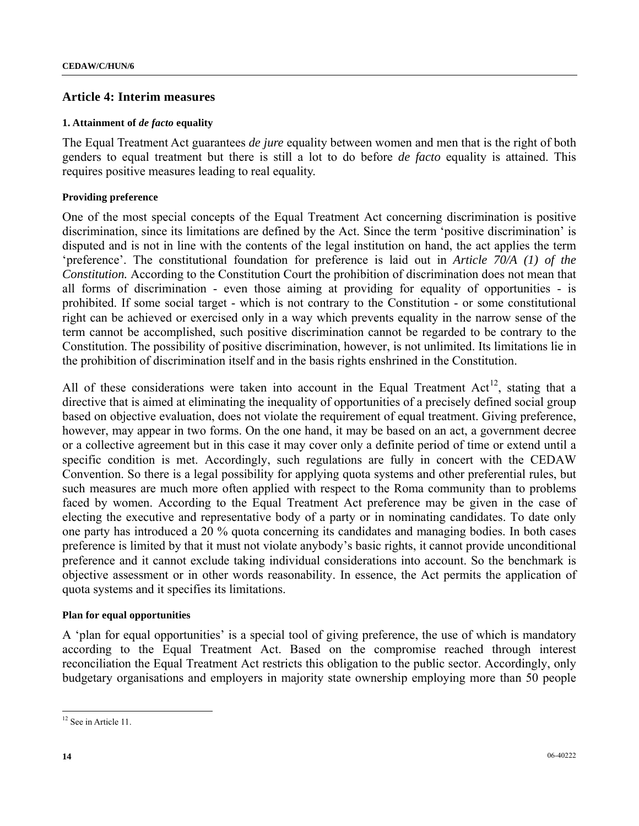## **Article 4: Interim measures**

#### **1. Attainment of** *de facto* **equality**

The Equal Treatment Act guarantees *de jure* equality between women and men that is the right of both genders to equal treatment but there is still a lot to do before *de facto* equality is attained. This requires positive measures leading to real equality.

### **Providing preference**

One of the most special concepts of the Equal Treatment Act concerning discrimination is positive discrimination, since its limitations are defined by the Act. Since the term 'positive discrimination' is disputed and is not in line with the contents of the legal institution on hand, the act applies the term 'preference'. The constitutional foundation for preference is laid out in *Article 70/A (1) of the Constitution.* According to the Constitution Court the prohibition of discrimination does not mean that all forms of discrimination - even those aiming at providing for equality of opportunities - is prohibited. If some social target - which is not contrary to the Constitution - or some constitutional right can be achieved or exercised only in a way which prevents equality in the narrow sense of the term cannot be accomplished, such positive discrimination cannot be regarded to be contrary to the Constitution. The possibility of positive discrimination, however, is not unlimited. Its limitations lie in the prohibition of discrimination itself and in the basis rights enshrined in the Constitution.

All of these considerations were taken into account in the Equal Treatment Act<sup>[1](#page-13-0)2</sup>, stating that a directive that is aimed at eliminating the inequality of opportunities of a precisely defined social group based on objective evaluation, does not violate the requirement of equal treatment. Giving preference, however, may appear in two forms. On the one hand, it may be based on an act, a government decree or a collective agreement but in this case it may cover only a definite period of time or extend until a specific condition is met. Accordingly, such regulations are fully in concert with the CEDAW Convention. So there is a legal possibility for applying quota systems and other preferential rules, but such measures are much more often applied with respect to the Roma community than to problems faced by women. According to the Equal Treatment Act preference may be given in the case of electing the executive and representative body of a party or in nominating candidates. To date only one party has introduced a 20 % quota concerning its candidates and managing bodies. In both cases preference is limited by that it must not violate anybody's basic rights, it cannot provide unconditional preference and it cannot exclude taking individual considerations into account. So the benchmark is objective assessment or in other words reasonability. In essence, the Act permits the application of quota systems and it specifies its limitations.

### **Plan for equal opportunities**

A 'plan for equal opportunities' is a special tool of giving preference, the use of which is mandatory according to the Equal Treatment Act. Based on the compromise reached through interest reconciliation the Equal Treatment Act restricts this obligation to the public sector. Accordingly, only budgetary organisations and employers in majority state ownership employing more than 50 people

 $\overline{a}$ 

<span id="page-13-0"></span><sup>&</sup>lt;sup>12</sup> See in Article 11.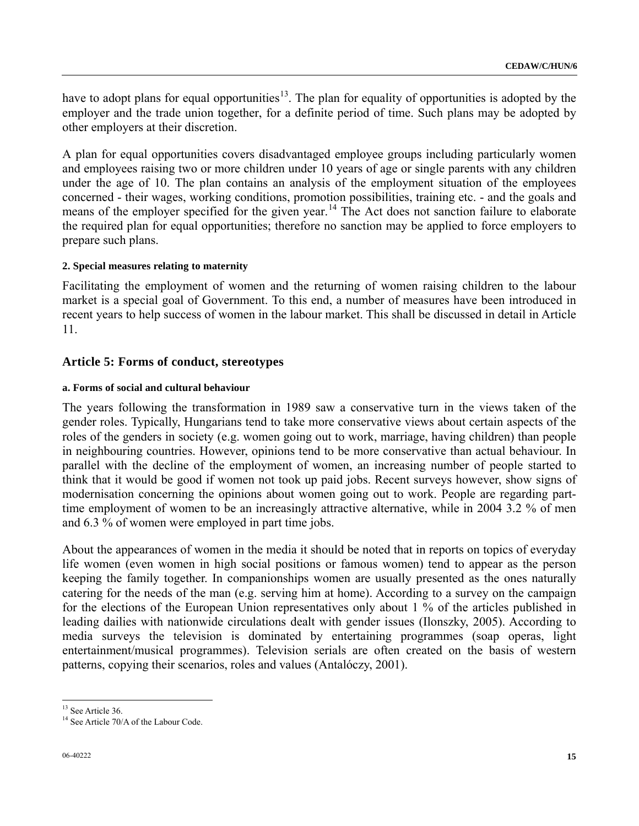have to adopt plans for equal opportunities<sup>[1](#page-14-0)3</sup>. The plan for equality of opportunities is adopted by the employer and the trade union together, for a definite period of time. Such plans may be adopted by other employers at their discretion.

A plan for equal opportunities covers disadvantaged employee groups including particularly women and employees raising two or more children under 10 years of age or single parents with any children under the age of 10. The plan contains an analysis of the employment situation of the employees concerned - their wages, working conditions, promotion possibilities, training etc. - and the goals and means of the employer specified for the given year.<sup>[14](#page-14-1)</sup> The Act does not sanction failure to elaborate the required plan for equal opportunities; therefore no sanction may be applied to force employers to prepare such plans.

## **2. Special measures relating to maternity**

Facilitating the employment of women and the returning of women raising children to the labour market is a special goal of Government. To this end, a number of measures have been introduced in recent years to help success of women in the labour market. This shall be discussed in detail in Article 11.

## **Article 5: Forms of conduct, stereotypes**

### **a. Forms of social and cultural behaviour**

The years following the transformation in 1989 saw a conservative turn in the views taken of the gender roles. Typically, Hungarians tend to take more conservative views about certain aspects of the roles of the genders in society (e.g. women going out to work, marriage, having children) than people in neighbouring countries. However, opinions tend to be more conservative than actual behaviour. In parallel with the decline of the employment of women, an increasing number of people started to think that it would be good if women not took up paid jobs. Recent surveys however, show signs of modernisation concerning the opinions about women going out to work. People are regarding parttime employment of women to be an increasingly attractive alternative, while in 2004 3.2 % of men and 6.3 % of women were employed in part time jobs.

About the appearances of women in the media it should be noted that in reports on topics of everyday life women (even women in high social positions or famous women) tend to appear as the person keeping the family together. In companionships women are usually presented as the ones naturally catering for the needs of the man (e.g. serving him at home). According to a survey on the campaign for the elections of the European Union representatives only about 1 % of the articles published in leading dailies with nationwide circulations dealt with gender issues (Ilonszky, 2005). According to media surveys the television is dominated by entertaining programmes (soap operas, light entertainment/musical programmes). Television serials are often created on the basis of western patterns, copying their scenarios, roles and values (Antalóczy, 2001).

 $\overline{a}$ 

<span id="page-14-0"></span><sup>&</sup>lt;sup>13</sup> See Article 36.

<span id="page-14-1"></span><sup>&</sup>lt;sup>14</sup> See Article 70/A of the Labour Code.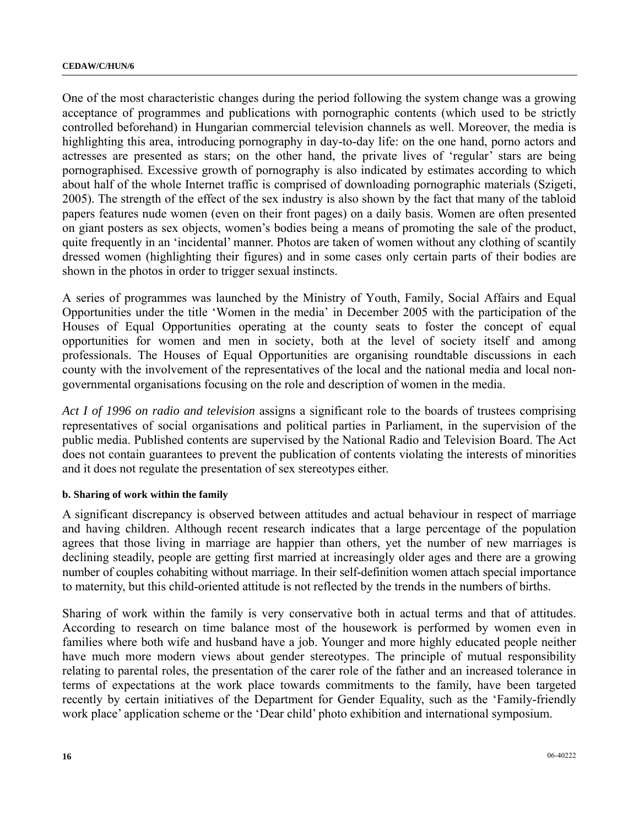One of the most characteristic changes during the period following the system change was a growing acceptance of programmes and publications with pornographic contents (which used to be strictly controlled beforehand) in Hungarian commercial television channels as well. Moreover, the media is highlighting this area, introducing pornography in day-to-day life: on the one hand, porno actors and actresses are presented as stars; on the other hand, the private lives of 'regular' stars are being pornographised. Excessive growth of pornography is also indicated by estimates according to which about half of the whole Internet traffic is comprised of downloading pornographic materials (Szigeti, 2005). The strength of the effect of the sex industry is also shown by the fact that many of the tabloid papers features nude women (even on their front pages) on a daily basis. Women are often presented on giant posters as sex objects, women's bodies being a means of promoting the sale of the product, quite frequently in an 'incidental' manner. Photos are taken of women without any clothing of scantily dressed women (highlighting their figures) and in some cases only certain parts of their bodies are shown in the photos in order to trigger sexual instincts.

A series of programmes was launched by the Ministry of Youth, Family, Social Affairs and Equal Opportunities under the title 'Women in the media' in December 2005 with the participation of the Houses of Equal Opportunities operating at the county seats to foster the concept of equal opportunities for women and men in society, both at the level of society itself and among professionals. The Houses of Equal Opportunities are organising roundtable discussions in each county with the involvement of the representatives of the local and the national media and local nongovernmental organisations focusing on the role and description of women in the media.

*Act I of 1996 on radio and television* assigns a significant role to the boards of trustees comprising representatives of social organisations and political parties in Parliament, in the supervision of the public media. Published contents are supervised by the National Radio and Television Board. The Act does not contain guarantees to prevent the publication of contents violating the interests of minorities and it does not regulate the presentation of sex stereotypes either.

### **b. Sharing of work within the family**

A significant discrepancy is observed between attitudes and actual behaviour in respect of marriage and having children. Although recent research indicates that a large percentage of the population agrees that those living in marriage are happier than others, yet the number of new marriages is declining steadily, people are getting first married at increasingly older ages and there are a growing number of couples cohabiting without marriage. In their self-definition women attach special importance to maternity, but this child-oriented attitude is not reflected by the trends in the numbers of births.

Sharing of work within the family is very conservative both in actual terms and that of attitudes. According to research on time balance most of the housework is performed by women even in families where both wife and husband have a job. Younger and more highly educated people neither have much more modern views about gender stereotypes. The principle of mutual responsibility relating to parental roles, the presentation of the carer role of the father and an increased tolerance in terms of expectations at the work place towards commitments to the family, have been targeted recently by certain initiatives of the Department for Gender Equality, such as the 'Family-friendly work place' application scheme or the 'Dear child' photo exhibition and international symposium.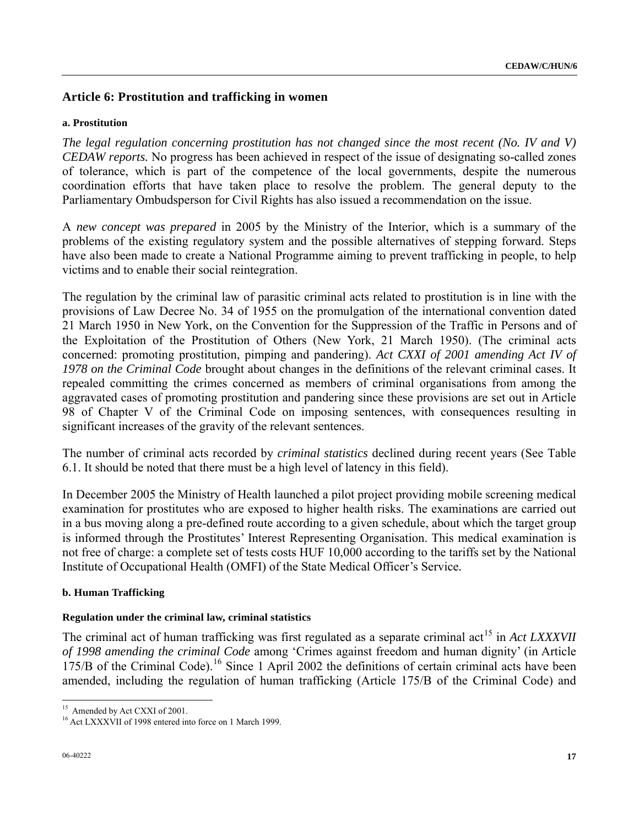## **Article 6: Prostitution and trafficking in women**

#### **a. Prostitution**

*The legal regulation concerning prostitution has not changed since the most recent (No. IV and V) CEDAW reports.* No progress has been achieved in respect of the issue of designating so-called zones of tolerance, which is part of the competence of the local governments, despite the numerous coordination efforts that have taken place to resolve the problem. The general deputy to the Parliamentary Ombudsperson for Civil Rights has also issued a recommendation on the issue.

A *new concept was prepared* in 2005 by the Ministry of the Interior, which is a summary of the problems of the existing regulatory system and the possible alternatives of stepping forward. Steps have also been made to create a National Programme aiming to prevent trafficking in people, to help victims and to enable their social reintegration.

The regulation by the criminal law of parasitic criminal acts related to prostitution is in line with the provisions of Law Decree No. 34 of 1955 on the promulgation of the international convention dated 21 March 1950 in New York, on the Convention for the Suppression of the Traffic in Persons and of the Exploitation of the Prostitution of Others (New York, 21 March 1950). (The criminal acts concerned: promoting prostitution, pimping and pandering). *Act CXXI of 2001 amending Act IV of 1978 on the Criminal Code* brought about changes in the definitions of the relevant criminal cases. It repealed committing the crimes concerned as members of criminal organisations from among the aggravated cases of promoting prostitution and pandering since these provisions are set out in Article 98 of Chapter V of the Criminal Code on imposing sentences, with consequences resulting in significant increases of the gravity of the relevant sentences.

The number of criminal acts recorded by *criminal statistics* declined during recent years (See Table 6.1. It should be noted that there must be a high level of latency in this field).

In December 2005 the Ministry of Health launched a pilot project providing mobile screening medical examination for prostitutes who are exposed to higher health risks. The examinations are carried out in a bus moving along a pre-defined route according to a given schedule, about which the target group is informed through the Prostitutes' Interest Representing Organisation. This medical examination is not free of charge: a complete set of tests costs HUF 10,000 according to the tariffs set by the National Institute of Occupational Health (OMFI) of the State Medical Officer's Service*.*

#### **b. Human Trafficking**

#### **Regulation under the criminal law, criminal statistics**

The criminal act of human trafficking was first regulated as a separate criminal act<sup>[1](#page-16-0)5</sup> in *Act LXXXVII of 1998 amending the criminal Code* among 'Crimes against freedom and human dignity' (in Article  $175/B$  $175/B$  of the Criminal Code).<sup>16</sup> Since 1 April 2002 the definitions of certain criminal acts have been amended, including the regulation of human trafficking (Article 175/B of the Criminal Code) and

 $\overline{a}$ 

<span id="page-16-0"></span><sup>&</sup>lt;sup>15</sup> Amended by Act CXXI of 2001.

<span id="page-16-1"></span><sup>&</sup>lt;sup>16</sup> Act LXXXVII of 1998 entered into force on 1 March 1999.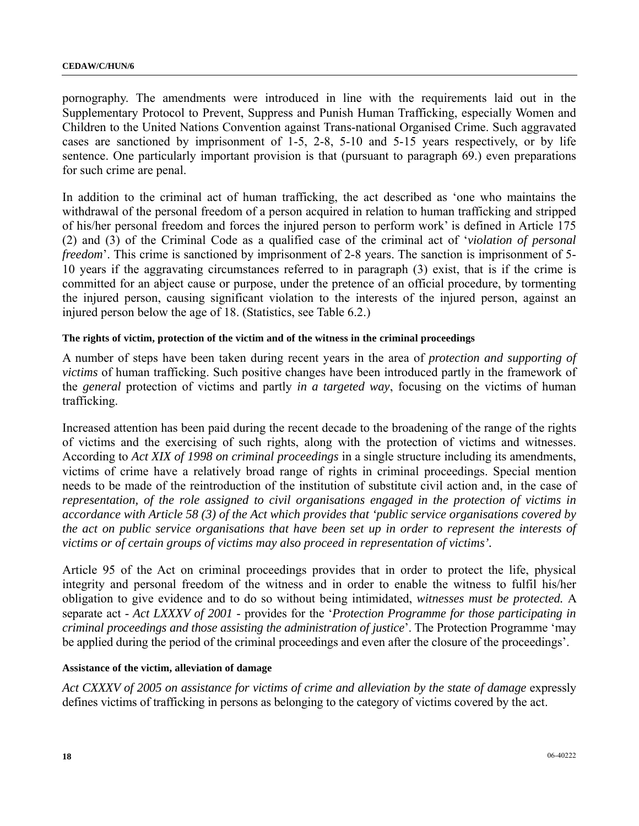pornography. The amendments were introduced in line with the requirements laid out in the Supplementary Protocol to Prevent, Suppress and Punish Human Trafficking, especially Women and Children to the United Nations Convention against Trans-national Organised Crime. Such aggravated cases are sanctioned by imprisonment of 1-5, 2-8, 5-10 and 5-15 years respectively, or by life sentence. One particularly important provision is that (pursuant to paragraph 69.) even preparations for such crime are penal.

In addition to the criminal act of human trafficking, the act described as 'one who maintains the withdrawal of the personal freedom of a person acquired in relation to human trafficking and stripped of his/her personal freedom and forces the injured person to perform work' is defined in Article 175 (2) and (3) of the Criminal Code as a qualified case of the criminal act of '*violation of personal freedom*'. This crime is sanctioned by imprisonment of 2-8 years. The sanction is imprisonment of 5- 10 years if the aggravating circumstances referred to in paragraph (3) exist, that is if the crime is committed for an abject cause or purpose, under the pretence of an official procedure, by tormenting the injured person, causing significant violation to the interests of the injured person, against an injured person below the age of 18. (Statistics, see Table 6.2.)

#### **The rights of victim, protection of the victim and of the witness in the criminal proceedings**

A number of steps have been taken during recent years in the area of *protection and supporting of victims* of human trafficking. Such positive changes have been introduced partly in the framework of the *general* protection of victims and partly *in a targeted way*, focusing on the victims of human trafficking.

Increased attention has been paid during the recent decade to the broadening of the range of the rights of victims and the exercising of such rights, along with the protection of victims and witnesses. According to *Act XIX of 1998 on criminal proceedings* in a single structure including its amendments, victims of crime have a relatively broad range of rights in criminal proceedings. Special mention needs to be made of the reintroduction of the institution of substitute civil action and, in the case of *representation, of the role assigned to civil organisations engaged in the protection of victims in accordance with Article 58 (3) of the Act which provides that 'public service organisations covered by the act on public service organisations that have been set up in order to represent the interests of victims or of certain groups of victims may also proceed in representation of victims'.* 

Article 95 of the Act on criminal proceedings provides that in order to protect the life, physical integrity and personal freedom of the witness and in order to enable the witness to fulfil his/her obligation to give evidence and to do so without being intimidated, *witnesses must be protected.* A separate act - *Act LXXXV of 2001* - provides for the '*Protection Programme for those participating in criminal proceedings and those assisting the administration of justice*'. The Protection Programme 'may be applied during the period of the criminal proceedings and even after the closure of the proceedings'.

#### **Assistance of the victim, alleviation of damage**

*Act CXXXV of 2005 on assistance for victims of crime and alleviation by the state of damage* expressly defines victims of trafficking in persons as belonging to the category of victims covered by the act.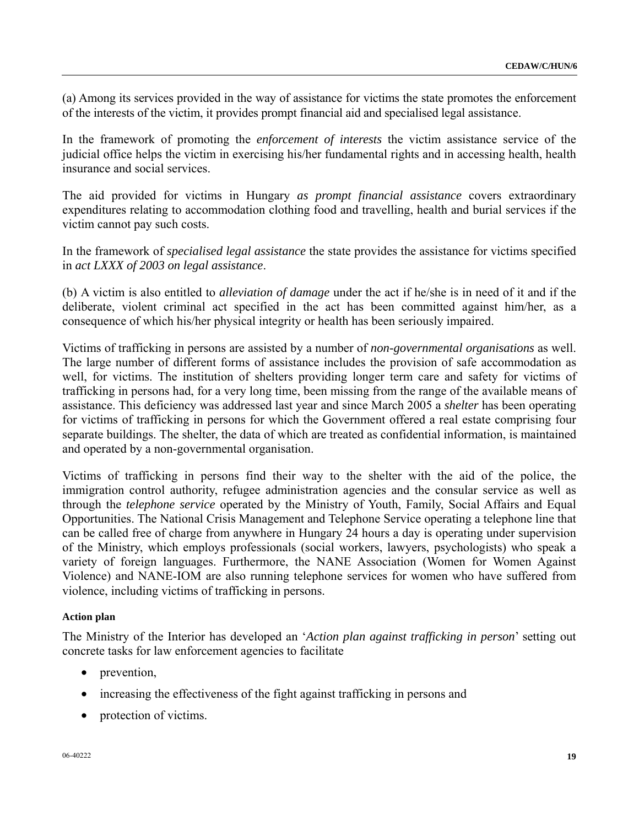(a) Among its services provided in the way of assistance for victims the state promotes the enforcement of the interests of the victim, it provides prompt financial aid and specialised legal assistance.

In the framework of promoting the *enforcement of interests* the victim assistance service of the judicial office helps the victim in exercising his/her fundamental rights and in accessing health, health insurance and social services.

The aid provided for victims in Hungary *as prompt financial assistance* covers extraordinary expenditures relating to accommodation clothing food and travelling, health and burial services if the victim cannot pay such costs.

In the framework of *specialised legal assistance* the state provides the assistance for victims specified in *act LXXX of 2003 on legal assistance*.

(b) A victim is also entitled to *alleviation of damage* under the act if he/she is in need of it and if the deliberate, violent criminal act specified in the act has been committed against him/her, as a consequence of which his/her physical integrity or health has been seriously impaired.

Victims of trafficking in persons are assisted by a number of *non-governmental organisations* as well. The large number of different forms of assistance includes the provision of safe accommodation as well, for victims. The institution of shelters providing longer term care and safety for victims of trafficking in persons had, for a very long time, been missing from the range of the available means of assistance. This deficiency was addressed last year and since March 2005 a *shelter* has been operating for victims of trafficking in persons for which the Government offered a real estate comprising four separate buildings. The shelter, the data of which are treated as confidential information, is maintained and operated by a non-governmental organisation.

Victims of trafficking in persons find their way to the shelter with the aid of the police, the immigration control authority, refugee administration agencies and the consular service as well as through the *telephone service* operated by the Ministry of Youth, Family, Social Affairs and Equal Opportunities. The National Crisis Management and Telephone Service operating a telephone line that can be called free of charge from anywhere in Hungary 24 hours a day is operating under supervision of the Ministry, which employs professionals (social workers, lawyers, psychologists) who speak a variety of foreign languages. Furthermore, the NANE Association (Women for Women Against Violence) and NANE-IOM are also running telephone services for women who have suffered from violence, including victims of trafficking in persons.

### **Action plan**

The Ministry of the Interior has developed an '*Action plan against trafficking in person*' setting out concrete tasks for law enforcement agencies to facilitate

- prevention,
- increasing the effectiveness of the fight against trafficking in persons and
- protection of victims.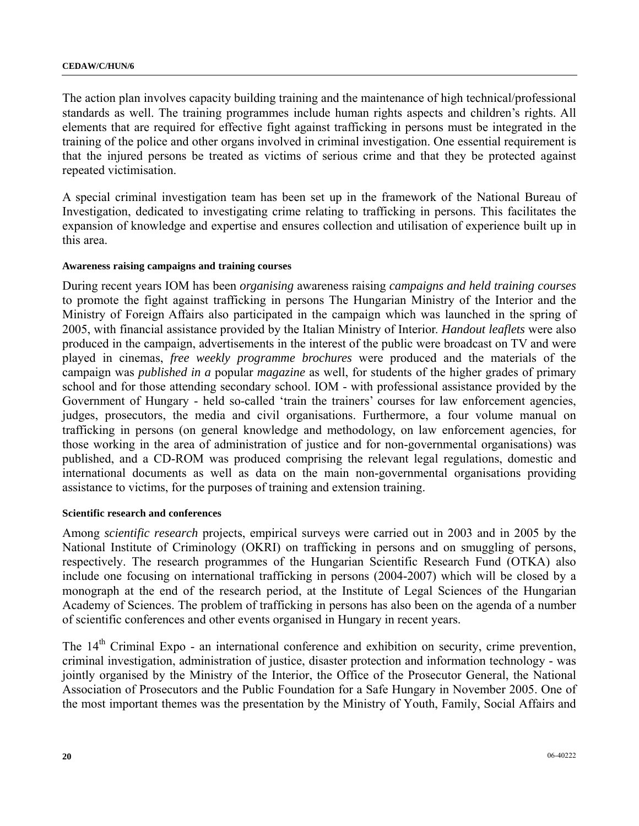The action plan involves capacity building training and the maintenance of high technical/professional standards as well. The training programmes include human rights aspects and children's rights. All elements that are required for effective fight against trafficking in persons must be integrated in the training of the police and other organs involved in criminal investigation. One essential requirement is that the injured persons be treated as victims of serious crime and that they be protected against repeated victimisation.

A special criminal investigation team has been set up in the framework of the National Bureau of Investigation, dedicated to investigating crime relating to trafficking in persons. This facilitates the expansion of knowledge and expertise and ensures collection and utilisation of experience built up in this area.

#### **Awareness raising campaigns and training courses**

During recent years IOM has been *organising* awareness raising *campaigns and held training courses*  to promote the fight against trafficking in persons The Hungarian Ministry of the Interior and the Ministry of Foreign Affairs also participated in the campaign which was launched in the spring of 2005, with financial assistance provided by the Italian Ministry of Interior. *Handout leaflets* were also produced in the campaign, advertisements in the interest of the public were broadcast on TV and were played in cinemas, *free weekly programme brochures* were produced and the materials of the campaign was *published in a* popular *magazine* as well, for students of the higher grades of primary school and for those attending secondary school. IOM - with professional assistance provided by the Government of Hungary - held so-called 'train the trainers' courses for law enforcement agencies, judges, prosecutors, the media and civil organisations. Furthermore, a four volume manual on trafficking in persons (on general knowledge and methodology, on law enforcement agencies, for those working in the area of administration of justice and for non-governmental organisations) was published, and a CD-ROM was produced comprising the relevant legal regulations, domestic and international documents as well as data on the main non-governmental organisations providing assistance to victims, for the purposes of training and extension training.

#### **Scientific research and conferences**

Among *scientific research* projects, empirical surveys were carried out in 2003 and in 2005 by the National Institute of Criminology (OKRI) on trafficking in persons and on smuggling of persons, respectively. The research programmes of the Hungarian Scientific Research Fund (OTKA) also include one focusing on international trafficking in persons (2004-2007) which will be closed by a monograph at the end of the research period, at the Institute of Legal Sciences of the Hungarian Academy of Sciences. The problem of trafficking in persons has also been on the agenda of a number of scientific conferences and other events organised in Hungary in recent years.

The 14<sup>th</sup> Criminal Expo - an international conference and exhibition on security, crime prevention, criminal investigation, administration of justice, disaster protection and information technology - was jointly organised by the Ministry of the Interior, the Office of the Prosecutor General, the National Association of Prosecutors and the Public Foundation for a Safe Hungary in November 2005. One of the most important themes was the presentation by the Ministry of Youth, Family, Social Affairs and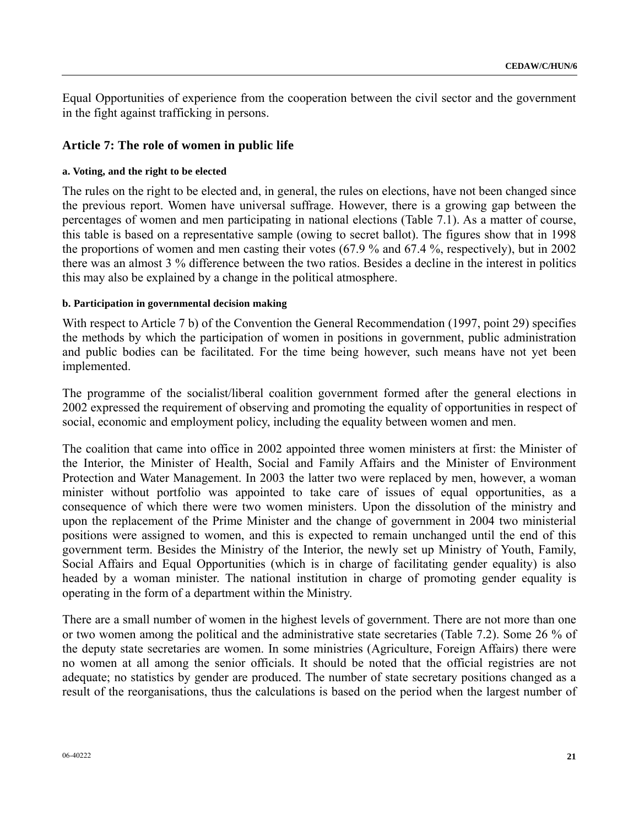Equal Opportunities of experience from the cooperation between the civil sector and the government in the fight against trafficking in persons.

### **Article 7: The role of women in public life**

#### **a. Voting, and the right to be elected**

The rules on the right to be elected and, in general, the rules on elections, have not been changed since the previous report. Women have universal suffrage. However, there is a growing gap between the percentages of women and men participating in national elections (Table 7.1). As a matter of course, this table is based on a representative sample (owing to secret ballot). The figures show that in 1998 the proportions of women and men casting their votes (67.9 % and 67.4 %, respectively), but in 2002 there was an almost 3 % difference between the two ratios. Besides a decline in the interest in politics this may also be explained by a change in the political atmosphere.

#### **b. Participation in governmental decision making**

With respect to Article 7 b) of the Convention the General Recommendation (1997, point 29) specifies the methods by which the participation of women in positions in government, public administration and public bodies can be facilitated. For the time being however, such means have not yet been implemented.

The programme of the socialist/liberal coalition government formed after the general elections in 2002 expressed the requirement of observing and promoting the equality of opportunities in respect of social, economic and employment policy, including the equality between women and men.

The coalition that came into office in 2002 appointed three women ministers at first: the Minister of the Interior, the Minister of Health, Social and Family Affairs and the Minister of Environment Protection and Water Management. In 2003 the latter two were replaced by men, however, a woman minister without portfolio was appointed to take care of issues of equal opportunities, as a consequence of which there were two women ministers. Upon the dissolution of the ministry and upon the replacement of the Prime Minister and the change of government in 2004 two ministerial positions were assigned to women, and this is expected to remain unchanged until the end of this government term. Besides the Ministry of the Interior, the newly set up Ministry of Youth, Family, Social Affairs and Equal Opportunities (which is in charge of facilitating gender equality) is also headed by a woman minister. The national institution in charge of promoting gender equality is operating in the form of a department within the Ministry.

There are a small number of women in the highest levels of government. There are not more than one or two women among the political and the administrative state secretaries (Table 7.2). Some 26 % of the deputy state secretaries are women. In some ministries (Agriculture, Foreign Affairs) there were no women at all among the senior officials. It should be noted that the official registries are not adequate; no statistics by gender are produced. The number of state secretary positions changed as a result of the reorganisations, thus the calculations is based on the period when the largest number of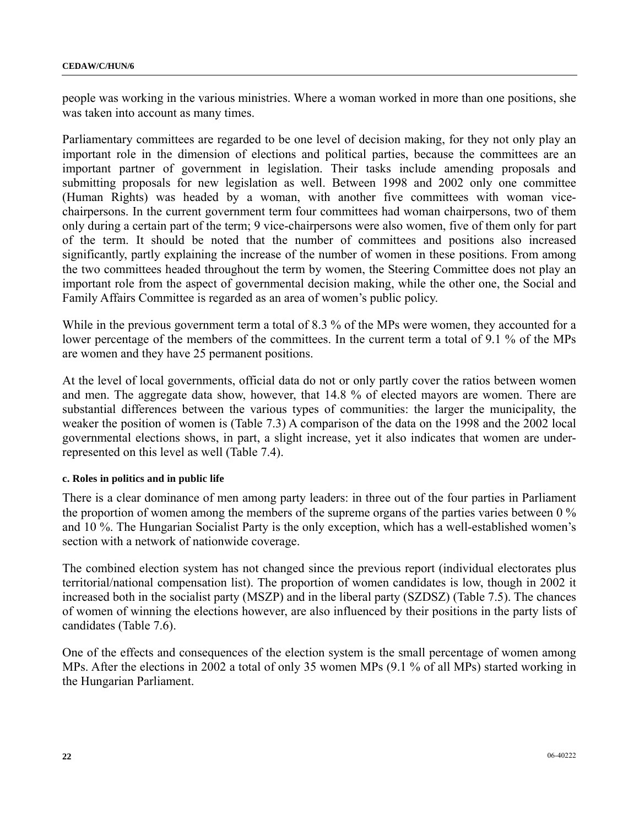people was working in the various ministries. Where a woman worked in more than one positions, she was taken into account as many times.

Parliamentary committees are regarded to be one level of decision making, for they not only play an important role in the dimension of elections and political parties, because the committees are an important partner of government in legislation. Their tasks include amending proposals and submitting proposals for new legislation as well. Between 1998 and 2002 only one committee (Human Rights) was headed by a woman, with another five committees with woman vicechairpersons. In the current government term four committees had woman chairpersons, two of them only during a certain part of the term; 9 vice-chairpersons were also women, five of them only for part of the term. It should be noted that the number of committees and positions also increased significantly, partly explaining the increase of the number of women in these positions. From among the two committees headed throughout the term by women, the Steering Committee does not play an important role from the aspect of governmental decision making, while the other one, the Social and Family Affairs Committee is regarded as an area of women's public policy.

While in the previous government term a total of 8.3 % of the MPs were women, they accounted for a lower percentage of the members of the committees. In the current term a total of 9.1 % of the MPs are women and they have 25 permanent positions.

At the level of local governments, official data do not or only partly cover the ratios between women and men. The aggregate data show, however, that 14.8 % of elected mayors are women. There are substantial differences between the various types of communities: the larger the municipality, the weaker the position of women is (Table 7.3) A comparison of the data on the 1998 and the 2002 local governmental elections shows, in part, a slight increase, yet it also indicates that women are underrepresented on this level as well (Table 7.4).

### **c. Roles in politics and in public life**

There is a clear dominance of men among party leaders: in three out of the four parties in Parliament the proportion of women among the members of the supreme organs of the parties varies between 0 % and 10 %. The Hungarian Socialist Party is the only exception, which has a well-established women's section with a network of nationwide coverage.

The combined election system has not changed since the previous report (individual electorates plus territorial/national compensation list). The proportion of women candidates is low, though in 2002 it increased both in the socialist party (MSZP) and in the liberal party (SZDSZ) (Table 7.5). The chances of women of winning the elections however, are also influenced by their positions in the party lists of candidates (Table 7.6).

One of the effects and consequences of the election system is the small percentage of women among MPs. After the elections in 2002 a total of only 35 women MPs (9.1 % of all MPs) started working in the Hungarian Parliament.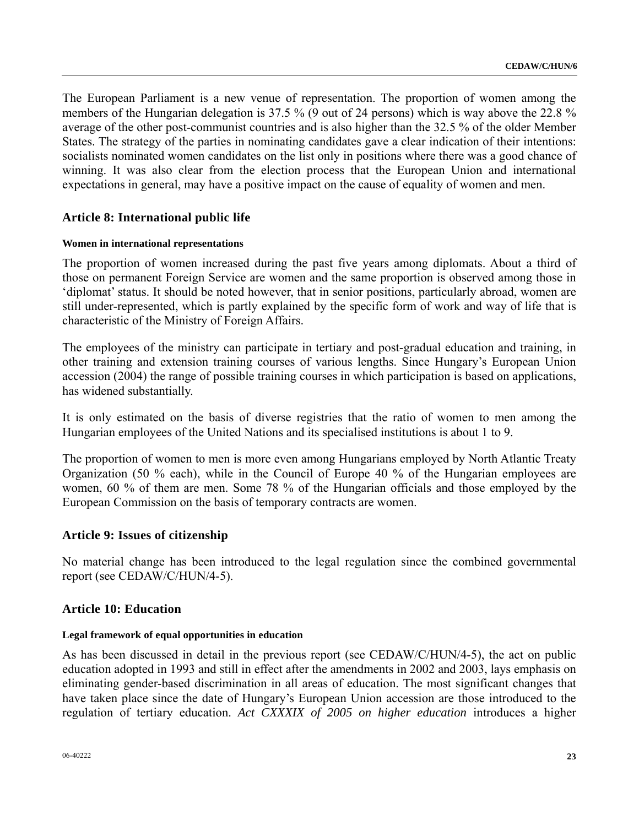The European Parliament is a new venue of representation. The proportion of women among the members of the Hungarian delegation is 37.5 % (9 out of 24 persons) which is way above the 22.8 % average of the other post-communist countries and is also higher than the 32.5 % of the older Member States. The strategy of the parties in nominating candidates gave a clear indication of their intentions: socialists nominated women candidates on the list only in positions where there was a good chance of winning. It was also clear from the election process that the European Union and international expectations in general, may have a positive impact on the cause of equality of women and men.

## **Article 8: International public life**

#### **Women in international representations**

The proportion of women increased during the past five years among diplomats. About a third of those on permanent Foreign Service are women and the same proportion is observed among those in 'diplomat' status. It should be noted however, that in senior positions, particularly abroad, women are still under-represented, which is partly explained by the specific form of work and way of life that is characteristic of the Ministry of Foreign Affairs.

The employees of the ministry can participate in tertiary and post-gradual education and training, in other training and extension training courses of various lengths. Since Hungary's European Union accession (2004) the range of possible training courses in which participation is based on applications, has widened substantially.

It is only estimated on the basis of diverse registries that the ratio of women to men among the Hungarian employees of the United Nations and its specialised institutions is about 1 to 9.

The proportion of women to men is more even among Hungarians employed by North Atlantic Treaty Organization (50 % each), while in the Council of Europe 40 % of the Hungarian employees are women, 60 % of them are men. Some 78 % of the Hungarian officials and those employed by the European Commission on the basis of temporary contracts are women.

### **Article 9: Issues of citizenship**

No material change has been introduced to the legal regulation since the combined governmental report (see CEDAW/C/HUN/4-5).

### **Article 10: Education**

#### **Legal framework of equal opportunities in education**

As has been discussed in detail in the previous report (see CEDAW/C/HUN/4-5), the act on public education adopted in 1993 and still in effect after the amendments in 2002 and 2003, lays emphasis on eliminating gender-based discrimination in all areas of education. The most significant changes that have taken place since the date of Hungary's European Union accession are those introduced to the regulation of tertiary education. *Act CXXXIX of 2005 on higher education* introduces a higher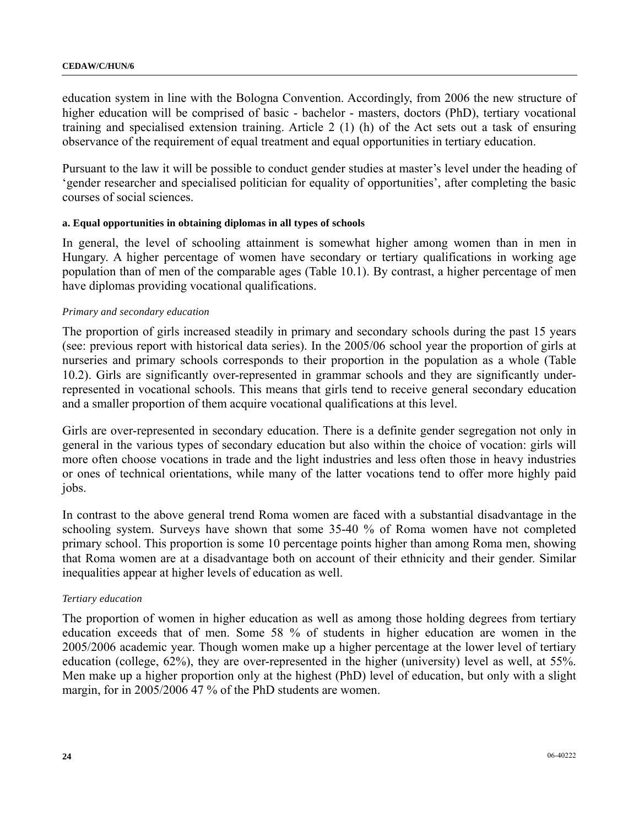education system in line with the Bologna Convention. Accordingly, from 2006 the new structure of higher education will be comprised of basic - bachelor - masters, doctors (PhD), tertiary vocational training and specialised extension training. Article 2 (1) (h) of the Act sets out a task of ensuring observance of the requirement of equal treatment and equal opportunities in tertiary education.

Pursuant to the law it will be possible to conduct gender studies at master's level under the heading of 'gender researcher and specialised politician for equality of opportunities', after completing the basic courses of social sciences.

#### **a. Equal opportunities in obtaining diplomas in all types of schools**

In general, the level of schooling attainment is somewhat higher among women than in men in Hungary. A higher percentage of women have secondary or tertiary qualifications in working age population than of men of the comparable ages (Table 10.1). By contrast, a higher percentage of men have diplomas providing vocational qualifications.

#### *Primary and secondary education*

The proportion of girls increased steadily in primary and secondary schools during the past 15 years (see: previous report with historical data series). In the 2005/06 school year the proportion of girls at nurseries and primary schools corresponds to their proportion in the population as a whole (Table 10.2). Girls are significantly over-represented in grammar schools and they are significantly underrepresented in vocational schools. This means that girls tend to receive general secondary education and a smaller proportion of them acquire vocational qualifications at this level.

Girls are over-represented in secondary education. There is a definite gender segregation not only in general in the various types of secondary education but also within the choice of vocation: girls will more often choose vocations in trade and the light industries and less often those in heavy industries or ones of technical orientations, while many of the latter vocations tend to offer more highly paid jobs.

In contrast to the above general trend Roma women are faced with a substantial disadvantage in the schooling system. Surveys have shown that some 35-40 % of Roma women have not completed primary school. This proportion is some 10 percentage points higher than among Roma men, showing that Roma women are at a disadvantage both on account of their ethnicity and their gender. Similar inequalities appear at higher levels of education as well.

#### *Tertiary education*

The proportion of women in higher education as well as among those holding degrees from tertiary education exceeds that of men. Some 58 % of students in higher education are women in the 2005/2006 academic year. Though women make up a higher percentage at the lower level of tertiary education (college, 62%), they are over-represented in the higher (university) level as well, at 55%. Men make up a higher proportion only at the highest (PhD) level of education, but only with a slight margin, for in 2005/2006 47 % of the PhD students are women.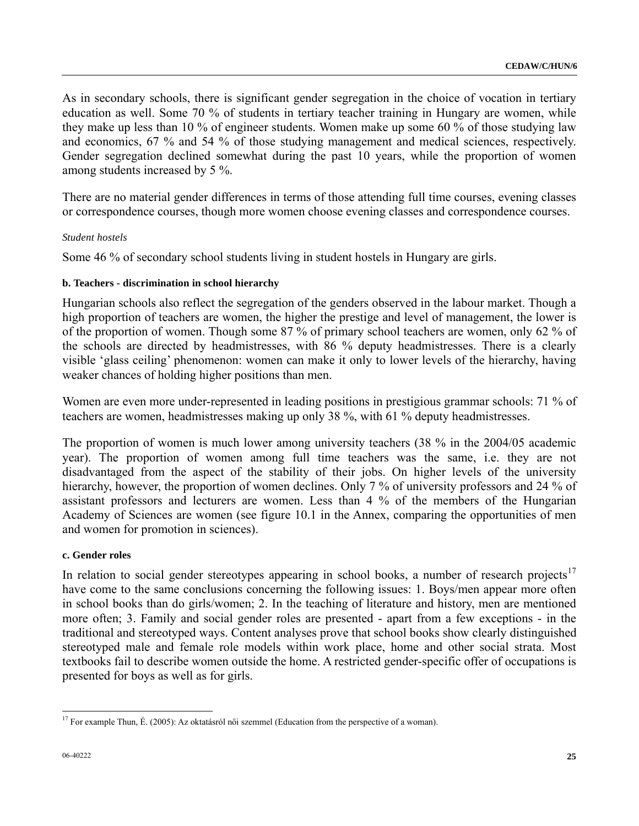As in secondary schools, there is significant gender segregation in the choice of vocation in tertiary education as well. Some 70 % of students in tertiary teacher training in Hungary are women, while they make up less than 10 % of engineer students. Women make up some 60 % of those studying law and economics, 67 % and 54 % of those studying management and medical sciences, respectively. Gender segregation declined somewhat during the past 10 years, while the proportion of women among students increased by 5 %.

There are no material gender differences in terms of those attending full time courses, evening classes or correspondence courses, though more women choose evening classes and correspondence courses.

#### *Student hostels*

Some 46 % of secondary school students living in student hostels in Hungary are girls.

#### **b. Teachers - discrimination in school hierarchy**

Hungarian schools also reflect the segregation of the genders observed in the labour market. Though a high proportion of teachers are women, the higher the prestige and level of management, the lower is of the proportion of women. Though some 87 % of primary school teachers are women, only 62 % of the schools are directed by headmistresses, with 86 % deputy headmistresses. There is a clearly visible 'glass ceiling' phenomenon: women can make it only to lower levels of the hierarchy, having weaker chances of holding higher positions than men.

Women are even more under-represented in leading positions in prestigious grammar schools: 71 % of teachers are women, headmistresses making up only 38 %, with 61 % deputy headmistresses.

The proportion of women is much lower among university teachers (38 % in the 2004/05 academic year). The proportion of women among full time teachers was the same, i.e. they are not disadvantaged from the aspect of the stability of their jobs. On higher levels of the university hierarchy, however, the proportion of women declines. Only 7 % of university professors and 24 % of assistant professors and lecturers are women. Less than 4 % of the members of the Hungarian Academy of Sciences are women (see figure 10.1 in the Annex, comparing the opportunities of men and women for promotion in sciences).

#### **c. Gender roles**

In relation to social gender stereotypes appearing in school books, a number of research projects<sup>[1](#page-24-0)7</sup> have come to the same conclusions concerning the following issues: 1. Boys/men appear more often in school books than do girls/women; 2. In the teaching of literature and history, men are mentioned more often; 3. Family and social gender roles are presented - apart from a few exceptions - in the traditional and stereotyped ways. Content analyses prove that school books show clearly distinguished stereotyped male and female role models within work place, home and other social strata. Most textbooks fail to describe women outside the home. A restricted gender-specific offer of occupations is presented for boys as well as for girls.

<span id="page-24-0"></span> $\overline{a}$ <sup>17</sup> For example Thun, É. (2005): Az oktatásról női szemmel (Education from the perspective of a woman).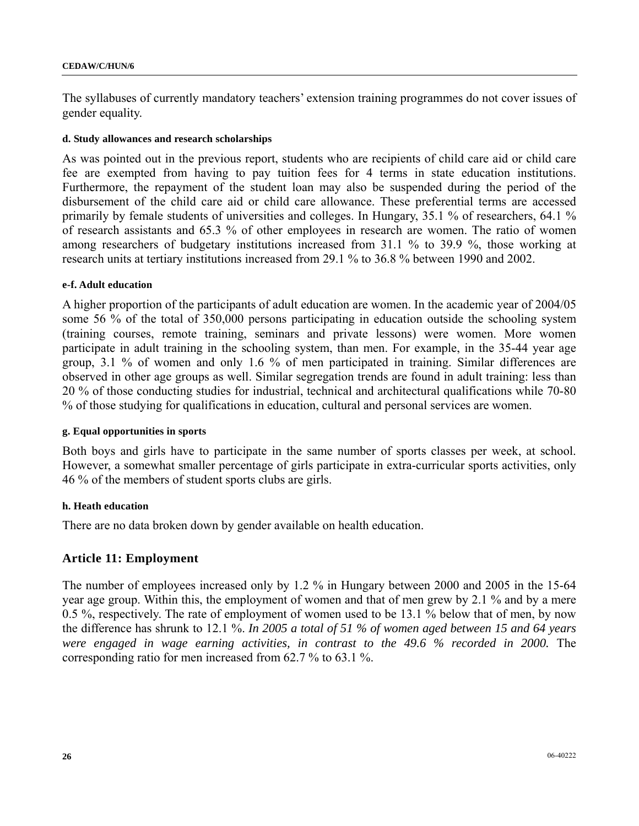#### **CEDAW/C/HUN/6**

The syllabuses of currently mandatory teachers' extension training programmes do not cover issues of gender equality.

#### **d. Study allowances and research scholarships**

As was pointed out in the previous report, students who are recipients of child care aid or child care fee are exempted from having to pay tuition fees for 4 terms in state education institutions. Furthermore, the repayment of the student loan may also be suspended during the period of the disbursement of the child care aid or child care allowance. These preferential terms are accessed primarily by female students of universities and colleges. In Hungary, 35.1 % of researchers, 64.1 % of research assistants and 65.3 % of other employees in research are women. The ratio of women among researchers of budgetary institutions increased from 31.1 % to 39.9 %, those working at research units at tertiary institutions increased from 29.1 % to 36.8 % between 1990 and 2002.

#### **e-f. Adult education**

A higher proportion of the participants of adult education are women. In the academic year of 2004/05 some 56 % of the total of 350,000 persons participating in education outside the schooling system (training courses, remote training, seminars and private lessons) were women. More women participate in adult training in the schooling system, than men. For example, in the 35-44 year age group, 3.1 % of women and only 1.6 % of men participated in training. Similar differences are observed in other age groups as well. Similar segregation trends are found in adult training: less than 20 % of those conducting studies for industrial, technical and architectural qualifications while 70-80 % of those studying for qualifications in education, cultural and personal services are women.

#### **g. Equal opportunities in sports**

Both boys and girls have to participate in the same number of sports classes per week, at school. However, a somewhat smaller percentage of girls participate in extra-curricular sports activities, only 46 % of the members of student sports clubs are girls.

#### **h. Heath education**

There are no data broken down by gender available on health education.

### **Article 11: Employment**

The number of employees increased only by 1.2 % in Hungary between 2000 and 2005 in the 15-64 year age group. Within this, the employment of women and that of men grew by 2.1 % and by a mere 0.5 %, respectively. The rate of employment of women used to be 13.1 % below that of men, by now the difference has shrunk to 12.1 %. *In 2005 a total of 51 % of women aged between 15 and 64 years were engaged in wage earning activities, in contrast to the 49.6 % recorded in 2000.* The corresponding ratio for men increased from 62.7 % to 63.1 %.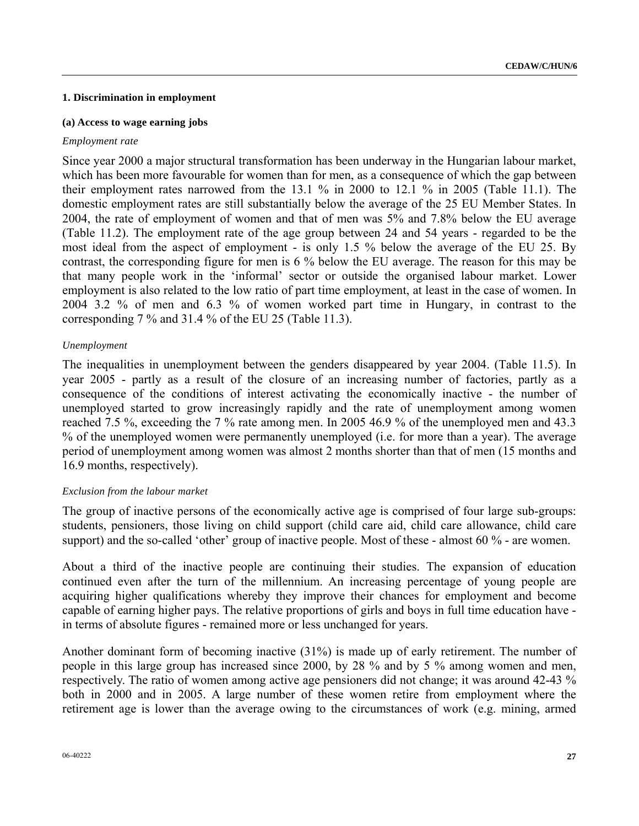#### **1. Discrimination in employment**

#### **(a) Access to wage earning jobs**

#### *Employment rate*

Since year 2000 a major structural transformation has been underway in the Hungarian labour market, which has been more favourable for women than for men, as a consequence of which the gap between their employment rates narrowed from the 13.1 % in 2000 to 12.1 % in 2005 (Table 11.1). The domestic employment rates are still substantially below the average of the 25 EU Member States. In 2004, the rate of employment of women and that of men was 5% and 7.8% below the EU average (Table 11.2). The employment rate of the age group between 24 and 54 years - regarded to be the most ideal from the aspect of employment - is only 1.5 % below the average of the EU 25. By contrast, the corresponding figure for men is 6 % below the EU average. The reason for this may be that many people work in the 'informal' sector or outside the organised labour market. Lower employment is also related to the low ratio of part time employment, at least in the case of women. In 2004 3.2 % of men and 6.3 % of women worked part time in Hungary, in contrast to the corresponding 7 % and 31.4 % of the EU 25 (Table 11.3).

### *Unemployment*

The inequalities in unemployment between the genders disappeared by year 2004. (Table 11.5). In year 2005 - partly as a result of the closure of an increasing number of factories, partly as a consequence of the conditions of interest activating the economically inactive - the number of unemployed started to grow increasingly rapidly and the rate of unemployment among women reached 7.5 %, exceeding the 7 % rate among men. In 2005 46.9 % of the unemployed men and 43.3 % of the unemployed women were permanently unemployed (i.e. for more than a year). The average period of unemployment among women was almost 2 months shorter than that of men (15 months and 16.9 months, respectively).

### *Exclusion from the labour market*

The group of inactive persons of the economically active age is comprised of four large sub-groups: students, pensioners, those living on child support (child care aid, child care allowance, child care support) and the so-called 'other' group of inactive people. Most of these - almost 60 % - are women.

About a third of the inactive people are continuing their studies. The expansion of education continued even after the turn of the millennium. An increasing percentage of young people are acquiring higher qualifications whereby they improve their chances for employment and become capable of earning higher pays. The relative proportions of girls and boys in full time education have in terms of absolute figures - remained more or less unchanged for years.

Another dominant form of becoming inactive (31%) is made up of early retirement. The number of people in this large group has increased since 2000, by 28 % and by 5 % among women and men, respectively. The ratio of women among active age pensioners did not change; it was around 42-43 % both in 2000 and in 2005. A large number of these women retire from employment where the retirement age is lower than the average owing to the circumstances of work (e.g. mining, armed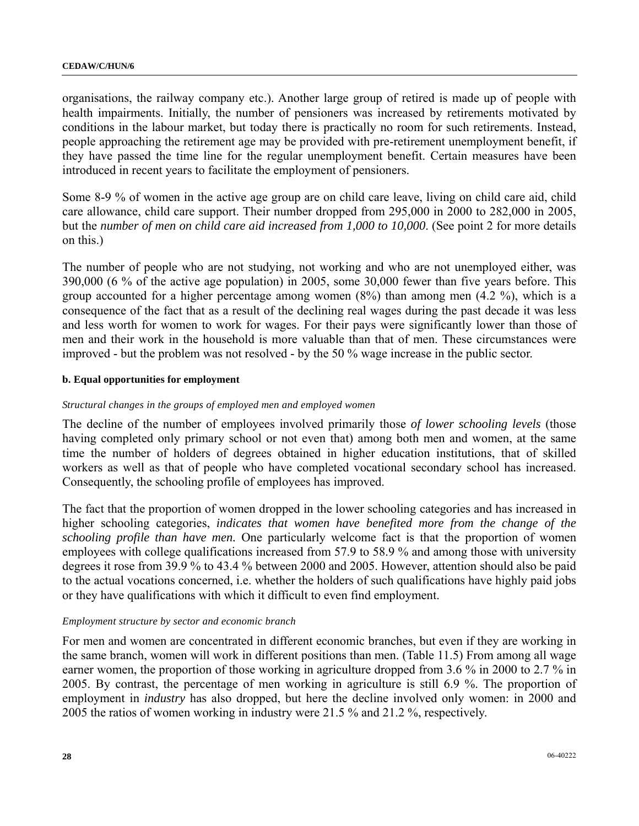organisations, the railway company etc.). Another large group of retired is made up of people with health impairments. Initially, the number of pensioners was increased by retirements motivated by conditions in the labour market, but today there is practically no room for such retirements. Instead, people approaching the retirement age may be provided with pre-retirement unemployment benefit, if they have passed the time line for the regular unemployment benefit. Certain measures have been introduced in recent years to facilitate the employment of pensioners.

Some 8-9 % of women in the active age group are on child care leave, living on child care aid, child care allowance, child care support. Their number dropped from 295,000 in 2000 to 282,000 in 2005, but the *number of men on child care aid increased from 1,000 to 10,000*. (See point 2 for more details on this.)

The number of people who are not studying, not working and who are not unemployed either, was 390,000 (6 % of the active age population) in 2005, some 30,000 fewer than five years before. This group accounted for a higher percentage among women (8%) than among men (4.2 %), which is a consequence of the fact that as a result of the declining real wages during the past decade it was less and less worth for women to work for wages. For their pays were significantly lower than those of men and their work in the household is more valuable than that of men. These circumstances were improved - but the problem was not resolved - by the 50 % wage increase in the public sector.

### **b. Equal opportunities for employment**

#### *Structural changes in the groups of employed men and employed women*

The decline of the number of employees involved primarily those *of lower schooling levels* (those having completed only primary school or not even that) among both men and women, at the same time the number of holders of degrees obtained in higher education institutions, that of skilled workers as well as that of people who have completed vocational secondary school has increased. Consequently, the schooling profile of employees has improved.

The fact that the proportion of women dropped in the lower schooling categories and has increased in higher schooling categories, *indicates that women have benefited more from the change of the schooling profile than have men.* One particularly welcome fact is that the proportion of women employees with college qualifications increased from 57.9 to 58.9 % and among those with university degrees it rose from 39.9 % to 43.4 % between 2000 and 2005. However, attention should also be paid to the actual vocations concerned, i.e. whether the holders of such qualifications have highly paid jobs or they have qualifications with which it difficult to even find employment.

#### *Employment structure by sector and economic branch*

For men and women are concentrated in different economic branches, but even if they are working in the same branch, women will work in different positions than men. (Table 11.5) From among all wage earner women, the proportion of those working in agriculture dropped from 3.6 % in 2000 to 2.7 % in 2005. By contrast, the percentage of men working in agriculture is still 6.9 %. The proportion of employment in *industry* has also dropped, but here the decline involved only women: in 2000 and 2005 the ratios of women working in industry were 21.5 % and 21.2 %, respectively.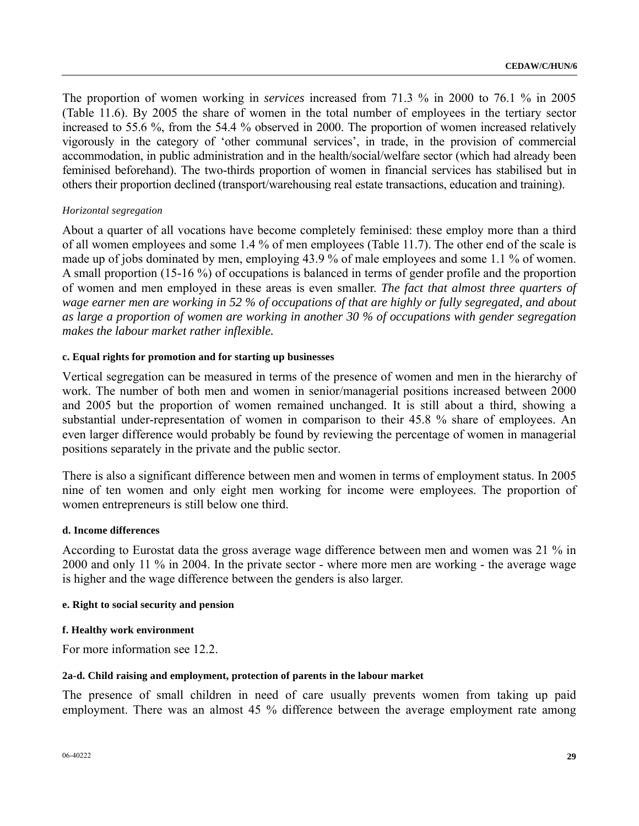The proportion of women working in *services* increased from 71.3 % in 2000 to 76.1 % in 2005 (Table 11.6). By 2005 the share of women in the total number of employees in the tertiary sector increased to 55.6 %, from the 54.4 % observed in 2000. The proportion of women increased relatively vigorously in the category of 'other communal services', in trade, in the provision of commercial accommodation, in public administration and in the health/social/welfare sector (which had already been feminised beforehand). The two-thirds proportion of women in financial services has stabilised but in others their proportion declined (transport/warehousing real estate transactions, education and training).

### *Horizontal segregation*

About a quarter of all vocations have become completely feminised: these employ more than a third of all women employees and some 1.4 % of men employees (Table 11.7). The other end of the scale is made up of jobs dominated by men, employing 43.9 % of male employees and some 1.1 % of women. A small proportion (15-16 %) of occupations is balanced in terms of gender profile and the proportion of women and men employed in these areas is even smaller. *The fact that almost three quarters of wage earner men are working in 52 % of occupations of that are highly or fully segregated, and about as large a proportion of women are working in another 30 % of occupations with gender segregation makes the labour market rather inflexible.* 

#### **c. Equal rights for promotion and for starting up businesses**

Vertical segregation can be measured in terms of the presence of women and men in the hierarchy of work. The number of both men and women in senior/managerial positions increased between 2000 and 2005 but the proportion of women remained unchanged. It is still about a third, showing a substantial under-representation of women in comparison to their 45.8 % share of employees. An even larger difference would probably be found by reviewing the percentage of women in managerial positions separately in the private and the public sector.

There is also a significant difference between men and women in terms of employment status. In 2005 nine of ten women and only eight men working for income were employees. The proportion of women entrepreneurs is still below one third.

#### **d. Income differences**

According to Eurostat data the gross average wage difference between men and women was 21 % in 2000 and only 11 % in 2004. In the private sector - where more men are working - the average wage is higher and the wage difference between the genders is also larger.

#### **e. Right to social security and pension**

#### **f. Healthy work environment**

For more information see 12.2.

#### **2a-d. Child raising and employment, protection of parents in the labour market**

The presence of small children in need of care usually prevents women from taking up paid employment. There was an almost 45 % difference between the average employment rate among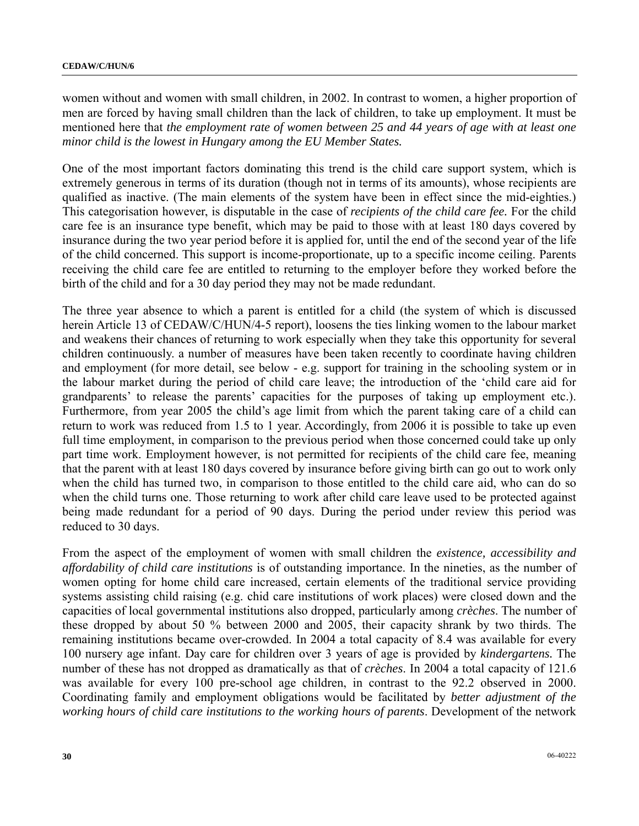women without and women with small children, in 2002. In contrast to women, a higher proportion of men are forced by having small children than the lack of children, to take up employment. It must be mentioned here that *the employment rate of women between 25 and 44 years of age with at least one minor child is the lowest in Hungary among the EU Member States.*

One of the most important factors dominating this trend is the child care support system, which is extremely generous in terms of its duration (though not in terms of its amounts), whose recipients are qualified as inactive. (The main elements of the system have been in effect since the mid-eighties.) This categorisation however, is disputable in the case of *recipients of the child care fee.* For the child care fee is an insurance type benefit, which may be paid to those with at least 180 days covered by insurance during the two year period before it is applied for, until the end of the second year of the life of the child concerned. This support is income-proportionate, up to a specific income ceiling. Parents receiving the child care fee are entitled to returning to the employer before they worked before the birth of the child and for a 30 day period they may not be made redundant.

The three year absence to which a parent is entitled for a child (the system of which is discussed herein Article 13 of CEDAW/C/HUN/4-5 report), loosens the ties linking women to the labour market and weakens their chances of returning to work especially when they take this opportunity for several children continuously. a number of measures have been taken recently to coordinate having children and employment (for more detail, see below - e.g. support for training in the schooling system or in the labour market during the period of child care leave; the introduction of the 'child care aid for grandparents' to release the parents' capacities for the purposes of taking up employment etc.). Furthermore, from year 2005 the child's age limit from which the parent taking care of a child can return to work was reduced from 1.5 to 1 year. Accordingly, from 2006 it is possible to take up even full time employment, in comparison to the previous period when those concerned could take up only part time work. Employment however, is not permitted for recipients of the child care fee, meaning that the parent with at least 180 days covered by insurance before giving birth can go out to work only when the child has turned two, in comparison to those entitled to the child care aid, who can do so when the child turns one. Those returning to work after child care leave used to be protected against being made redundant for a period of 90 days. During the period under review this period was reduced to 30 days.

From the aspect of the employment of women with small children the *existence, accessibility and affordability of child care institutions* is of outstanding importance. In the nineties, as the number of women opting for home child care increased, certain elements of the traditional service providing systems assisting child raising (e.g. chid care institutions of work places) were closed down and the capacities of local governmental institutions also dropped, particularly among *crèches*. The number of these dropped by about 50 % between 2000 and 2005, their capacity shrank by two thirds. The remaining institutions became over-crowded. In 2004 a total capacity of 8.4 was available for every 100 nursery age infant. Day care for children over 3 years of age is provided by *kindergartens.* The number of these has not dropped as dramatically as that of *crèches*. In 2004 a total capacity of 121.6 was available for every 100 pre-school age children, in contrast to the 92.2 observed in 2000. Coordinating family and employment obligations would be facilitated by *better adjustment of the working hours of child care institutions to the working hours of parents*. Development of the network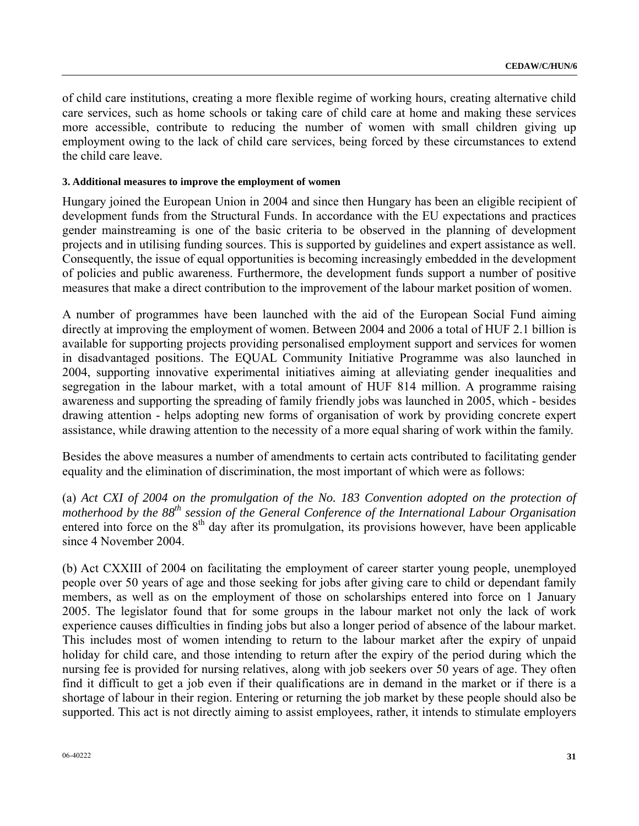of child care institutions, creating a more flexible regime of working hours, creating alternative child care services, such as home schools or taking care of child care at home and making these services more accessible, contribute to reducing the number of women with small children giving up employment owing to the lack of child care services, being forced by these circumstances to extend the child care leave.

#### **3. Additional measures to improve the employment of women**

Hungary joined the European Union in 2004 and since then Hungary has been an eligible recipient of development funds from the Structural Funds. In accordance with the EU expectations and practices gender mainstreaming is one of the basic criteria to be observed in the planning of development projects and in utilising funding sources. This is supported by guidelines and expert assistance as well. Consequently, the issue of equal opportunities is becoming increasingly embedded in the development of policies and public awareness. Furthermore, the development funds support a number of positive measures that make a direct contribution to the improvement of the labour market position of women.

A number of programmes have been launched with the aid of the European Social Fund aiming directly at improving the employment of women. Between 2004 and 2006 a total of HUF 2.1 billion is available for supporting projects providing personalised employment support and services for women in disadvantaged positions. The EQUAL Community Initiative Programme was also launched in 2004, supporting innovative experimental initiatives aiming at alleviating gender inequalities and segregation in the labour market, with a total amount of HUF 814 million. A programme raising awareness and supporting the spreading of family friendly jobs was launched in 2005, which - besides drawing attention - helps adopting new forms of organisation of work by providing concrete expert assistance, while drawing attention to the necessity of a more equal sharing of work within the family.

Besides the above measures a number of amendments to certain acts contributed to facilitating gender equality and the elimination of discrimination, the most important of which were as follows:

(a) *Act CXI of 2004 on the promulgation of the No. 183 Convention adopted on the protection of motherhood by the 88th session of the General Conference of the International Labour Organisation*  entered into force on the  $8<sup>th</sup>$  day after its promulgation, its provisions however, have been applicable since 4 November 2004.

(b) Act CXXIII of 2004 on facilitating the employment of career starter young people, unemployed people over 50 years of age and those seeking for jobs after giving care to child or dependant family members, as well as on the employment of those on scholarships entered into force on 1 January 2005. The legislator found that for some groups in the labour market not only the lack of work experience causes difficulties in finding jobs but also a longer period of absence of the labour market. This includes most of women intending to return to the labour market after the expiry of unpaid holiday for child care, and those intending to return after the expiry of the period during which the nursing fee is provided for nursing relatives, along with job seekers over 50 years of age. They often find it difficult to get a job even if their qualifications are in demand in the market or if there is a shortage of labour in their region. Entering or returning the job market by these people should also be supported. This act is not directly aiming to assist employees, rather, it intends to stimulate employers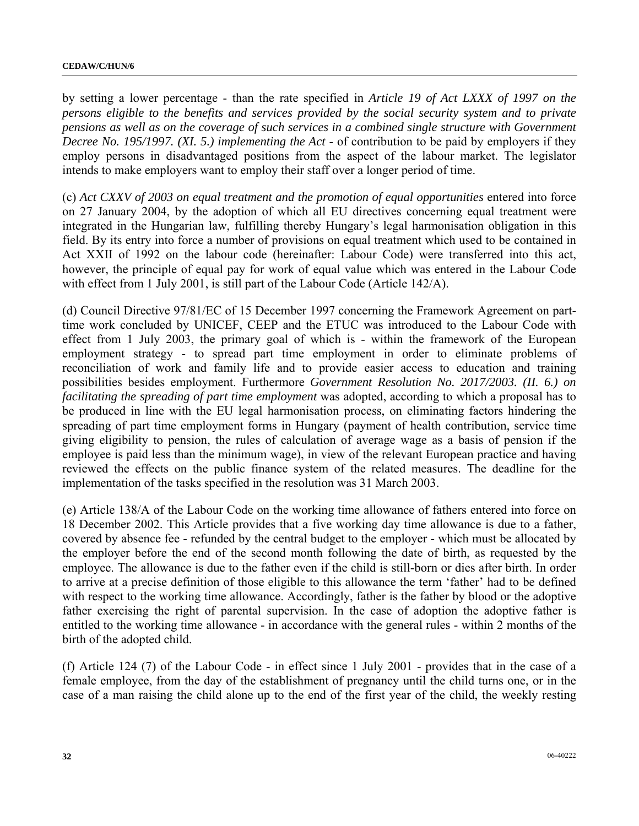by setting a lower percentage - than the rate specified in *Article 19 of Act LXXX of 1997 on the persons eligible to the benefits and services provided by the social security system and to private pensions as well as on the coverage of such services in a combined single structure with Government Decree No. 195/1997. (XI. 5.) implementing the Act - of contribution to be paid by employers if they* employ persons in disadvantaged positions from the aspect of the labour market. The legislator intends to make employers want to employ their staff over a longer period of time.

(c) *Act CXXV of 2003 on equal treatment and the promotion of equal opportunities* entered into force on 27 January 2004, by the adoption of which all EU directives concerning equal treatment were integrated in the Hungarian law, fulfilling thereby Hungary's legal harmonisation obligation in this field. By its entry into force a number of provisions on equal treatment which used to be contained in Act XXII of 1992 on the labour code (hereinafter: Labour Code) were transferred into this act, however, the principle of equal pay for work of equal value which was entered in the Labour Code with effect from 1 July 2001, is still part of the Labour Code (Article 142/A).

(d) Council Directive 97/81/EC of 15 December 1997 concerning the Framework Agreement on parttime work concluded by UNICEF, CEEP and the ETUC was introduced to the Labour Code with effect from 1 July 2003, the primary goal of which is - within the framework of the European employment strategy - to spread part time employment in order to eliminate problems of reconciliation of work and family life and to provide easier access to education and training possibilities besides employment. Furthermore *Government Resolution No. 2017/2003. (II. 6.) on facilitating the spreading of part time employment* was adopted, according to which a proposal has to be produced in line with the EU legal harmonisation process, on eliminating factors hindering the spreading of part time employment forms in Hungary (payment of health contribution, service time giving eligibility to pension, the rules of calculation of average wage as a basis of pension if the employee is paid less than the minimum wage), in view of the relevant European practice and having reviewed the effects on the public finance system of the related measures. The deadline for the implementation of the tasks specified in the resolution was 31 March 2003.

(e) Article 138/A of the Labour Code on the working time allowance of fathers entered into force on 18 December 2002. This Article provides that a five working day time allowance is due to a father, covered by absence fee - refunded by the central budget to the employer - which must be allocated by the employer before the end of the second month following the date of birth, as requested by the employee. The allowance is due to the father even if the child is still-born or dies after birth. In order to arrive at a precise definition of those eligible to this allowance the term 'father' had to be defined with respect to the working time allowance. Accordingly, father is the father by blood or the adoptive father exercising the right of parental supervision. In the case of adoption the adoptive father is entitled to the working time allowance - in accordance with the general rules - within 2 months of the birth of the adopted child.

(f) Article 124 (7) of the Labour Code - in effect since 1 July 2001 - provides that in the case of a female employee, from the day of the establishment of pregnancy until the child turns one, or in the case of a man raising the child alone up to the end of the first year of the child, the weekly resting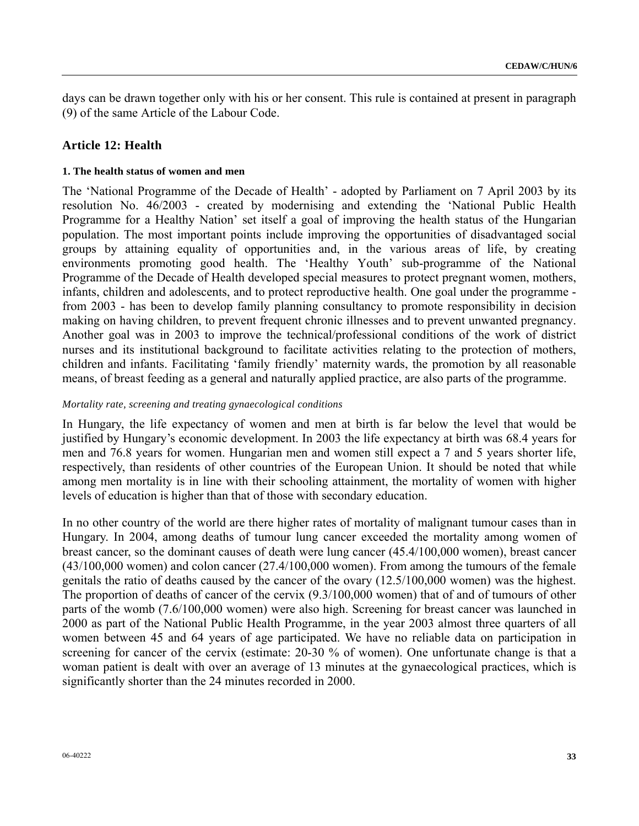days can be drawn together only with his or her consent. This rule is contained at present in paragraph (9) of the same Article of the Labour Code.

## **Article 12: Health**

#### **1. The health status of women and men**

The 'National Programme of the Decade of Health' - adopted by Parliament on 7 April 2003 by its resolution No. 46/2003 - created by modernising and extending the 'National Public Health Programme for a Healthy Nation' set itself a goal of improving the health status of the Hungarian population. The most important points include improving the opportunities of disadvantaged social groups by attaining equality of opportunities and, in the various areas of life, by creating environments promoting good health. The 'Healthy Youth' sub-programme of the National Programme of the Decade of Health developed special measures to protect pregnant women, mothers, infants, children and adolescents, and to protect reproductive health. One goal under the programme from 2003 - has been to develop family planning consultancy to promote responsibility in decision making on having children, to prevent frequent chronic illnesses and to prevent unwanted pregnancy. Another goal was in 2003 to improve the technical/professional conditions of the work of district nurses and its institutional background to facilitate activities relating to the protection of mothers, children and infants. Facilitating 'family friendly' maternity wards, the promotion by all reasonable means, of breast feeding as a general and naturally applied practice, are also parts of the programme.

#### *Mortality rate, screening and treating gynaecological conditions*

In Hungary, the life expectancy of women and men at birth is far below the level that would be justified by Hungary's economic development. In 2003 the life expectancy at birth was 68.4 years for men and 76.8 years for women. Hungarian men and women still expect a 7 and 5 years shorter life, respectively, than residents of other countries of the European Union. It should be noted that while among men mortality is in line with their schooling attainment, the mortality of women with higher levels of education is higher than that of those with secondary education.

In no other country of the world are there higher rates of mortality of malignant tumour cases than in Hungary. In 2004, among deaths of tumour lung cancer exceeded the mortality among women of breast cancer, so the dominant causes of death were lung cancer (45.4/100,000 women), breast cancer (43/100,000 women) and colon cancer (27.4/100,000 women). From among the tumours of the female genitals the ratio of deaths caused by the cancer of the ovary (12.5/100,000 women) was the highest. The proportion of deaths of cancer of the cervix (9.3/100,000 women) that of and of tumours of other parts of the womb (7.6/100,000 women) were also high. Screening for breast cancer was launched in 2000 as part of the National Public Health Programme, in the year 2003 almost three quarters of all women between 45 and 64 years of age participated. We have no reliable data on participation in screening for cancer of the cervix (estimate: 20-30 % of women). One unfortunate change is that a woman patient is dealt with over an average of 13 minutes at the gynaecological practices, which is significantly shorter than the 24 minutes recorded in 2000.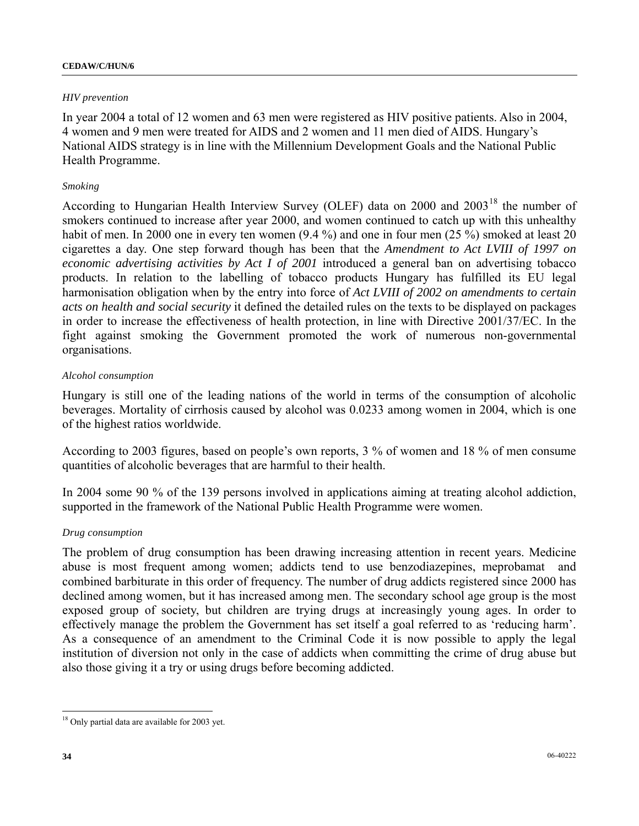#### **CEDAW/C/HUN/6**

## *HIV prevention*

In year 2004 a total of 12 women and 63 men were registered as HIV positive patients. Also in 2004, 4 women and 9 men were treated for AIDS and 2 women and 11 men died of AIDS. Hungary's National AIDS strategy is in line with the Millennium Development Goals and the National Public Health Programme.

## *Smoking*

According to Hungarian Health Interview Survey (OLEF) data on 2000 and 2003<sup>[18](#page-33-0)</sup> the number of smokers continued to increase after year 2000, and women continued to catch up with this unhealthy habit of men. In 2000 one in every ten women (9.4 %) and one in four men (25 %) smoked at least 20 cigarettes a day. One step forward though has been that the *Amendment to Act LVIII of 1997 on economic advertising activities by Act I of 2001* introduced a general ban on advertising tobacco products. In relation to the labelling of tobacco products Hungary has fulfilled its EU legal harmonisation obligation when by the entry into force of *Act LVIII of 2002 on amendments to certain acts on health and social security* it defined the detailed rules on the texts to be displayed on packages in order to increase the effectiveness of health protection, in line with Directive 2001/37/EC. In the fight against smoking the Government promoted the work of numerous non-governmental organisations.

### *Alcohol consumption*

Hungary is still one of the leading nations of the world in terms of the consumption of alcoholic beverages. Mortality of cirrhosis caused by alcohol was 0.0233 among women in 2004, which is one of the highest ratios worldwide.

According to 2003 figures, based on people's own reports, 3 % of women and 18 % of men consume quantities of alcoholic beverages that are harmful to their health.

In 2004 some 90 % of the 139 persons involved in applications aiming at treating alcohol addiction, supported in the framework of the National Public Health Programme were women.

### *Drug consumption*

The problem of drug consumption has been drawing increasing attention in recent years. Medicine abuse is most frequent among women; addicts tend to use benzodiazepines, meprobamat and combined barbiturate in this order of frequency. The number of drug addicts registered since 2000 has declined among women, but it has increased among men. The secondary school age group is the most exposed group of society, but children are trying drugs at increasingly young ages. In order to effectively manage the problem the Government has set itself a goal referred to as 'reducing harm'. As a consequence of an amendment to the Criminal Code it is now possible to apply the legal institution of diversion not only in the case of addicts when committing the crime of drug abuse but also those giving it a try or using drugs before becoming addicted.

<span id="page-33-0"></span> $\overline{a}$ <sup>18</sup> Only partial data are available for 2003 yet.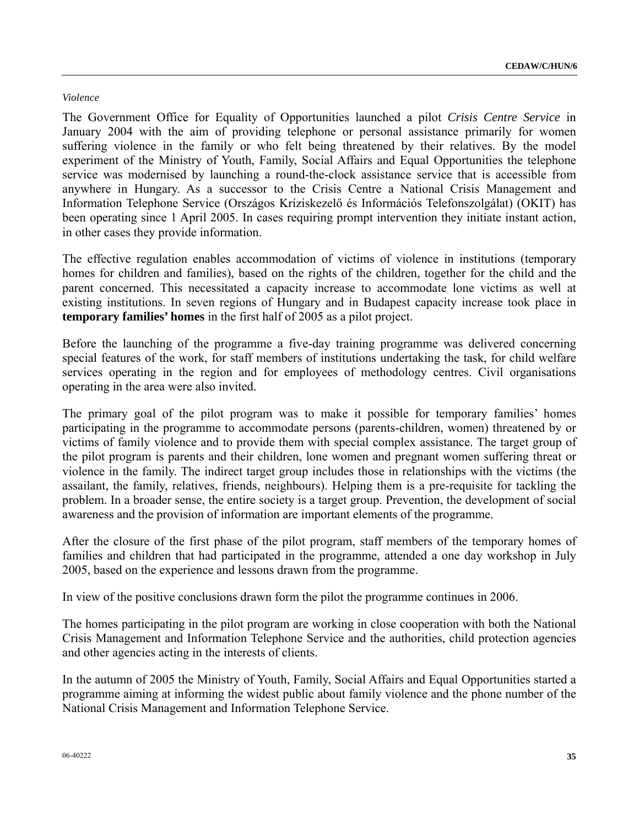#### *Violence*

The Government Office for Equality of Opportunities launched a pilot *Crisis Centre Service* in January 2004 with the aim of providing telephone or personal assistance primarily for women suffering violence in the family or who felt being threatened by their relatives. By the model experiment of the Ministry of Youth, Family, Social Affairs and Equal Opportunities the telephone service was modernised by launching a round-the-clock assistance service that is accessible from anywhere in Hungary. As a successor to the Crisis Centre a National Crisis Management and Information Telephone Service (Országos Kríziskezelő és Információs Telefonszolgálat) (OKIT) has been operating since 1 April 2005. In cases requiring prompt intervention they initiate instant action, in other cases they provide information.

The effective regulation enables accommodation of victims of violence in institutions (temporary homes for children and families), based on the rights of the children, together for the child and the parent concerned. This necessitated a capacity increase to accommodate lone victims as well at existing institutions. In seven regions of Hungary and in Budapest capacity increase took place in **temporary families' homes** in the first half of 2005 as a pilot project.

Before the launching of the programme a five-day training programme was delivered concerning special features of the work, for staff members of institutions undertaking the task, for child welfare services operating in the region and for employees of methodology centres. Civil organisations operating in the area were also invited.

The primary goal of the pilot program was to make it possible for temporary families' homes participating in the programme to accommodate persons (parents-children, women) threatened by or victims of family violence and to provide them with special complex assistance. The target group of the pilot program is parents and their children, lone women and pregnant women suffering threat or violence in the family. The indirect target group includes those in relationships with the victims (the assailant, the family, relatives, friends, neighbours). Helping them is a pre-requisite for tackling the problem. In a broader sense, the entire society is a target group. Prevention, the development of social awareness and the provision of information are important elements of the programme.

After the closure of the first phase of the pilot program, staff members of the temporary homes of families and children that had participated in the programme, attended a one day workshop in July 2005, based on the experience and lessons drawn from the programme.

In view of the positive conclusions drawn form the pilot the programme continues in 2006.

The homes participating in the pilot program are working in close cooperation with both the National Crisis Management and Information Telephone Service and the authorities, child protection agencies and other agencies acting in the interests of clients.

In the autumn of 2005 the Ministry of Youth, Family, Social Affairs and Equal Opportunities started a programme aiming at informing the widest public about family violence and the phone number of the National Crisis Management and Information Telephone Service.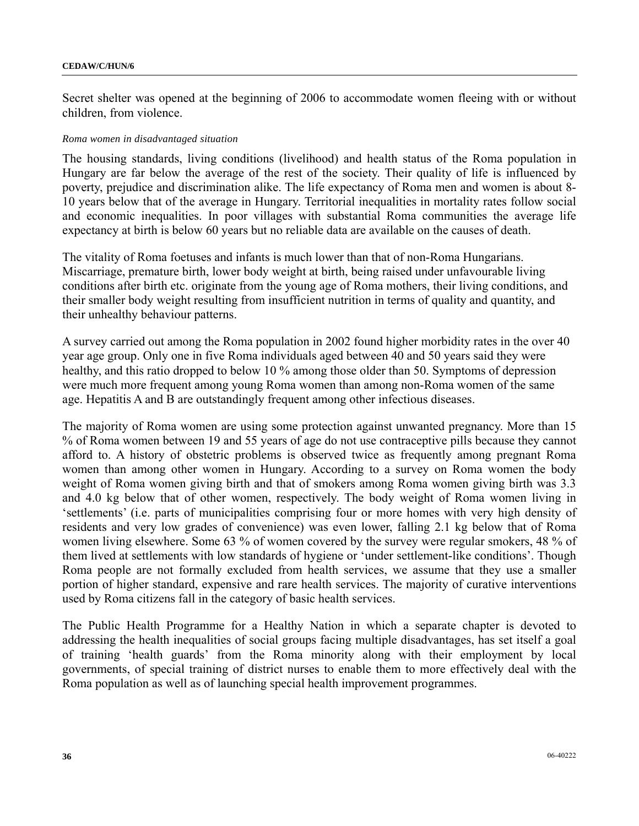Secret shelter was opened at the beginning of 2006 to accommodate women fleeing with or without children, from violence.

#### *Roma women in disadvantaged situation*

The housing standards, living conditions (livelihood) and health status of the Roma population in Hungary are far below the average of the rest of the society. Their quality of life is influenced by poverty, prejudice and discrimination alike. The life expectancy of Roma men and women is about 8- 10 years below that of the average in Hungary. Territorial inequalities in mortality rates follow social and economic inequalities. In poor villages with substantial Roma communities the average life expectancy at birth is below 60 years but no reliable data are available on the causes of death.

The vitality of Roma foetuses and infants is much lower than that of non-Roma Hungarians. Miscarriage, premature birth, lower body weight at birth, being raised under unfavourable living conditions after birth etc. originate from the young age of Roma mothers, their living conditions, and their smaller body weight resulting from insufficient nutrition in terms of quality and quantity, and their unhealthy behaviour patterns.

A survey carried out among the Roma population in 2002 found higher morbidity rates in the over 40 year age group. Only one in five Roma individuals aged between 40 and 50 years said they were healthy, and this ratio dropped to below 10 % among those older than 50. Symptoms of depression were much more frequent among young Roma women than among non-Roma women of the same age. Hepatitis A and B are outstandingly frequent among other infectious diseases.

The majority of Roma women are using some protection against unwanted pregnancy. More than 15 % of Roma women between 19 and 55 years of age do not use contraceptive pills because they cannot afford to. A history of obstetric problems is observed twice as frequently among pregnant Roma women than among other women in Hungary. According to a survey on Roma women the body weight of Roma women giving birth and that of smokers among Roma women giving birth was 3.3 and 4.0 kg below that of other women, respectively. The body weight of Roma women living in 'settlements' (i.e. parts of municipalities comprising four or more homes with very high density of residents and very low grades of convenience) was even lower, falling 2.1 kg below that of Roma women living elsewhere. Some 63 % of women covered by the survey were regular smokers, 48 % of them lived at settlements with low standards of hygiene or 'under settlement-like conditions'. Though Roma people are not formally excluded from health services, we assume that they use a smaller portion of higher standard, expensive and rare health services. The majority of curative interventions used by Roma citizens fall in the category of basic health services.

The Public Health Programme for a Healthy Nation in which a separate chapter is devoted to addressing the health inequalities of social groups facing multiple disadvantages, has set itself a goal of training 'health guards' from the Roma minority along with their employment by local governments, of special training of district nurses to enable them to more effectively deal with the Roma population as well as of launching special health improvement programmes.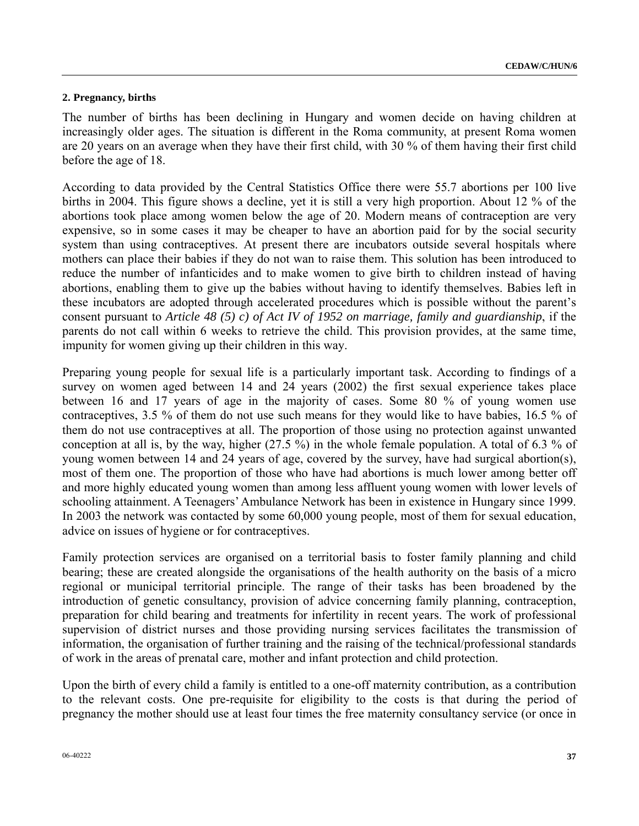#### **2. Pregnancy, births**

The number of births has been declining in Hungary and women decide on having children at increasingly older ages. The situation is different in the Roma community, at present Roma women are 20 years on an average when they have their first child, with 30 % of them having their first child before the age of 18.

According to data provided by the Central Statistics Office there were 55.7 abortions per 100 live births in 2004. This figure shows a decline, yet it is still a very high proportion. About 12 % of the abortions took place among women below the age of 20. Modern means of contraception are very expensive, so in some cases it may be cheaper to have an abortion paid for by the social security system than using contraceptives. At present there are incubators outside several hospitals where mothers can place their babies if they do not wan to raise them. This solution has been introduced to reduce the number of infanticides and to make women to give birth to children instead of having abortions, enabling them to give up the babies without having to identify themselves. Babies left in these incubators are adopted through accelerated procedures which is possible without the parent's consent pursuant to *Article 48 (5) c) of Act IV of 1952 on marriage, family and guardianship*, if the parents do not call within 6 weeks to retrieve the child. This provision provides, at the same time, impunity for women giving up their children in this way.

Preparing young people for sexual life is a particularly important task. According to findings of a survey on women aged between 14 and 24 years (2002) the first sexual experience takes place between 16 and 17 years of age in the majority of cases. Some 80 % of young women use contraceptives, 3.5 % of them do not use such means for they would like to have babies, 16.5 % of them do not use contraceptives at all. The proportion of those using no protection against unwanted conception at all is, by the way, higher (27.5 %) in the whole female population. A total of 6.3 % of young women between 14 and 24 years of age, covered by the survey, have had surgical abortion(s), most of them one. The proportion of those who have had abortions is much lower among better off and more highly educated young women than among less affluent young women with lower levels of schooling attainment. A Teenagers' Ambulance Network has been in existence in Hungary since 1999. In 2003 the network was contacted by some 60,000 young people, most of them for sexual education, advice on issues of hygiene or for contraceptives.

Family protection services are organised on a territorial basis to foster family planning and child bearing; these are created alongside the organisations of the health authority on the basis of a micro regional or municipal territorial principle. The range of their tasks has been broadened by the introduction of genetic consultancy, provision of advice concerning family planning, contraception, preparation for child bearing and treatments for infertility in recent years. The work of professional supervision of district nurses and those providing nursing services facilitates the transmission of information, the organisation of further training and the raising of the technical/professional standards of work in the areas of prenatal care, mother and infant protection and child protection.

Upon the birth of every child a family is entitled to a one-off maternity contribution, as a contribution to the relevant costs. One pre-requisite for eligibility to the costs is that during the period of pregnancy the mother should use at least four times the free maternity consultancy service (or once in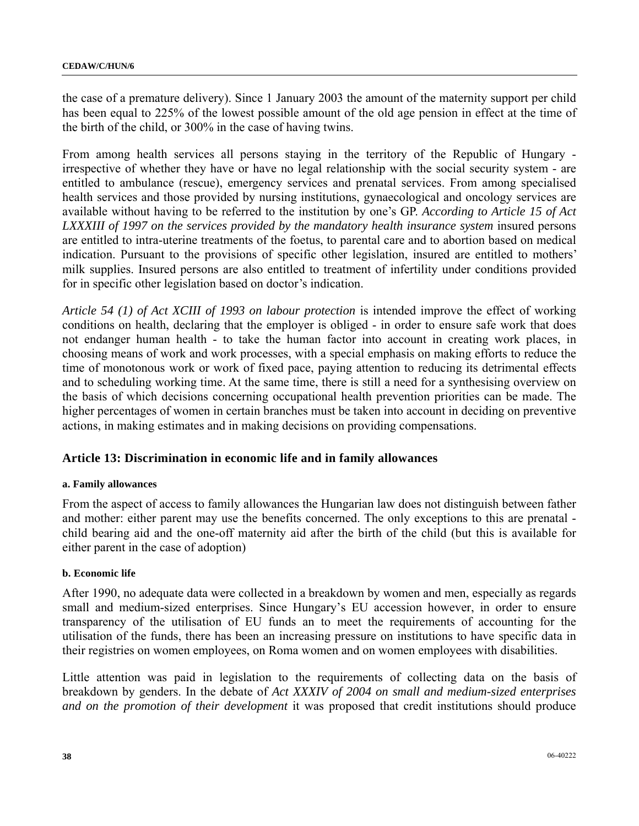the case of a premature delivery). Since 1 January 2003 the amount of the maternity support per child has been equal to 225% of the lowest possible amount of the old age pension in effect at the time of the birth of the child, or 300% in the case of having twins.

From among health services all persons staying in the territory of the Republic of Hungary irrespective of whether they have or have no legal relationship with the social security system - are entitled to ambulance (rescue), emergency services and prenatal services. From among specialised health services and those provided by nursing institutions, gynaecological and oncology services are available without having to be referred to the institution by one's GP. *According to Article 15 of Act*  LXXXIII of 1997 on the services provided by the mandatory health insurance system insured persons are entitled to intra-uterine treatments of the foetus, to parental care and to abortion based on medical indication. Pursuant to the provisions of specific other legislation, insured are entitled to mothers' milk supplies. Insured persons are also entitled to treatment of infertility under conditions provided for in specific other legislation based on doctor's indication.

*Article 54 (1) of Act XCIII of 1993 on labour protection* is intended improve the effect of working conditions on health, declaring that the employer is obliged - in order to ensure safe work that does not endanger human health - to take the human factor into account in creating work places, in choosing means of work and work processes, with a special emphasis on making efforts to reduce the time of monotonous work or work of fixed pace, paying attention to reducing its detrimental effects and to scheduling working time. At the same time, there is still a need for a synthesising overview on the basis of which decisions concerning occupational health prevention priorities can be made. The higher percentages of women in certain branches must be taken into account in deciding on preventive actions, in making estimates and in making decisions on providing compensations.

## **Article 13: Discrimination in economic life and in family allowances**

### **a. Family allowances**

From the aspect of access to family allowances the Hungarian law does not distinguish between father and mother: either parent may use the benefits concerned. The only exceptions to this are prenatal child bearing aid and the one-off maternity aid after the birth of the child (but this is available for either parent in the case of adoption)

### **b. Economic life**

After 1990, no adequate data were collected in a breakdown by women and men, especially as regards small and medium-sized enterprises. Since Hungary's EU accession however, in order to ensure transparency of the utilisation of EU funds an to meet the requirements of accounting for the utilisation of the funds, there has been an increasing pressure on institutions to have specific data in their registries on women employees, on Roma women and on women employees with disabilities.

Little attention was paid in legislation to the requirements of collecting data on the basis of breakdown by genders. In the debate of *Act XXXIV of 2004 on small and medium-sized enterprises and on the promotion of their development* it was proposed that credit institutions should produce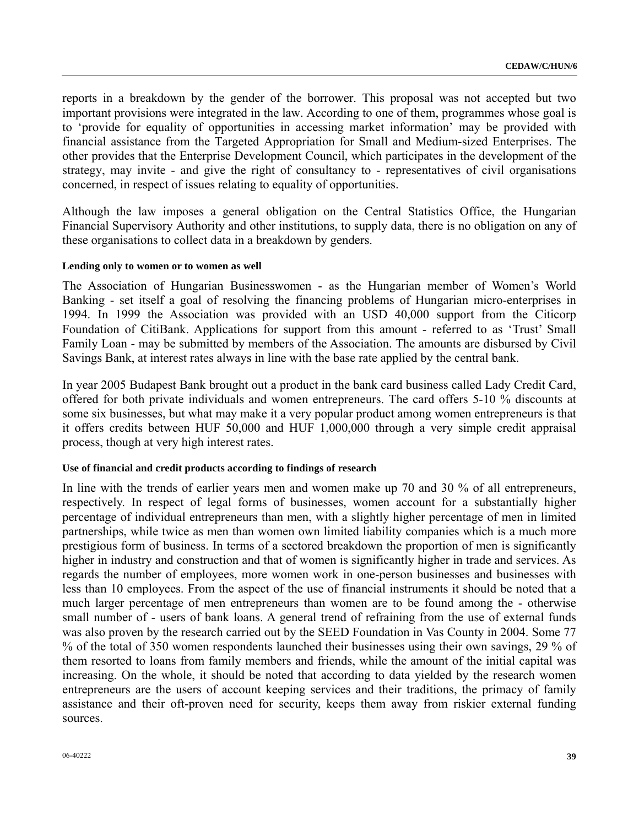reports in a breakdown by the gender of the borrower. This proposal was not accepted but two important provisions were integrated in the law. According to one of them, programmes whose goal is to 'provide for equality of opportunities in accessing market information' may be provided with financial assistance from the Targeted Appropriation for Small and Medium-sized Enterprises. The other provides that the Enterprise Development Council, which participates in the development of the strategy, may invite - and give the right of consultancy to - representatives of civil organisations concerned, in respect of issues relating to equality of opportunities.

Although the law imposes a general obligation on the Central Statistics Office, the Hungarian Financial Supervisory Authority and other institutions, to supply data, there is no obligation on any of these organisations to collect data in a breakdown by genders.

#### **Lending only to women or to women as well**

The Association of Hungarian Businesswomen - as the Hungarian member of Women's World Banking - set itself a goal of resolving the financing problems of Hungarian micro-enterprises in 1994. In 1999 the Association was provided with an USD 40,000 support from the Citicorp Foundation of CitiBank. Applications for support from this amount - referred to as 'Trust' Small Family Loan - may be submitted by members of the Association. The amounts are disbursed by Civil Savings Bank, at interest rates always in line with the base rate applied by the central bank.

In year 2005 Budapest Bank brought out a product in the bank card business called Lady Credit Card, offered for both private individuals and women entrepreneurs. The card offers 5-10 % discounts at some six businesses, but what may make it a very popular product among women entrepreneurs is that it offers credits between HUF 50,000 and HUF 1,000,000 through a very simple credit appraisal process, though at very high interest rates.

#### **Use of financial and credit products according to findings of research**

In line with the trends of earlier years men and women make up 70 and 30 % of all entrepreneurs, respectively. In respect of legal forms of businesses, women account for a substantially higher percentage of individual entrepreneurs than men, with a slightly higher percentage of men in limited partnerships, while twice as men than women own limited liability companies which is a much more prestigious form of business. In terms of a sectored breakdown the proportion of men is significantly higher in industry and construction and that of women is significantly higher in trade and services. As regards the number of employees, more women work in one-person businesses and businesses with less than 10 employees. From the aspect of the use of financial instruments it should be noted that a much larger percentage of men entrepreneurs than women are to be found among the - otherwise small number of - users of bank loans. A general trend of refraining from the use of external funds was also proven by the research carried out by the SEED Foundation in Vas County in 2004. Some 77 % of the total of 350 women respondents launched their businesses using their own savings, 29 % of them resorted to loans from family members and friends, while the amount of the initial capital was increasing. On the whole, it should be noted that according to data yielded by the research women entrepreneurs are the users of account keeping services and their traditions, the primacy of family assistance and their oft-proven need for security, keeps them away from riskier external funding sources.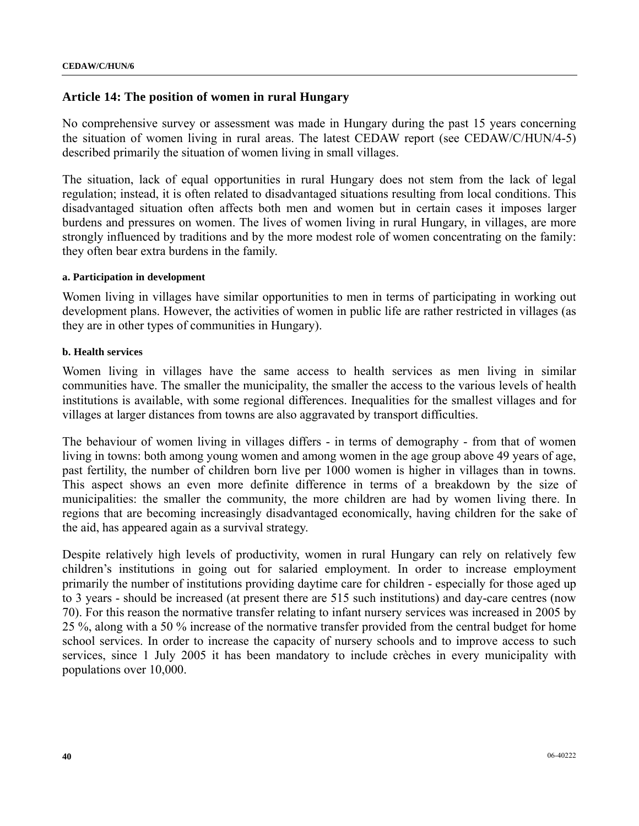## **Article 14: The position of women in rural Hungary**

No comprehensive survey or assessment was made in Hungary during the past 15 years concerning the situation of women living in rural areas. The latest CEDAW report (see CEDAW/C/HUN/4-5) described primarily the situation of women living in small villages.

The situation, lack of equal opportunities in rural Hungary does not stem from the lack of legal regulation; instead, it is often related to disadvantaged situations resulting from local conditions. This disadvantaged situation often affects both men and women but in certain cases it imposes larger burdens and pressures on women. The lives of women living in rural Hungary, in villages, are more strongly influenced by traditions and by the more modest role of women concentrating on the family: they often bear extra burdens in the family.

#### **a. Participation in development**

Women living in villages have similar opportunities to men in terms of participating in working out development plans. However, the activities of women in public life are rather restricted in villages (as they are in other types of communities in Hungary).

#### **b. Health services**

Women living in villages have the same access to health services as men living in similar communities have. The smaller the municipality, the smaller the access to the various levels of health institutions is available, with some regional differences. Inequalities for the smallest villages and for villages at larger distances from towns are also aggravated by transport difficulties.

The behaviour of women living in villages differs - in terms of demography - from that of women living in towns: both among young women and among women in the age group above 49 years of age, past fertility, the number of children born live per 1000 women is higher in villages than in towns. This aspect shows an even more definite difference in terms of a breakdown by the size of municipalities: the smaller the community, the more children are had by women living there. In regions that are becoming increasingly disadvantaged economically, having children for the sake of the aid, has appeared again as a survival strategy.

Despite relatively high levels of productivity, women in rural Hungary can rely on relatively few children's institutions in going out for salaried employment. In order to increase employment primarily the number of institutions providing daytime care for children - especially for those aged up to 3 years - should be increased (at present there are 515 such institutions) and day-care centres (now 70). For this reason the normative transfer relating to infant nursery services was increased in 2005 by 25 %, along with a 50 % increase of the normative transfer provided from the central budget for home school services. In order to increase the capacity of nursery schools and to improve access to such services, since 1 July 2005 it has been mandatory to include crèches in every municipality with populations over 10,000.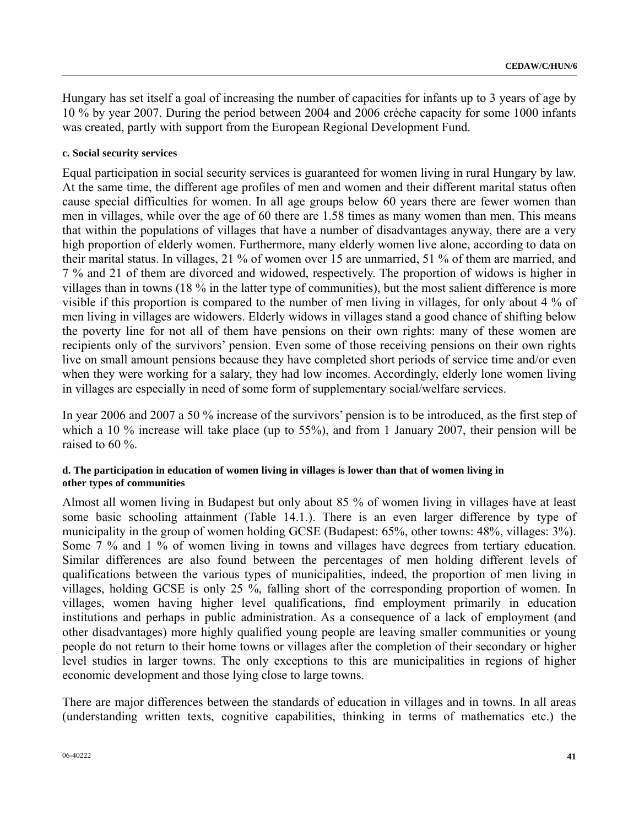Hungary has set itself a goal of increasing the number of capacities for infants up to 3 years of age by 10 % by year 2007. During the period between 2004 and 2006 créche capacity for some 1000 infants was created, partly with support from the European Regional Development Fund.

#### **c. Social security services**

Equal participation in social security services is guaranteed for women living in rural Hungary by law. At the same time, the different age profiles of men and women and their different marital status often cause special difficulties for women. In all age groups below 60 years there are fewer women than men in villages, while over the age of 60 there are 1.58 times as many women than men. This means that within the populations of villages that have a number of disadvantages anyway, there are a very high proportion of elderly women. Furthermore, many elderly women live alone, according to data on their marital status. In villages, 21 % of women over 15 are unmarried, 51 % of them are married, and 7 % and 21 of them are divorced and widowed, respectively. The proportion of widows is higher in villages than in towns (18 % in the latter type of communities), but the most salient difference is more visible if this proportion is compared to the number of men living in villages, for only about 4 % of men living in villages are widowers. Elderly widows in villages stand a good chance of shifting below the poverty line for not all of them have pensions on their own rights: many of these women are recipients only of the survivors' pension. Even some of those receiving pensions on their own rights live on small amount pensions because they have completed short periods of service time and/or even when they were working for a salary, they had low incomes. Accordingly, elderly lone women living in villages are especially in need of some form of supplementary social/welfare services.

In year 2006 and 2007 a 50 % increase of the survivors' pension is to be introduced, as the first step of which a 10 % increase will take place (up to 55%), and from 1 January 2007, their pension will be raised to 60 %.

#### **d. The participation in education of women living in villages is lower than that of women living in other types of communities**

Almost all women living in Budapest but only about 85 % of women living in villages have at least some basic schooling attainment (Table 14.1.). There is an even larger difference by type of municipality in the group of women holding GCSE (Budapest: 65%, other towns: 48%, villages: 3%). Some 7 % and 1 % of women living in towns and villages have degrees from tertiary education. Similar differences are also found between the percentages of men holding different levels of qualifications between the various types of municipalities, indeed, the proportion of men living in villages, holding GCSE is only 25 %, falling short of the corresponding proportion of women. In villages, women having higher level qualifications, find employment primarily in education institutions and perhaps in public administration. As a consequence of a lack of employment (and other disadvantages) more highly qualified young people are leaving smaller communities or young people do not return to their home towns or villages after the completion of their secondary or higher level studies in larger towns. The only exceptions to this are municipalities in regions of higher economic development and those lying close to large towns.

There are major differences between the standards of education in villages and in towns. In all areas (understanding written texts, cognitive capabilities, thinking in terms of mathematics etc.) the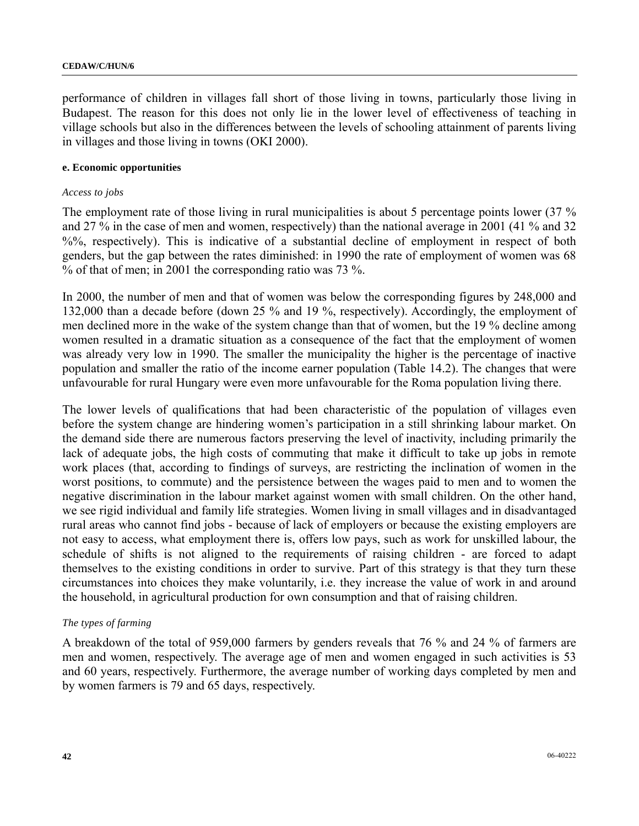performance of children in villages fall short of those living in towns, particularly those living in Budapest. The reason for this does not only lie in the lower level of effectiveness of teaching in village schools but also in the differences between the levels of schooling attainment of parents living in villages and those living in towns (OKI 2000).

#### **e. Economic opportunities**

#### *Access to jobs*

The employment rate of those living in rural municipalities is about 5 percentage points lower (37 %) and 27 % in the case of men and women, respectively) than the national average in 2001 (41 % and 32 %%, respectively). This is indicative of a substantial decline of employment in respect of both genders, but the gap between the rates diminished: in 1990 the rate of employment of women was 68 % of that of men; in 2001 the corresponding ratio was 73 %.

In 2000, the number of men and that of women was below the corresponding figures by 248,000 and 132,000 than a decade before (down 25 % and 19 %, respectively). Accordingly, the employment of men declined more in the wake of the system change than that of women, but the 19 % decline among women resulted in a dramatic situation as a consequence of the fact that the employment of women was already very low in 1990. The smaller the municipality the higher is the percentage of inactive population and smaller the ratio of the income earner population (Table 14.2). The changes that were unfavourable for rural Hungary were even more unfavourable for the Roma population living there.

The lower levels of qualifications that had been characteristic of the population of villages even before the system change are hindering women's participation in a still shrinking labour market. On the demand side there are numerous factors preserving the level of inactivity, including primarily the lack of adequate jobs, the high costs of commuting that make it difficult to take up jobs in remote work places (that, according to findings of surveys, are restricting the inclination of women in the worst positions, to commute) and the persistence between the wages paid to men and to women the negative discrimination in the labour market against women with small children. On the other hand, we see rigid individual and family life strategies. Women living in small villages and in disadvantaged rural areas who cannot find jobs - because of lack of employers or because the existing employers are not easy to access, what employment there is, offers low pays, such as work for unskilled labour, the schedule of shifts is not aligned to the requirements of raising children - are forced to adapt themselves to the existing conditions in order to survive. Part of this strategy is that they turn these circumstances into choices they make voluntarily, i.e. they increase the value of work in and around the household, in agricultural production for own consumption and that of raising children.

#### *The types of farming*

A breakdown of the total of 959,000 farmers by genders reveals that 76 % and 24 % of farmers are men and women, respectively. The average age of men and women engaged in such activities is 53 and 60 years, respectively. Furthermore, the average number of working days completed by men and by women farmers is 79 and 65 days, respectively.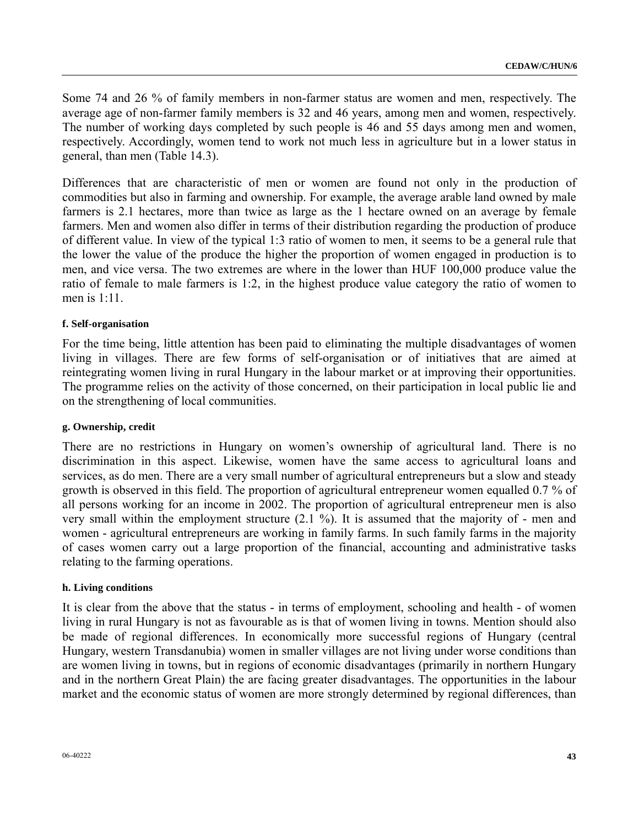Some 74 and 26 % of family members in non-farmer status are women and men, respectively. The average age of non-farmer family members is 32 and 46 years, among men and women, respectively. The number of working days completed by such people is 46 and 55 days among men and women, respectively. Accordingly, women tend to work not much less in agriculture but in a lower status in general, than men (Table 14.3).

Differences that are characteristic of men or women are found not only in the production of commodities but also in farming and ownership. For example, the average arable land owned by male farmers is 2.1 hectares, more than twice as large as the 1 hectare owned on an average by female farmers. Men and women also differ in terms of their distribution regarding the production of produce of different value. In view of the typical 1:3 ratio of women to men, it seems to be a general rule that the lower the value of the produce the higher the proportion of women engaged in production is to men, and vice versa. The two extremes are where in the lower than HUF 100,000 produce value the ratio of female to male farmers is 1:2, in the highest produce value category the ratio of women to men is 1:11.

#### **f. Self-organisation**

For the time being, little attention has been paid to eliminating the multiple disadvantages of women living in villages. There are few forms of self-organisation or of initiatives that are aimed at reintegrating women living in rural Hungary in the labour market or at improving their opportunities. The programme relies on the activity of those concerned, on their participation in local public lie and on the strengthening of local communities.

#### **g. Ownership, credit**

There are no restrictions in Hungary on women's ownership of agricultural land. There is no discrimination in this aspect. Likewise, women have the same access to agricultural loans and services, as do men. There are a very small number of agricultural entrepreneurs but a slow and steady growth is observed in this field. The proportion of agricultural entrepreneur women equalled 0.7 % of all persons working for an income in 2002. The proportion of agricultural entrepreneur men is also very small within the employment structure (2.1 %). It is assumed that the majority of - men and women - agricultural entrepreneurs are working in family farms. In such family farms in the majority of cases women carry out a large proportion of the financial, accounting and administrative tasks relating to the farming operations.

#### **h. Living conditions**

It is clear from the above that the status - in terms of employment, schooling and health - of women living in rural Hungary is not as favourable as is that of women living in towns. Mention should also be made of regional differences. In economically more successful regions of Hungary (central Hungary, western Transdanubia) women in smaller villages are not living under worse conditions than are women living in towns, but in regions of economic disadvantages (primarily in northern Hungary and in the northern Great Plain) the are facing greater disadvantages. The opportunities in the labour market and the economic status of women are more strongly determined by regional differences, than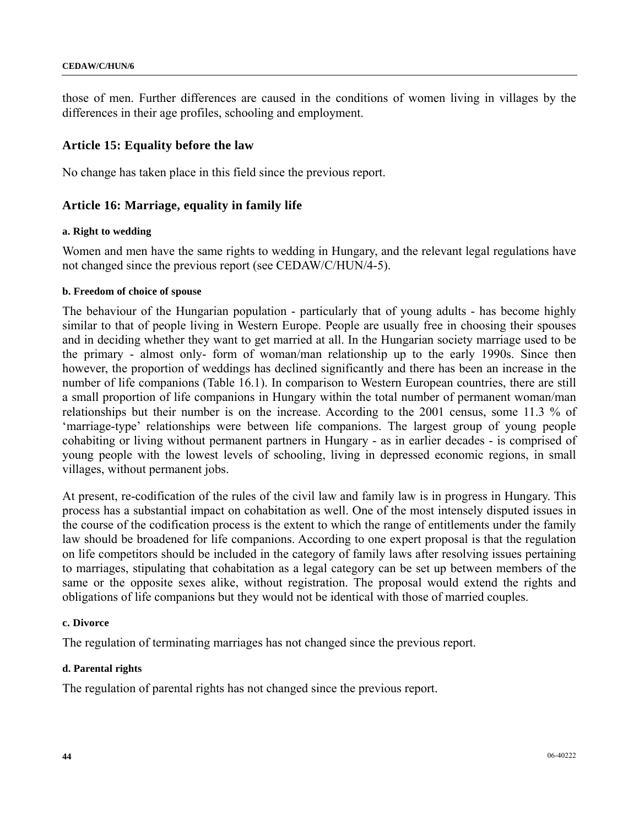those of men. Further differences are caused in the conditions of women living in villages by the differences in their age profiles, schooling and employment.

## **Article 15: Equality before the law**

No change has taken place in this field since the previous report.

## **Article 16: Marriage, equality in family life**

#### **a. Right to wedding**

Women and men have the same rights to wedding in Hungary, and the relevant legal regulations have not changed since the previous report (see CEDAW/C/HUN/4-5).

#### **b. Freedom of choice of spouse**

The behaviour of the Hungarian population - particularly that of young adults - has become highly similar to that of people living in Western Europe. People are usually free in choosing their spouses and in deciding whether they want to get married at all. In the Hungarian society marriage used to be the primary - almost only- form of woman/man relationship up to the early 1990s. Since then however, the proportion of weddings has declined significantly and there has been an increase in the number of life companions (Table 16.1). In comparison to Western European countries, there are still a small proportion of life companions in Hungary within the total number of permanent woman/man relationships but their number is on the increase. According to the 2001 census, some 11.3 % of 'marriage-type' relationships were between life companions. The largest group of young people cohabiting or living without permanent partners in Hungary - as in earlier decades - is comprised of young people with the lowest levels of schooling, living in depressed economic regions, in small villages, without permanent jobs.

At present, re-codification of the rules of the civil law and family law is in progress in Hungary. This process has a substantial impact on cohabitation as well. One of the most intensely disputed issues in the course of the codification process is the extent to which the range of entitlements under the family law should be broadened for life companions. According to one expert proposal is that the regulation on life competitors should be included in the category of family laws after resolving issues pertaining to marriages, stipulating that cohabitation as a legal category can be set up between members of the same or the opposite sexes alike, without registration. The proposal would extend the rights and obligations of life companions but they would not be identical with those of married couples.

#### **c. Divorce**

The regulation of terminating marriages has not changed since the previous report.

### **d. Parental rights**

The regulation of parental rights has not changed since the previous report.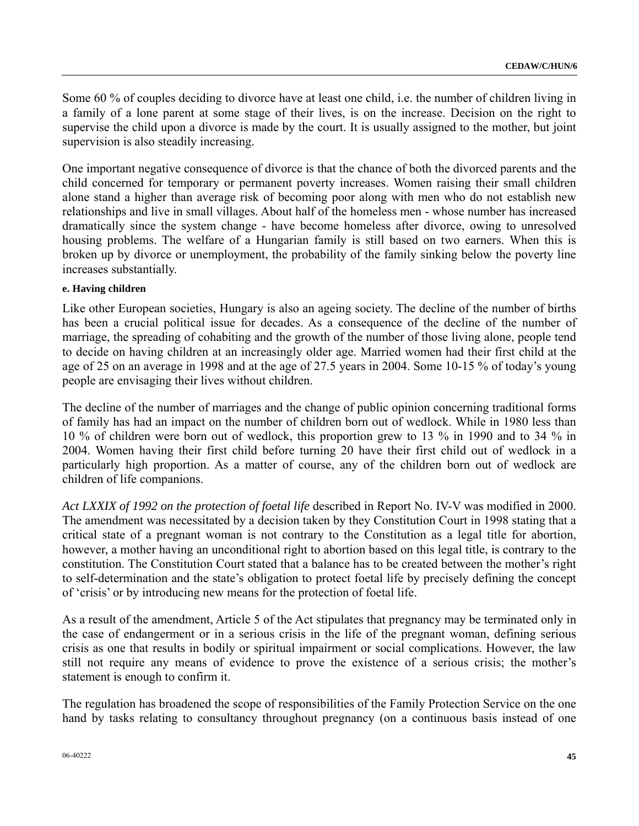Some 60 % of couples deciding to divorce have at least one child, i.e. the number of children living in a family of a lone parent at some stage of their lives, is on the increase. Decision on the right to supervise the child upon a divorce is made by the court. It is usually assigned to the mother, but joint supervision is also steadily increasing.

One important negative consequence of divorce is that the chance of both the divorced parents and the child concerned for temporary or permanent poverty increases. Women raising their small children alone stand a higher than average risk of becoming poor along with men who do not establish new relationships and live in small villages. About half of the homeless men - whose number has increased dramatically since the system change - have become homeless after divorce, owing to unresolved housing problems. The welfare of a Hungarian family is still based on two earners. When this is broken up by divorce or unemployment, the probability of the family sinking below the poverty line increases substantially.

#### **e. Having children**

Like other European societies, Hungary is also an ageing society. The decline of the number of births has been a crucial political issue for decades. As a consequence of the decline of the number of marriage, the spreading of cohabiting and the growth of the number of those living alone, people tend to decide on having children at an increasingly older age. Married women had their first child at the age of 25 on an average in 1998 and at the age of 27.5 years in 2004. Some 10-15 % of today's young people are envisaging their lives without children.

The decline of the number of marriages and the change of public opinion concerning traditional forms of family has had an impact on the number of children born out of wedlock. While in 1980 less than 10 % of children were born out of wedlock, this proportion grew to 13 % in 1990 and to 34 % in 2004. Women having their first child before turning 20 have their first child out of wedlock in a particularly high proportion. As a matter of course, any of the children born out of wedlock are children of life companions.

*Act LXXIX of 1992 on the protection of foetal life* described in Report No. IV-V was modified in 2000. The amendment was necessitated by a decision taken by they Constitution Court in 1998 stating that a critical state of a pregnant woman is not contrary to the Constitution as a legal title for abortion, however, a mother having an unconditional right to abortion based on this legal title, is contrary to the constitution. The Constitution Court stated that a balance has to be created between the mother's right to self-determination and the state's obligation to protect foetal life by precisely defining the concept of 'crisis' or by introducing new means for the protection of foetal life.

As a result of the amendment, Article 5 of the Act stipulates that pregnancy may be terminated only in the case of endangerment or in a serious crisis in the life of the pregnant woman, defining serious crisis as one that results in bodily or spiritual impairment or social complications. However, the law still not require any means of evidence to prove the existence of a serious crisis; the mother's statement is enough to confirm it.

The regulation has broadened the scope of responsibilities of the Family Protection Service on the one hand by tasks relating to consultancy throughout pregnancy (on a continuous basis instead of one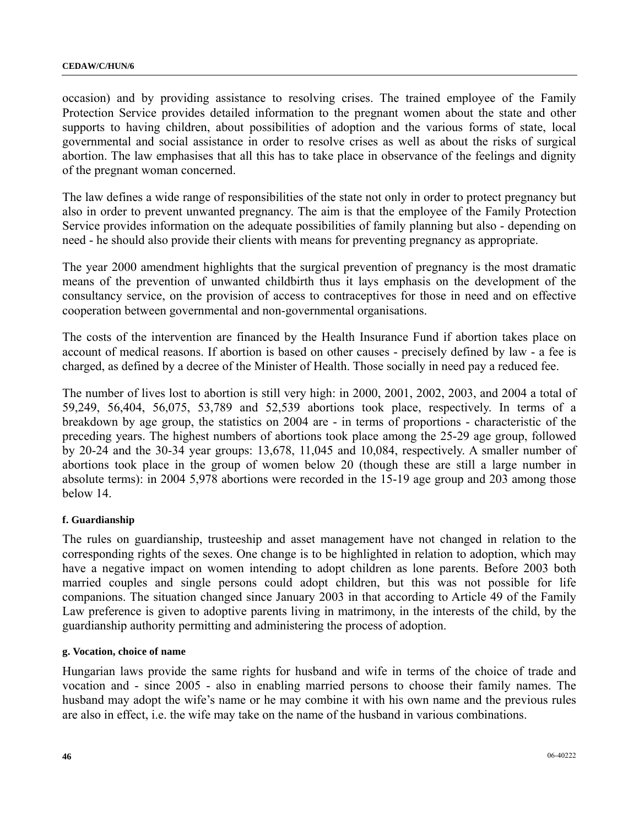occasion) and by providing assistance to resolving crises. The trained employee of the Family Protection Service provides detailed information to the pregnant women about the state and other supports to having children, about possibilities of adoption and the various forms of state, local governmental and social assistance in order to resolve crises as well as about the risks of surgical abortion. The law emphasises that all this has to take place in observance of the feelings and dignity of the pregnant woman concerned.

The law defines a wide range of responsibilities of the state not only in order to protect pregnancy but also in order to prevent unwanted pregnancy. The aim is that the employee of the Family Protection Service provides information on the adequate possibilities of family planning but also - depending on need - he should also provide their clients with means for preventing pregnancy as appropriate.

The year 2000 amendment highlights that the surgical prevention of pregnancy is the most dramatic means of the prevention of unwanted childbirth thus it lays emphasis on the development of the consultancy service, on the provision of access to contraceptives for those in need and on effective cooperation between governmental and non-governmental organisations.

The costs of the intervention are financed by the Health Insurance Fund if abortion takes place on account of medical reasons. If abortion is based on other causes - precisely defined by law - a fee is charged, as defined by a decree of the Minister of Health. Those socially in need pay a reduced fee.

The number of lives lost to abortion is still very high: in 2000, 2001, 2002, 2003, and 2004 a total of 59,249, 56,404, 56,075, 53,789 and 52,539 abortions took place, respectively. In terms of a breakdown by age group, the statistics on 2004 are - in terms of proportions - characteristic of the preceding years. The highest numbers of abortions took place among the 25-29 age group, followed by 20-24 and the 30-34 year groups: 13,678, 11,045 and 10,084, respectively. A smaller number of abortions took place in the group of women below 20 (though these are still a large number in absolute terms): in 2004 5,978 abortions were recorded in the 15-19 age group and 203 among those below 14.

### **f. Guardianship**

The rules on guardianship, trusteeship and asset management have not changed in relation to the corresponding rights of the sexes. One change is to be highlighted in relation to adoption, which may have a negative impact on women intending to adopt children as lone parents. Before 2003 both married couples and single persons could adopt children, but this was not possible for life companions. The situation changed since January 2003 in that according to Article 49 of the Family Law preference is given to adoptive parents living in matrimony, in the interests of the child, by the guardianship authority permitting and administering the process of adoption.

### **g. Vocation, choice of name**

Hungarian laws provide the same rights for husband and wife in terms of the choice of trade and vocation and - since 2005 - also in enabling married persons to choose their family names. The husband may adopt the wife's name or he may combine it with his own name and the previous rules are also in effect, i.e. the wife may take on the name of the husband in various combinations.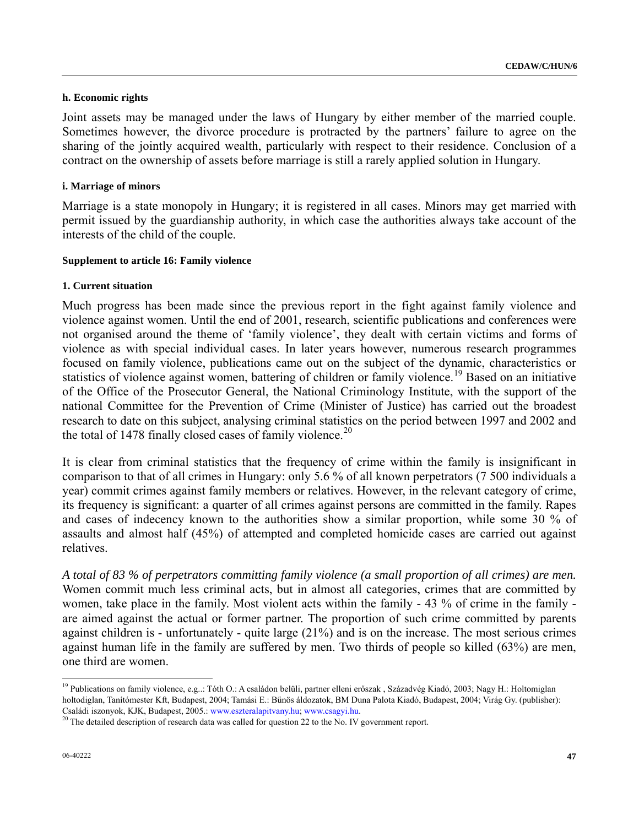#### **h. Economic rights**

Joint assets may be managed under the laws of Hungary by either member of the married couple. Sometimes however, the divorce procedure is protracted by the partners' failure to agree on the sharing of the jointly acquired wealth, particularly with respect to their residence. Conclusion of a contract on the ownership of assets before marriage is still a rarely applied solution in Hungary.

#### **i. Marriage of minors**

Marriage is a state monopoly in Hungary; it is registered in all cases. Minors may get married with permit issued by the guardianship authority, in which case the authorities always take account of the interests of the child of the couple.

#### **Supplement to article 16: Family violence**

#### **1. Current situation**

Much progress has been made since the previous report in the fight against family violence and violence against women. Until the end of 2001, research, scientific publications and conferences were not organised around the theme of 'family violence', they dealt with certain victims and forms of violence as with special individual cases. In later years however, numerous research programmes focused on family violence, publications came out on the subject of the dynamic, characteristics or statistics of violence against women, battering of children or family violence.<sup>[1](#page-46-0)9</sup> Based on an initiative of the Office of the Prosecutor General, the National Criminology Institute, with the support of the national Committee for the Prevention of Crime (Minister of Justice) has carried out the broadest research to date on this subject, analysing criminal statistics on the period between 1997 and 2002 and the total of 1478 finally closed cases of family violence.<sup>[2](#page-46-1)0</sup>

It is clear from criminal statistics that the frequency of crime within the family is insignificant in comparison to that of all crimes in Hungary: only 5.6 % of all known perpetrators (7 500 individuals a year) commit crimes against family members or relatives. However, in the relevant category of crime, its frequency is significant: a quarter of all crimes against persons are committed in the family. Rapes and cases of indecency known to the authorities show a similar proportion, while some 30 % of assaults and almost half (45%) of attempted and completed homicide cases are carried out against relatives.

*A total of 83 % of perpetrators committing family violence (a small proportion of all crimes) are men.*  Women commit much less criminal acts, but in almost all categories, crimes that are committed by women, take place in the family. Most violent acts within the family - 43 % of crime in the family are aimed against the actual or former partner. The proportion of such crime committed by parents against children is - unfortunately - quite large (21%) and is on the increase. The most serious crimes against human life in the family are suffered by men. Two thirds of people so killed (63%) are men, one third are women.

 $\overline{a}$ 

<span id="page-46-0"></span><sup>&</sup>lt;sup>19</sup> Publications on family violence, e.g..: Tóth O.: A családon belüli, partner elleni erőszak , Századvég Kiadó, 2003; Nagy H.: Holtomiglan holtodiglan, Tanítómester Kft, Budapest, 2004; Tamási E.: Bűnös áldozatok, BM Duna Palota Kiadó, Budapest, 2004; Virág Gy. (publisher): Családi iszonyok, KJK, Budapest, 2005.: www.eszteralapitvany.hu; www.csagyi.hu.<br><sup>20</sup> The detailed description of research data was called for question 22 to the No. IV government report.

<span id="page-46-1"></span>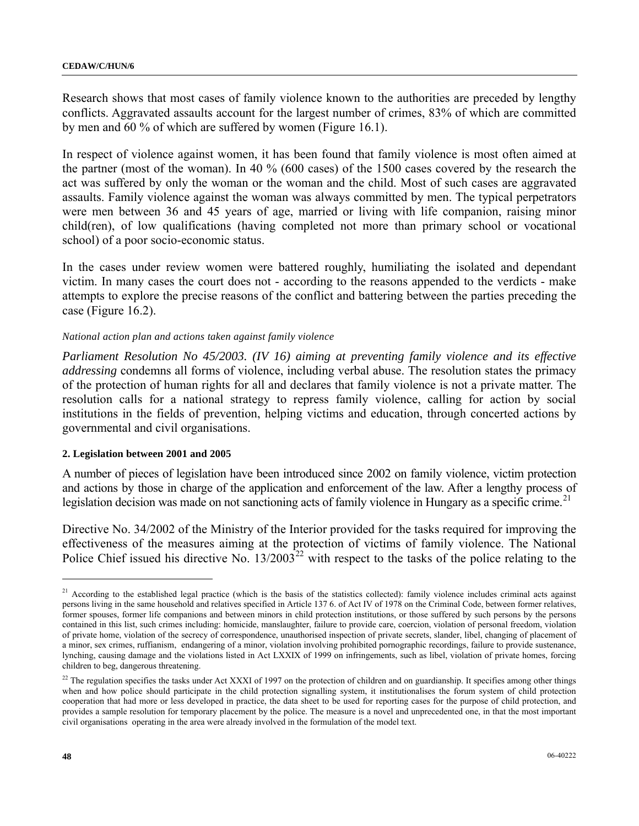Research shows that most cases of family violence known to the authorities are preceded by lengthy conflicts. Aggravated assaults account for the largest number of crimes, 83% of which are committed by men and 60 % of which are suffered by women (Figure 16.1).

In respect of violence against women, it has been found that family violence is most often aimed at the partner (most of the woman). In 40 % (600 cases) of the 1500 cases covered by the research the act was suffered by only the woman or the woman and the child. Most of such cases are aggravated assaults. Family violence against the woman was always committed by men. The typical perpetrators were men between 36 and 45 years of age, married or living with life companion, raising minor child(ren), of low qualifications (having completed not more than primary school or vocational school) of a poor socio-economic status.

In the cases under review women were battered roughly, humiliating the isolated and dependant victim. In many cases the court does not - according to the reasons appended to the verdicts - make attempts to explore the precise reasons of the conflict and battering between the parties preceding the case (Figure 16.2).

### *National action plan and actions taken against family violence*

*Parliament Resolution No 45/2003. (IV 16) aiming at preventing family violence and its effective addressing* condemns all forms of violence, including verbal abuse. The resolution states the primacy of the protection of human rights for all and declares that family violence is not a private matter. The resolution calls for a national strategy to repress family violence, calling for action by social institutions in the fields of prevention, helping victims and education, through concerted actions by governmental and civil organisations.

#### **2. Legislation between 2001 and 2005**

A number of pieces of legislation have been introduced since 2002 on family violence, victim protection and actions by those in charge of the application and enforcement of the law. After a lengthy process of legislation decision was made on not sanctioning acts of family violence in Hungary as a specific crime.<sup>[21](#page-47-0)</sup>

Directive No. 34/2002 of the Ministry of the Interior provided for the tasks required for improving the effectiveness of the measures aiming at the protection of victims of family violence. The National Police Chief issued his directive No.  $13/2003^{22}$  $13/2003^{22}$  $13/2003^{22}$  with respect to the tasks of the police relating to the

l

<span id="page-47-0"></span><sup>&</sup>lt;sup>21</sup> According to the established legal practice (which is the basis of the statistics collected): family violence includes criminal acts against persons living in the same household and relatives specified in Article 137 6. of Act IV of 1978 on the Criminal Code, between former relatives, former spouses, former life companions and between minors in child protection institutions, or those suffered by such persons by the persons contained in this list, such crimes including: homicide, manslaughter, failure to provide care, coercion, violation of personal freedom, violation of private home, violation of the secrecy of correspondence, unauthorised inspection of private secrets, slander, libel, changing of placement of a minor, sex crimes, ruffianism, endangering of a minor, violation involving prohibited pornographic recordings, failure to provide sustenance, lynching, causing damage and the violations listed in Act LXXIX of 1999 on infringements, such as libel, violation of private homes, forcing children to beg, dangerous threatening.

<span id="page-47-1"></span><sup>&</sup>lt;sup>22</sup> The regulation specifies the tasks under Act XXXI of 1997 on the protection of children and on guardianship. It specifies among other things when and how police should participate in the child protection signalling system, it institutionalises the forum system of child protection cooperation that had more or less developed in practice, the data sheet to be used for reporting cases for the purpose of child protection, and provides a sample resolution for temporary placement by the police. The measure is a novel and unprecedented one, in that the most important civil organisations operating in the area were already involved in the formulation of the model text.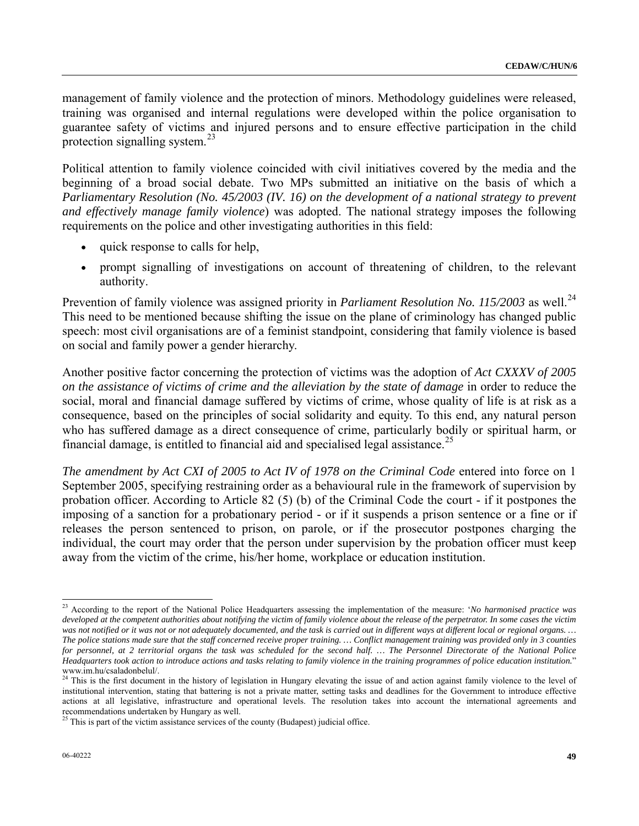management of family violence and the protection of minors. Methodology guidelines were released, training was organised and internal regulations were developed within the police organisation to guarantee safety of victims and injured persons and to ensure effective participation in the child protection signalling system. $^{23}$  $^{23}$  $^{23}$ 

Political attention to family violence coincided with civil initiatives covered by the media and the beginning of a broad social debate. Two MPs submitted an initiative on the basis of which a *Parliamentary Resolution (No. 45/2003 (IV. 16) on the development of a national strategy to prevent and effectively manage family violence*) was adopted. The national strategy imposes the following requirements on the police and other investigating authorities in this field:

- quick response to calls for help,
- prompt signalling of investigations on account of threatening of children, to the relevant authority.

Prevention of family violence was assigned priority in *Parliament Resolution No. 115/[2](#page-48-1)003* as well.<sup>24</sup> This need to be mentioned because shifting the issue on the plane of criminology has changed public speech: most civil organisations are of a feminist standpoint, considering that family violence is based on social and family power a gender hierarchy.

Another positive factor concerning the protection of victims was the adoption of *Act CXXXV of 2005 on the assistance of victims of crime and the alleviation by the state of damage* in order to reduce the social, moral and financial damage suffered by victims of crime, whose quality of life is at risk as a consequence, based on the principles of social solidarity and equity. To this end, any natural person who has suffered damage as a direct consequence of crime, particularly bodily or spiritual harm, or financial damage, is entitled to financial aid and specialised legal assistance.<sup>[25](#page-48-2)</sup>

*The amendment by Act CXI of 2005 to Act IV of 1978 on the Criminal Code entered into force on 1* September 2005, specifying restraining order as a behavioural rule in the framework of supervision by probation officer. According to Article 82 (5) (b) of the Criminal Code the court - if it postpones the imposing of a sanction for a probationary period - or if it suspends a prison sentence or a fine or if releases the person sentenced to prison, on parole, or if the prosecutor postpones charging the individual, the court may order that the person under supervision by the probation officer must keep away from the victim of the crime, his/her home, workplace or education institution.

l

<span id="page-48-0"></span><sup>23</sup> According to the report of the National Police Headquarters assessing the implementation of the measure: '*No harmonised practice was*  developed at the competent authorities about notifying the victim of family violence about the release of the perpetrator. In some cases the victim *was not notified or it was not or not adequately documented, and the task is carried out in different ways at different local or regional organs. … The police stations made sure that the staff concerned receive proper training. … Conflict management training was provided only in 3 counties for personnel, at 2 territorial organs the task was scheduled for the second half. … The Personnel Directorate of the National Police Headquarters took action to introduce actions and tasks relating to family violence in the training programmes of police education institution.*" www.im.hu/csaladonbelul/.

<span id="page-48-1"></span><sup>&</sup>lt;sup>24</sup> This is the first document in the history of legislation in Hungary elevating the issue of and action against family violence to the level of institutional intervention, stating that battering is not a private matter, setting tasks and deadlines for the Government to introduce effective actions at all legislative, infrastructure and operational levels. The resolution takes into account the international agreements and recommendations undertaken by Hungary as well.

<span id="page-48-2"></span> $^{25}$  This is part of the victim assistance services of the county (Budapest) judicial office.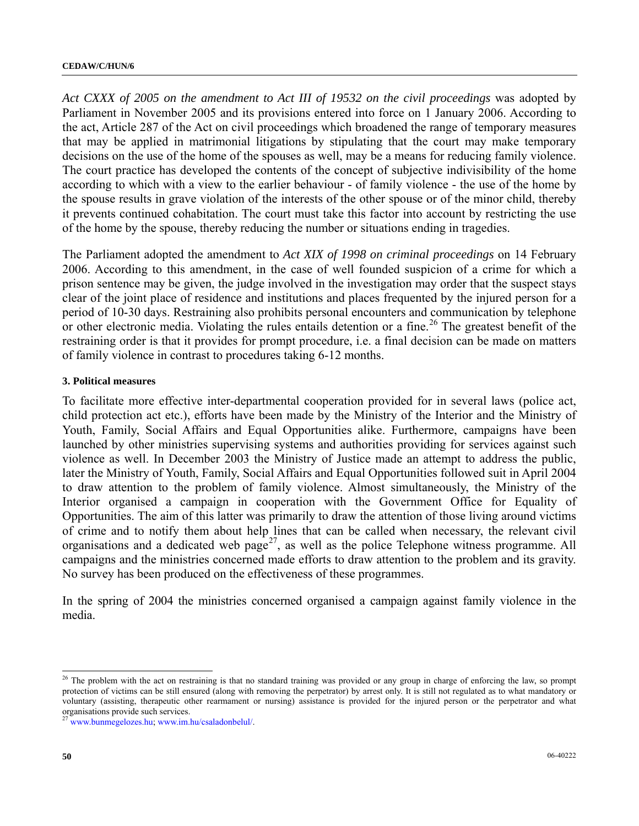*Act CXXX of 2005 on the amendment to Act III of 19532 on the civil proceedings* was adopted by Parliament in November 2005 and its provisions entered into force on 1 January 2006. According to the act, Article 287 of the Act on civil proceedings which broadened the range of temporary measures that may be applied in matrimonial litigations by stipulating that the court may make temporary decisions on the use of the home of the spouses as well, may be a means for reducing family violence. The court practice has developed the contents of the concept of subjective indivisibility of the home according to which with a view to the earlier behaviour - of family violence - the use of the home by the spouse results in grave violation of the interests of the other spouse or of the minor child, thereby it prevents continued cohabitation. The court must take this factor into account by restricting the use of the home by the spouse, thereby reducing the number or situations ending in tragedies.

The Parliament adopted the amendment to *Act XIX of 1998 on criminal proceedings* on 14 February 2006. According to this amendment, in the case of well founded suspicion of a crime for which a prison sentence may be given, the judge involved in the investigation may order that the suspect stays clear of the joint place of residence and institutions and places frequented by the injured person for a period of 10-30 days. Restraining also prohibits personal encounters and communication by telephone or other electronic media. Violating the rules entails detention or a fine.<sup>[26](#page-49-0)</sup> The greatest benefit of the restraining order is that it provides for prompt procedure, i.e. a final decision can be made on matters of family violence in contrast to procedures taking 6-12 months.

#### **3. Political measures**

To facilitate more effective inter-departmental cooperation provided for in several laws (police act, child protection act etc.), efforts have been made by the Ministry of the Interior and the Ministry of Youth, Family, Social Affairs and Equal Opportunities alike. Furthermore, campaigns have been launched by other ministries supervising systems and authorities providing for services against such violence as well. In December 2003 the Ministry of Justice made an attempt to address the public, later the Ministry of Youth, Family, Social Affairs and Equal Opportunities followed suit in April 2004 to draw attention to the problem of family violence. Almost simultaneously, the Ministry of the Interior organised a campaign in cooperation with the Government Office for Equality of Opportunities. The aim of this latter was primarily to draw the attention of those living around victims of crime and to notify them about help lines that can be called when necessary, the relevant civil organisations and a dedicated web page<sup>[27](#page-49-1)</sup>, as well as the police Telephone witness programme. All campaigns and the ministries concerned made efforts to draw attention to the problem and its gravity. No survey has been produced on the effectiveness of these programmes.

In the spring of 2004 the ministries concerned organised a campaign against family violence in the media.

 $\overline{a}$ 

<span id="page-49-0"></span> $26$  The problem with the act on restraining is that no standard training was provided or any group in charge of enforcing the law, so prompt protection of victims can be still ensured (along with removing the perpetrator) by arrest only. It is still not regulated as to what mandatory or voluntary (assisting, therapeutic other rearmament or nursing) assistance is provided for the injured person or the perpetrator and what organisations provide such services.

<span id="page-49-1"></span><sup>&</sup>lt;sup>27</sup> www.bunmegelozes.hu, www.im.hu/csaladonbelul/.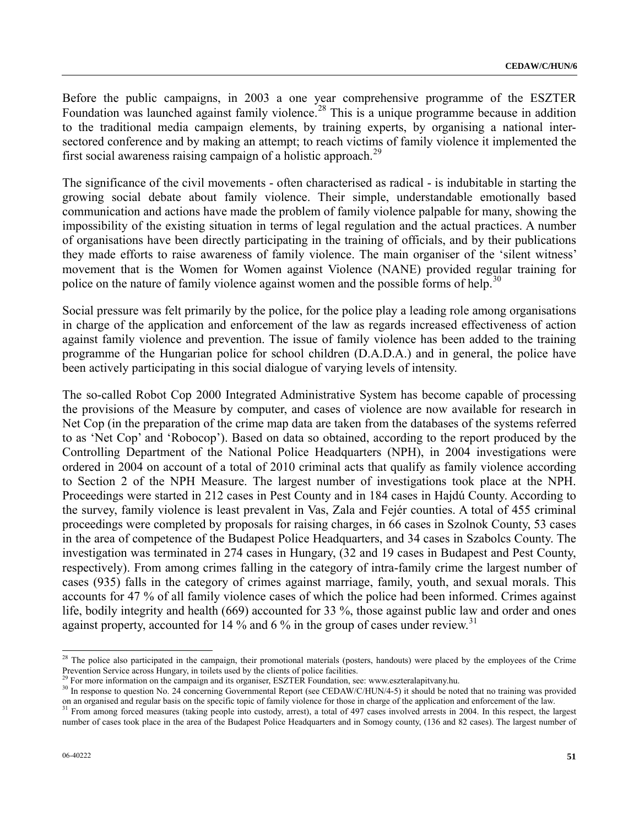Before the public campaigns, in 2003 a one year comprehensive programme of the ESZTER Foundation was launched against family violence.<sup>[28](#page-50-0)</sup> This is a unique programme because in addition to the traditional media campaign elements, by training experts, by organising a national intersectored conference and by making an attempt; to reach victims of family violence it implemented the first social awareness raising campaign of a holistic approach.<sup>[29](#page-50-1)</sup>

The significance of the civil movements - often characterised as radical - is indubitable in starting the growing social debate about family violence. Their simple, understandable emotionally based communication and actions have made the problem of family violence palpable for many, showing the impossibility of the existing situation in terms of legal regulation and the actual practices. A number of organisations have been directly participating in the training of officials, and by their publications they made efforts to raise awareness of family violence. The main organiser of the 'silent witness' movement that is the Women for Women against Violence (NANE) provided regular training for police on the nature of family violence against women and the possible forms of help.<sup>[3](#page-50-2)0</sup>

Social pressure was felt primarily by the police, for the police play a leading role among organisations in charge of the application and enforcement of the law as regards increased effectiveness of action against family violence and prevention. The issue of family violence has been added to the training programme of the Hungarian police for school children (D.A.D.A.) and in general, the police have been actively participating in this social dialogue of varying levels of intensity.

The so-called Robot Cop 2000 Integrated Administrative System has become capable of processing the provisions of the Measure by computer, and cases of violence are now available for research in Net Cop (in the preparation of the crime map data are taken from the databases of the systems referred to as 'Net Cop' and 'Robocop'). Based on data so obtained, according to the report produced by the Controlling Department of the National Police Headquarters (NPH), in 2004 investigations were ordered in 2004 on account of a total of 2010 criminal acts that qualify as family violence according to Section 2 of the NPH Measure. The largest number of investigations took place at the NPH. Proceedings were started in 212 cases in Pest County and in 184 cases in Hajdú County. According to the survey, family violence is least prevalent in Vas, Zala and Fejér counties. A total of 455 criminal proceedings were completed by proposals for raising charges, in 66 cases in Szolnok County, 53 cases in the area of competence of the Budapest Police Headquarters, and 34 cases in Szabolcs County. The investigation was terminated in 274 cases in Hungary, (32 and 19 cases in Budapest and Pest County, respectively). From among crimes falling in the category of intra-family crime the largest number of cases (935) falls in the category of crimes against marriage, family, youth, and sexual morals. This accounts for 47 % of all family violence cases of which the police had been informed. Crimes against life, bodily integrity and health (669) accounted for 33 %, those against public law and order and ones against property, accounted for 14  $\%$  and 6  $\%$  in the group of cases under review.<sup>[31](#page-50-3)</sup>

 $\overline{a}$ 

<span id="page-50-0"></span> $^{28}$  The police also participated in the campaign, their promotional materials (posters, handouts) were placed by the employees of the Crime Prevention Service across Hungary, in toilets used by the clients of police facilities.<br><sup>29</sup> For more information on the campaign and its organiser, ESZTER Foundation, see: www.eszteralapitvany.hu.

<span id="page-50-2"></span><span id="page-50-1"></span> $30$  In response to question No. 24 concerning Governmental Report (see CEDAW/C/HUN/4-5) it should be noted that no training was provided on an organised and regular basis on the specific topic of family violence for thos

<span id="page-50-3"></span><sup>&</sup>lt;sup>31</sup> From among forced measures (taking people into custody, arrest), a total of 497 cases involved arrests in 2004. In this respect, the largest number of cases took place in the area of the Budapest Police Headquarters and in Somogy county, (136 and 82 cases). The largest number of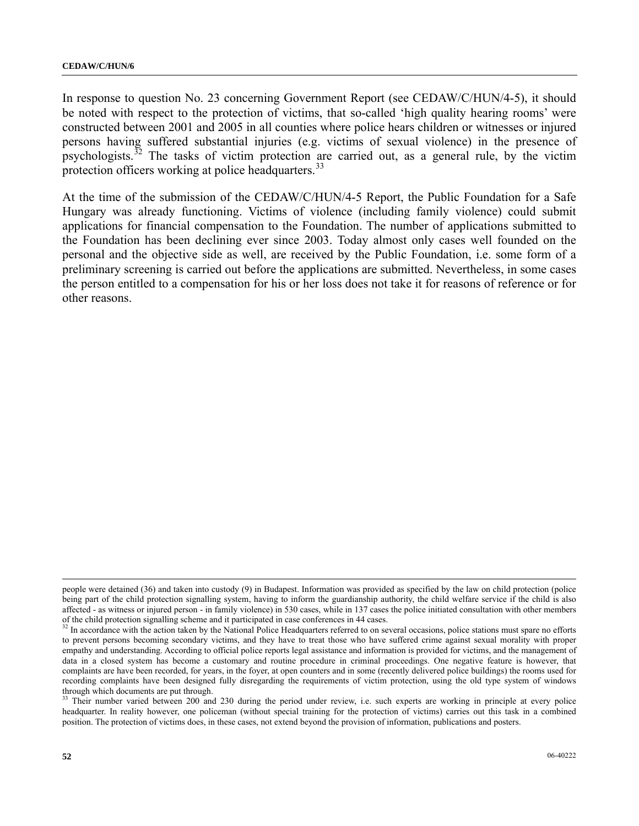In response to question No. 23 concerning Government Report (see CEDAW/C/HUN/4-5), it should be noted with respect to the protection of victims, that so-called 'high quality hearing rooms' were constructed between 2001 and 2005 in all counties where police hears children or witnesses or injured persons having suffered substantial injuries (e.g. victims of sexual violence) in the presence of psychologists. $32$  The tasks of victim protection are carried out, as a general rule, by the victim protection officers working at police headquarters.<sup>[33](#page-51-1)</sup>

At the time of the submission of the CEDAW/C/HUN/4-5 Report, the Public Foundation for a Safe Hungary was already functioning. Victims of violence (including family violence) could submit applications for financial compensation to the Foundation. The number of applications submitted to the Foundation has been declining ever since 2003. Today almost only cases well founded on the personal and the objective side as well, are received by the Public Foundation, i.e. some form of a preliminary screening is carried out before the applications are submitted. Nevertheless, in some cases the person entitled to a compensation for his or her loss does not take it for reasons of reference or for other reasons.

l

people were detained (36) and taken into custody (9) in Budapest. Information was provided as specified by the law on child protection (police being part of the child protection signalling system, having to inform the guardianship authority, the child welfare service if the child is also affected - as witness or injured person - in family violence) in 530 cases, while in 137 cases the police initiated consultation with other members of the child protection signalling scheme and it participated in case conferences in 44 cases.

<span id="page-51-0"></span><sup>&</sup>lt;sup>32</sup> In accordance with the action taken by the National Police Headquarters referred to on several occasions, police stations must spare no efforts to prevent persons becoming secondary victims, and they have to treat those who have suffered crime against sexual morality with proper empathy and understanding. According to official police reports legal assistance and information is provided for victims, and the management of data in a closed system has become a customary and routine procedure in criminal proceedings. One negative feature is however, that complaints are have been recorded, for years, in the foyer, at open counters and in some (recently delivered police buildings) the rooms used for recording complaints have been designed fully disregarding the requirements of victim protection, using the old type system of windows through which documents are put through.

<span id="page-51-1"></span><sup>&</sup>lt;sup>33</sup> Their number varied between 200 and 230 during the period under review, i.e. such experts are working in principle at every police headquarter. In reality however, one policeman (without special training for the protection of victims) carries out this task in a combined position. The protection of victims does, in these cases, not extend beyond the provision of information, publications and posters.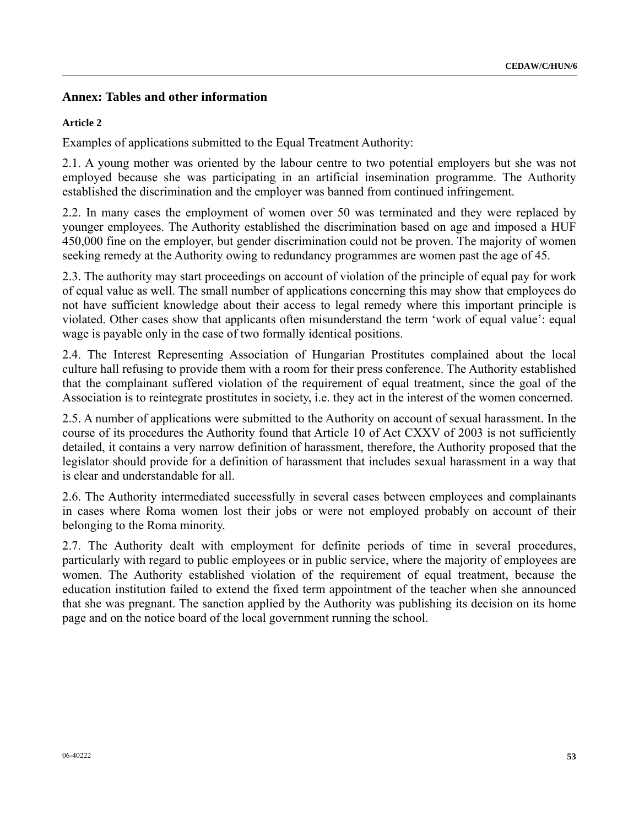## **Annex: Tables and other information**

#### **Article 2**

Examples of applications submitted to the Equal Treatment Authority:

2.1. A young mother was oriented by the labour centre to two potential employers but she was not employed because she was participating in an artificial insemination programme. The Authority established the discrimination and the employer was banned from continued infringement.

2.2. In many cases the employment of women over 50 was terminated and they were replaced by younger employees. The Authority established the discrimination based on age and imposed a HUF 450,000 fine on the employer, but gender discrimination could not be proven. The majority of women seeking remedy at the Authority owing to redundancy programmes are women past the age of 45.

2.3. The authority may start proceedings on account of violation of the principle of equal pay for work of equal value as well. The small number of applications concerning this may show that employees do not have sufficient knowledge about their access to legal remedy where this important principle is violated. Other cases show that applicants often misunderstand the term 'work of equal value': equal wage is payable only in the case of two formally identical positions.

2.4. The Interest Representing Association of Hungarian Prostitutes complained about the local culture hall refusing to provide them with a room for their press conference. The Authority established that the complainant suffered violation of the requirement of equal treatment, since the goal of the Association is to reintegrate prostitutes in society, i.e. they act in the interest of the women concerned.

2.5. A number of applications were submitted to the Authority on account of sexual harassment. In the course of its procedures the Authority found that Article 10 of Act CXXV of 2003 is not sufficiently detailed, it contains a very narrow definition of harassment, therefore, the Authority proposed that the legislator should provide for a definition of harassment that includes sexual harassment in a way that is clear and understandable for all.

2.6. The Authority intermediated successfully in several cases between employees and complainants in cases where Roma women lost their jobs or were not employed probably on account of their belonging to the Roma minority.

2.7. The Authority dealt with employment for definite periods of time in several procedures, particularly with regard to public employees or in public service, where the majority of employees are women. The Authority established violation of the requirement of equal treatment, because the education institution failed to extend the fixed term appointment of the teacher when she announced that she was pregnant. The sanction applied by the Authority was publishing its decision on its home page and on the notice board of the local government running the school.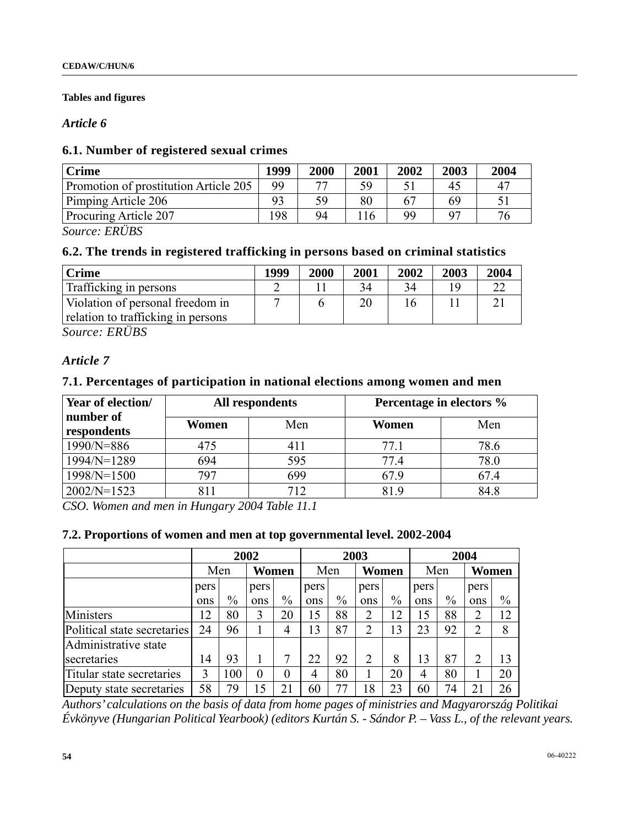## **Tables and figures**

## *Article 6*

## **6.1. Number of registered sexual crimes**

| <b>Crime</b>                          |    | 2000 | 2001          | 2002 | 2003     | 2004       |
|---------------------------------------|----|------|---------------|------|----------|------------|
| Promotion of prostitution Article 205 | QQ | חח   | 50            |      | 45       | $4^{\sim}$ |
| Pimping Article 206                   | 93 | 59   | 80            |      |          |            |
| Procuring Article 207                 | 98 | 94   | <sup>16</sup> | QQ   | $\Omega$ |            |

*Source: ERÜBS* 

## **6.2. The trends in registered trafficking in persons based on criminal statistics**

| <b>Crime</b>                       | 1999 | 2000 | 2001 | 2002 | 2003 | 2004 |
|------------------------------------|------|------|------|------|------|------|
| Trafficking in persons             |      |      |      | 34   |      |      |
| Violation of personal freedom in   |      |      |      |      |      |      |
| relation to trafficking in persons |      |      |      |      |      |      |

*Source: ERÜBS* 

## *Article 7*

## **7.1. Percentages of participation in national elections among women and men**

| Year of election/        |       | All respondents | Percentage in electors % |      |  |
|--------------------------|-------|-----------------|--------------------------|------|--|
| number of<br>respondents | Women | Men             | Women                    | Men  |  |
| $1990/N = 886$           | 475   | 411             | 77.1                     | 78.6 |  |
| $1994/N = 1289$          | 694   | 595             | 77.4                     | 78.0 |  |
| 1998/N=1500              | 797   | 699             | 67.9                     | 67.4 |  |
| $2002/N=1523$            | 811   | 712             | 819                      | 84.8 |  |

*CSO. Women and men in Hungary 2004 Table 11.1* 

### **7.2. Proportions of women and men at top governmental level. 2002-2004**

|                             | 2002 |      |                | 2003          |              |      | 2004           |      |      |       |                |               |
|-----------------------------|------|------|----------------|---------------|--------------|------|----------------|------|------|-------|----------------|---------------|
|                             |      | Men  |                | <b>Women</b>  | Women<br>Men |      |                | Men  |      | Women |                |               |
|                             | pers |      | pers           |               | pers         |      | pers           |      | pers |       | pers           |               |
|                             | ons  | $\%$ | ons            | $\frac{0}{0}$ | ons          | $\%$ | ons            | $\%$ | ons  | $\%$  | ons            | $\frac{0}{0}$ |
| Ministers                   | 12   | 80   | 3              | 20            | 15           | 88   | $\overline{2}$ | 12   |      | 88    | $\overline{2}$ | 12            |
| Political state secretaries | 24   | 96   |                | 4             | 13           | 87   | 2              | 13   | 23   | 92    | $\overline{2}$ | 8             |
| Administrative state        |      |      |                |               |              |      |                |      |      |       |                |               |
| secretaries                 | 14   | 93   |                |               | 22           | 92   | $\overline{2}$ | 8    | 13   | 87    | $\overline{2}$ | 13            |
| Titular state secretaries   | 3    | 00   | $\overline{0}$ | $\theta$      | 4            | 80   |                | 20   | 4    | 80    |                | 20            |
| Deputy state secretaries    | 58   | 79   | 15             |               | 60           | 77   | 18             | 23   | 60   | 74    | 21             | 26            |

*Authors' calculations on the basis of data from home pages of ministries and Magyarország Politikai Évkönyve (Hungarian Political Yearbook) (editors Kurtán S. - Sándor P. – Vass L., of the relevant years.*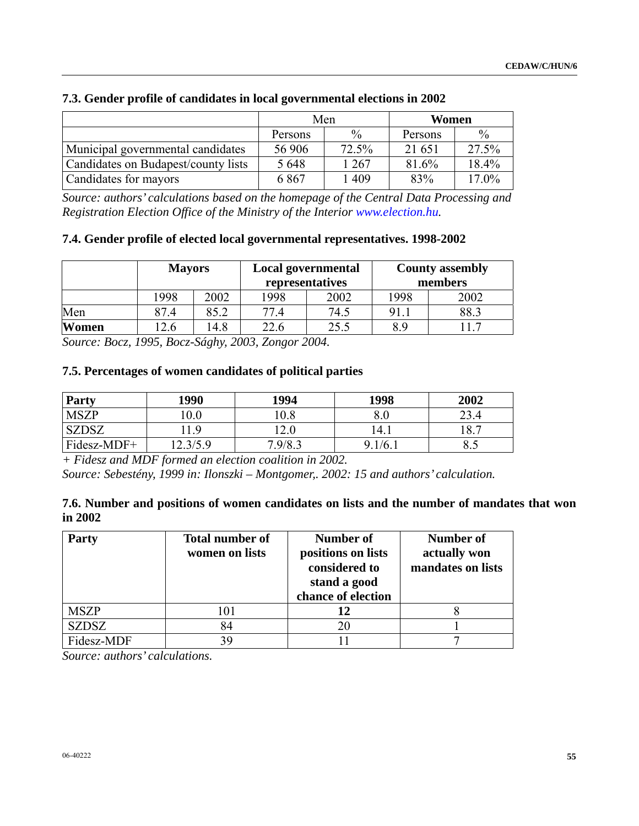|                                     |         | Men           | Women   |               |  |
|-------------------------------------|---------|---------------|---------|---------------|--|
|                                     | Persons | $\frac{0}{0}$ | Persons | $\frac{0}{0}$ |  |
| Municipal governmental candidates   | 56 906  | 72.5%         | 21 651  | 27.5%         |  |
| Candidates on Budapest/county lists | 5 6 4 8 | 1 267         | 81.6%   | 18.4%         |  |
| Candidates for mayors               | 6867    | 1 409         | 83%     | $17.0\%$      |  |

## **7.3. Gender profile of candidates in local governmental elections in 2002**

*Source: authors' calculations based on the homepage of the Central Data Processing and Registration Election Office of the Ministry of the Interior [www.election.hu](http://www.election.hu/).* 

## **7.4. Gender profile of elected local governmental representatives. 1998-2002**

|       | <b>Mayors</b> |      |      | Local governmental<br>representatives | <b>County assembly</b><br>members |      |  |
|-------|---------------|------|------|---------------------------------------|-----------------------------------|------|--|
|       | 1998          | 2002 | 1998 | 2002                                  | 1998                              | 2002 |  |
| Men   | 87.4          | 85.2 | 77.4 | 74.5                                  | 91.                               | 88.3 |  |
| Women | 2.6           | 4.8  | 22.6 | 25.5                                  | 8.9                               |      |  |

*Source: Bocz, 1995, Bocz-Sághy, 2003, Zongor 2004.* 

## **7.5. Percentages of women candidates of political parties**

| <b>Party</b> | 1990     | 1994    | 1998       | 2002 |
|--------------|----------|---------|------------|------|
| <b>MSZP</b>  | 0.0      | 10.8    |            | 23.4 |
| <b>SZDSZ</b> | .9       | 2.0     | 14.1       | 18.7 |
| Fidesz-MDF+  | 12.3/5.9 | 7.9/8.5 | 1/6.1<br>Q | ບ.∪  |

*+ Fidesz and MDF formed an election coalition in 2002.* 

*Source: Sebestény, 1999 in: Ilonszki – Montgomer,. 2002: 15 and authors' calculation.* 

### **7.6. Number and positions of women candidates on lists and the number of mandates that won in 2002**

| <b>Party</b> | <b>Total number of</b><br>women on lists | Number of<br>positions on lists<br>considered to<br>stand a good<br>chance of election | Number of<br>actually won<br>mandates on lists |
|--------------|------------------------------------------|----------------------------------------------------------------------------------------|------------------------------------------------|
| <b>MSZP</b>  | 101                                      | 12                                                                                     |                                                |
| SZDSZ        | 84                                       | 20                                                                                     |                                                |
| Fidesz-MDF   | 39                                       |                                                                                        |                                                |

*Source: authors' calculations.*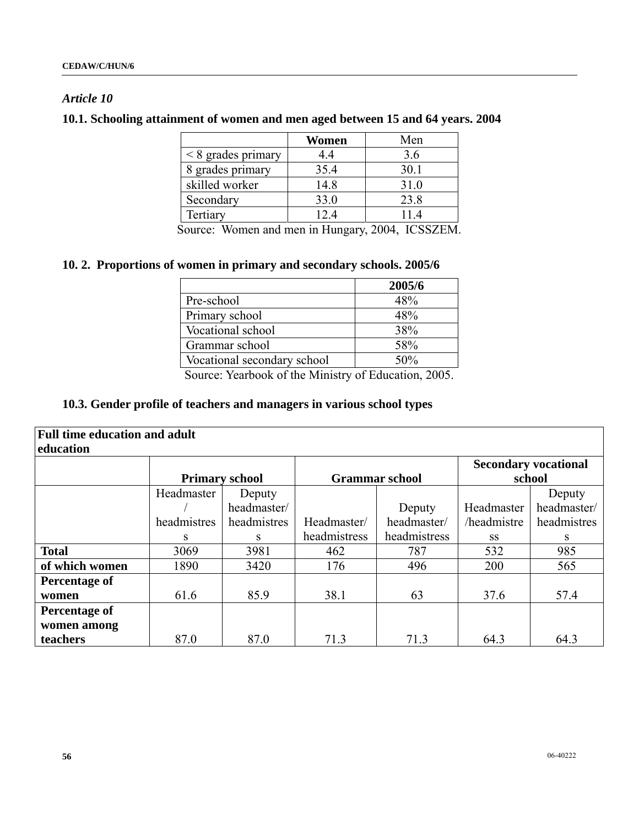## *Article 10*

## **10.1. Schooling attainment of women and men aged between 15 and 64 years. 2004**

|                      | Women | Men  |
|----------------------|-------|------|
| $<$ 8 grades primary | 4.4   | 3.6  |
| 8 grades primary     | 35.4  | 30.1 |
| skilled worker       | 14.8  | 31.0 |
| Secondary            | 33.0  | 23.8 |
| Tertiary             | 12.4  | 114  |

Source: Women and men in Hungary, 2004, ICSSZEM.

## **10. 2. Proportions of women in primary and secondary schools. 2005/6**

|                             | 2005/6 |
|-----------------------------|--------|
| Pre-school                  | 48%    |
| Primary school              | 48%    |
| Vocational school           | 38%    |
| Grammar school              | 58%    |
| Vocational secondary school | 50%    |

Source: Yearbook of the Ministry of Education, 2005.

## **10.3. Gender profile of teachers and managers in various school types**

| <b>Full time education and adult</b><br>education |             |                       |              |                       |             |                             |  |  |
|---------------------------------------------------|-------------|-----------------------|--------------|-----------------------|-------------|-----------------------------|--|--|
|                                                   |             |                       |              |                       |             | <b>Secondary vocational</b> |  |  |
|                                                   |             | <b>Primary school</b> |              | <b>Grammar school</b> |             | school                      |  |  |
|                                                   | Headmaster  | Deputy                |              |                       |             | Deputy                      |  |  |
|                                                   |             | headmaster/           |              | Deputy                | Headmaster  | headmaster/                 |  |  |
|                                                   | headmistres | headmistres           | Headmaster/  | headmaster/           | /headmistre | headmistres                 |  |  |
|                                                   | S           | S                     | headmistress | headmistress          | SS          | S.                          |  |  |
| <b>Total</b>                                      | 3069        | 3981                  | 462          | 787                   | 532         | 985                         |  |  |
| of which women                                    | 1890        | 3420                  | 176          | 496                   | 200         | 565                         |  |  |
| Percentage of                                     |             |                       |              |                       |             |                             |  |  |
| women                                             | 61.6        | 85.9                  | 38.1         | 63                    | 37.6        | 57.4                        |  |  |
| <b>Percentage of</b>                              |             |                       |              |                       |             |                             |  |  |
| women among                                       |             |                       |              |                       |             |                             |  |  |
| teachers                                          | 87.0        | 87.0                  | 71.3         | 71.3                  | 64.3        | 64.3                        |  |  |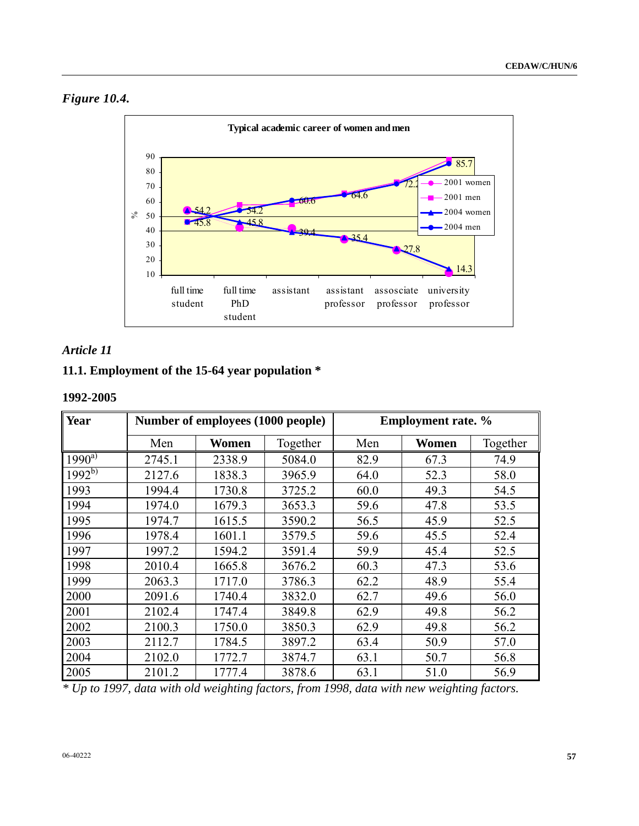



## *Article 11*

## **11.1. Employment of the 15-64 year population \***

## **1992-2005**

| Year           |        | Number of employees (1000 people) |          | <b>Employment rate.</b> % |       |          |  |
|----------------|--------|-----------------------------------|----------|---------------------------|-------|----------|--|
|                | Men    | Women                             | Together | Men                       | Women | Together |  |
| $1990^{\rm a}$ | 2745.1 | 2338.9                            | 5084.0   | 82.9                      | 67.3  | 74.9     |  |
| $1992^{b)}$    | 2127.6 | 1838.3                            | 3965.9   | 64.0                      | 52.3  | 58.0     |  |
| 1993           | 1994.4 | 1730.8                            | 3725.2   | 60.0                      | 49.3  | 54.5     |  |
| 1994           | 1974.0 | 1679.3                            | 3653.3   | 59.6                      | 47.8  | 53.5     |  |
| 1995           | 1974.7 | 1615.5                            | 3590.2   | 56.5                      | 45.9  | 52.5     |  |
| 1996           | 1978.4 | 1601.1                            | 3579.5   | 59.6                      | 45.5  | 52.4     |  |
| 1997           | 1997.2 | 1594.2                            | 3591.4   | 59.9                      | 45.4  | 52.5     |  |
| 1998           | 2010.4 | 1665.8                            | 3676.2   | 60.3                      | 47.3  | 53.6     |  |
| 1999           | 2063.3 | 1717.0                            | 3786.3   | 62.2                      | 48.9  | 55.4     |  |
| 2000           | 2091.6 | 1740.4                            | 3832.0   | 62.7                      | 49.6  | 56.0     |  |
| 2001           | 2102.4 | 1747.4                            | 3849.8   | 62.9                      | 49.8  | 56.2     |  |
| 2002           | 2100.3 | 1750.0                            | 3850.3   | 62.9                      | 49.8  | 56.2     |  |
| 2003           | 2112.7 | 1784.5                            | 3897.2   | 63.4                      | 50.9  | 57.0     |  |
| 2004           | 2102.0 | 1772.7                            | 3874.7   | 63.1                      | 50.7  | 56.8     |  |
| 2005           | 2101.2 | 1777.4                            | 3878.6   | 63.1                      | 51.0  | 56.9     |  |

*\* Up to 1997, data with old weighting factors, from 1998, data with new weighting factors.*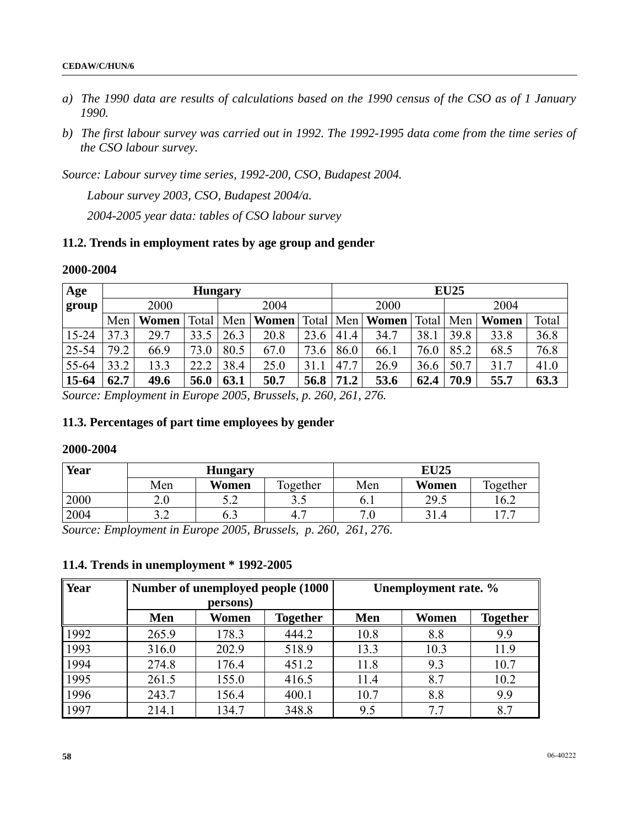- *a) The 1990 data are results of calculations based on the 1990 census of the CSO as of 1 January 1990.*
- *b) The first labour survey was carried out in 1992. The 1992-1995 data come from the time series of the CSO labour survey.*

*Source: Labour survey time series, 1992-200, CSO, Budapest 2004.* 

 *Labour survey 2003, CSO, Budapest 2004/a.* 

 *2004-2005 year data: tables of CSO labour survey* 

## **11.2. Trends in employment rates by age group and gender**

### **2000-2004**

| Age       |      | <b>Hungary</b> |       |      |                    | <b>EU25</b> |      |       |       |      |       |       |  |
|-----------|------|----------------|-------|------|--------------------|-------------|------|-------|-------|------|-------|-------|--|
| group     |      | 2000           |       |      | 2004               |             |      | 2000  |       |      | 2004  |       |  |
|           | Men  | Women          | Total | Men  | Women <sup>!</sup> | Total       | Men  | Women | Total | Men  | Women | Total |  |
| $15 - 24$ | 37.3 | 29.7           | 33.5  | 26.3 | 20.8               | 23.6        | 41.4 | 34.7  | 38.1  | 39.8 | 33.8  | 36.8  |  |
| 25-54     | 79.2 | 66.9           | 73.0  | 80.5 | 67.0               | 73.6        | 86.0 | 66.1  | 76.0  | 85.2 | 68.5  | 76.8  |  |
| 55-64     | 33.2 | 13.3           | 22.2  | 38.4 | 25.0               | 31          | 47.7 | 26.9  | 36.6  | 50.7 | 31.7  | 41.0  |  |
| $15-64$   | 62.7 | 49.6           | 56.0  | 63.1 | 50.7               | 56.8        | 71.2 | 53.6  | 62.4  | 70.9 | 55.7  | 63.3  |  |

*Source: Employment in Europe 2005, Brussels, p. 260, 261, 276.* 

## **11.3. Percentages of part time employees by gender**

### **2000-2004**

| Year | <b>Hungary</b> |            |          | <b>EU25</b> |       |            |  |
|------|----------------|------------|----------|-------------|-------|------------|--|
|      | Men            | Women      | Together | Men         | Women | Together   |  |
| 2000 | ∠.∪            | ເາ<br>⊿. ب | ر. ر     | 0. I        | 29.5  | 16.2       |  |
| 2004 | ົ<br>J.L       | 0.3        | 4.1      | 7.0         | 21    | $\sqrt{2}$ |  |

*Source: Employment in Europe 2005, Brussels, p. 260, 261, 276.* 

## **11.4. Trends in unemployment \* 1992-2005**

| Year | Number of unemployed people (1000 |          |                 | Unemployment rate. % |       |                 |  |
|------|-----------------------------------|----------|-----------------|----------------------|-------|-----------------|--|
|      |                                   | persons) |                 |                      |       |                 |  |
|      | Men                               | Women    | <b>Together</b> | Men                  | Women | <b>Together</b> |  |
| 1992 | 265.9                             | 178.3    | 444.2           | 10.8                 | 8.8   | 9.9             |  |
| 1993 | 316.0                             | 202.9    | 518.9           | 13.3                 | 10.3  | 11.9            |  |
| 1994 | 274.8                             | 176.4    | 451.2           | 11.8                 | 9.3   | 10.7            |  |
| 1995 | 261.5                             | 155.0    | 416.5           | 11.4                 | 8.7   | 10.2            |  |
| 1996 | 243.7                             | 156.4    | 400.1           | 10.7                 | 8.8   | 9.9             |  |
| 1997 | 214.1                             | 134.7    | 348.8           | 9.5                  | 7.7   | 8.7             |  |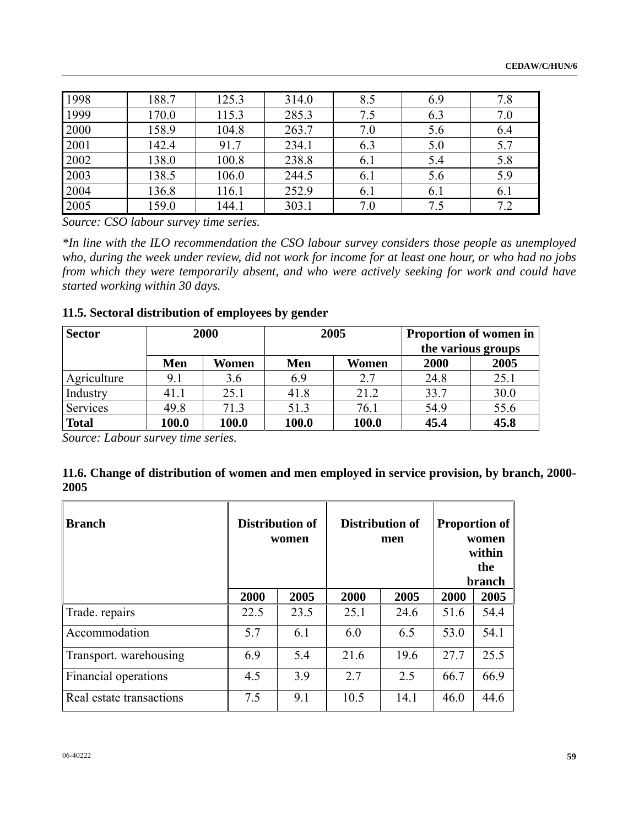| 1998 | 188.7 | 125.3 | 314.0 | 8.5 | 6.9 | 7.8 |
|------|-------|-------|-------|-----|-----|-----|
| 1999 | 170.0 | 115.3 | 285.3 | 7.5 | 6.3 | 7.0 |
| 2000 | 158.9 | 104.8 | 263.7 | 7.0 | 5.6 | 6.4 |
| 2001 | 142.4 | 91.7  | 234.1 | 6.3 | 5.0 | 5.7 |
| 2002 | 138.0 | 100.8 | 238.8 | 6.1 | 5.4 | 5.8 |
| 2003 | 138.5 | 106.0 | 244.5 | 6.1 | 5.6 | 5.9 |
| 2004 | 136.8 | 116.1 | 252.9 | 6.1 | 6.1 | 6.1 |
| 2005 | 159.0 | 144.1 | 303.1 | 7.0 | 7.5 | 7.2 |

*Source: CSO labour survey time series.* 

*\*In line with the ILO recommendation the CSO labour survey considers those people as unemployed who, during the week under review, did not work for income for at least one hour, or who had no jobs from which they were temporarily absent, and who were actively seeking for work and could have started working within 30 days.* 

## **11.5. Sectoral distribution of employees by gender**

| <b>Sector</b> |       | 2000  | 2005  |       |      | Proportion of women in<br>the various groups |  |  |
|---------------|-------|-------|-------|-------|------|----------------------------------------------|--|--|
|               |       |       |       |       |      |                                              |  |  |
|               | Men   | Women | Men   | Women | 2000 | 2005                                         |  |  |
| Agriculture   | 9.1   | 3.6   | 6.9   | 2.7   | 24.8 | 25.1                                         |  |  |
| Industry      | 41.1  | 25.1  | 41.8  | 21.2  | 33.7 | 30.0                                         |  |  |
| Services      | 49.8  | 71.3  | 51.3  | 76.1  | 54.9 | 55.6                                         |  |  |
| <b>Total</b>  | 100.0 | 100.0 | 100.0 | 100.0 | 45.4 | 45.8                                         |  |  |

*Source: Labour survey time series.* 

| 11.6. Change of distribution of women and men employed in service provision, by branch, 2000- |  |
|-----------------------------------------------------------------------------------------------|--|
| 2005                                                                                          |  |

| <b>Branch</b>            |      | Distribution of<br>women |      | <b>Distribution of</b><br>men |      | <b>Proportion of</b><br>women<br>within<br>the<br>branch |
|--------------------------|------|--------------------------|------|-------------------------------|------|----------------------------------------------------------|
|                          | 2000 | 2005                     | 2000 | 2005                          | 2000 | 2005                                                     |
| Trade. repairs           | 22.5 | 23.5                     | 25.1 | 24.6                          | 51.6 | 54.4                                                     |
| Accommodation            | 5.7  | 6.1                      | 6.0  | 6.5                           | 53.0 | 54.1                                                     |
| Transport. warehousing   | 6.9  | 5.4                      | 21.6 | 19.6                          | 27.7 | 25.5                                                     |
| Financial operations     | 4.5  | 3.9                      | 2.7  | 2.5                           | 66.7 | 66.9                                                     |
| Real estate transactions | 7.5  | 9.1                      | 10.5 | 14.1                          | 46.0 | 44.6                                                     |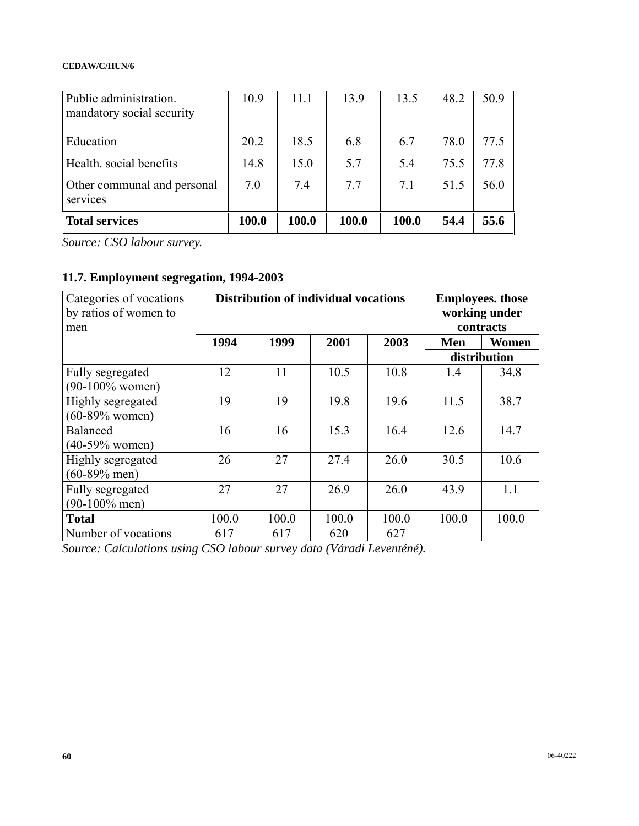| Public administration.<br>mandatory social security | 10.9  | 11.1  | 13.9  | 13.5  | 48.2 | 50.9 |
|-----------------------------------------------------|-------|-------|-------|-------|------|------|
| Education                                           | 20.2  | 18.5  | 6.8   | 6.7   | 78.0 | 77.5 |
| Health. social benefits                             | 14.8  | 15.0  | 5.7   | 5.4   | 75.5 | 77.8 |
| Other communal and personal<br>services             | 7.0   | 7.4   | 7.7   | 7.1   | 51.5 | 56.0 |
| Total services                                      | 100.0 | 100.0 | 100.0 | 100.0 | 54.4 | 55.6 |

*Source: CSO labour survey.* 

# **11.7. Employment segregation, 1994-2003**

| Categories of vocations<br>by ratios of women to<br>men |       | <b>Distribution of individual vocations</b> |       | <b>Employees.</b> those<br>working under<br>contracts |       |              |
|---------------------------------------------------------|-------|---------------------------------------------|-------|-------------------------------------------------------|-------|--------------|
|                                                         | 1994  | 1999                                        | 2001  | 2003                                                  | Men   | Women        |
|                                                         |       |                                             |       |                                                       |       | distribution |
| Fully segregated<br>$(90-100\%$ women)                  | 12    | 11                                          | 10.5  | 10.8                                                  | 1.4   | 34.8         |
| Highly segregated<br>$(60-89%$ women)                   | 19    | 19                                          | 19.8  | 19.6                                                  | 11.5  | 38.7         |
| <b>Balanced</b><br>$(40-59%$ women)                     | 16    | 16                                          | 15.3  | 16.4                                                  | 12.6  | 14.7         |
| Highly segregated<br>$(60-89\%$ men)                    | 26    | 27                                          | 27.4  | 26.0                                                  | 30.5  | 10.6         |
| Fully segregated<br>$(90-100\%$ men)                    | 27    | 27                                          | 26.9  | 26.0                                                  | 43.9  | 1.1          |
| <b>Total</b>                                            | 100.0 | 100.0                                       | 100.0 | 100.0                                                 | 100.0 | 100.0        |
| Number of vocations                                     | 617   | 617                                         | 620   | 627                                                   |       |              |

*Source: Calculations using CSO labour survey data (Váradi Leventéné).*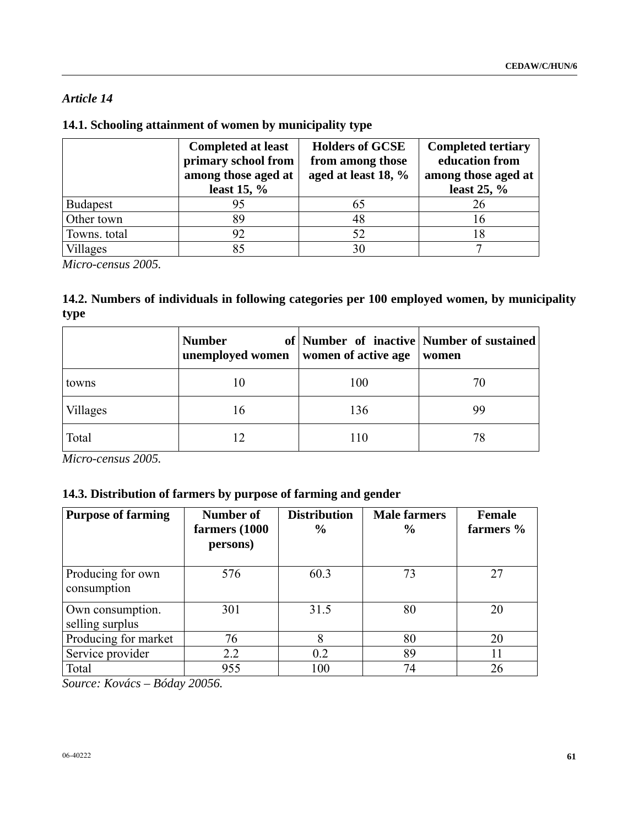## *Article 14*

## **14.1. Schooling attainment of women by municipality type**

|                 | <b>Completed at least</b><br>primary school from<br>among those aged at<br>least 15, $\%$ | <b>Holders of GCSE</b><br>from among those<br>aged at least 18, % | <b>Completed tertiary</b><br>education from<br>among those aged at<br>least $25, \%$ |
|-----------------|-------------------------------------------------------------------------------------------|-------------------------------------------------------------------|--------------------------------------------------------------------------------------|
| <b>Budapest</b> | 95                                                                                        | 65                                                                | 26                                                                                   |
| Other town      | 89                                                                                        | 48                                                                | Iб                                                                                   |
| Towns. total    | 92                                                                                        | 52                                                                |                                                                                      |
| Villages        | 85                                                                                        | 30                                                                |                                                                                      |

*Micro-census 2005.* 

## **14.2. Numbers of individuals in following categories per 100 employed women, by municipality type**

|          | <b>Number</b><br>unemployed women   women of active age |     | of Number of inactive Number of sustained<br>women |
|----------|---------------------------------------------------------|-----|----------------------------------------------------|
| towns    | 10                                                      | 100 | 70                                                 |
| Villages | 16                                                      | 136 | 99                                                 |
| Total    |                                                         | 110 | 78                                                 |

*Micro-census 2005.* 

## **14.3. Distribution of farmers by purpose of farming and gender**

| <b>Purpose of farming</b>           | Number of<br>farmers (1000<br>persons) | <b>Distribution</b><br>$\frac{0}{0}$ | <b>Male farmers</b><br>$\frac{0}{0}$ | <b>Female</b><br>farmers % |
|-------------------------------------|----------------------------------------|--------------------------------------|--------------------------------------|----------------------------|
| Producing for own<br>consumption    | 576                                    | 60.3                                 | 73                                   | 27                         |
| Own consumption.<br>selling surplus | 301                                    | 31.5                                 | 80                                   | 20                         |
| Producing for market                | 76                                     | 8                                    | 80                                   | 20                         |
| Service provider                    | 2.2                                    | 0.2                                  | 89                                   | 11                         |
| Total                               | 955                                    | 100                                  | 74                                   | 26                         |

*Source: Kovács – Bóday 20056.*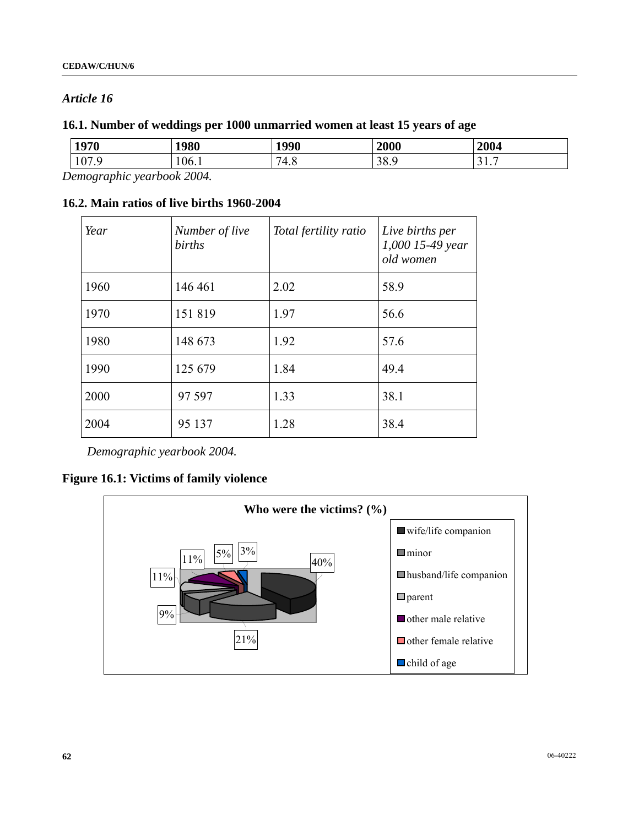## *Article 16*

## **16.1. Number of weddings per 1000 unmarried women at least 15 years of age**

| 1970            | 1980 | 1990 | 2000 | 2004 |
|-----------------|------|------|------|------|
| 107             | 106. | 74   | ററ   | -    |
| $\cdot$ $\cdot$ |      | τ.υ  | 20.2 | .    |

*Demographic yearbook 2004.* 

## **16.2. Main ratios of live births 1960-2004**

| Year | Number of live<br>births | Total fertility ratio | Live births per<br>1,000 15-49 year<br>old women |
|------|--------------------------|-----------------------|--------------------------------------------------|
| 1960 | 146 461                  | 2.02                  | 58.9                                             |
| 1970 | 151819                   | 1.97                  | 56.6                                             |
| 1980 | 148 673                  | 1.92                  | 57.6                                             |
| 1990 | 125 679                  | 1.84                  | 49.4                                             |
| 2000 | 97 597                   | 1.33                  | 38.1                                             |
| 2004 | 95 137                   | 1.28                  | 38.4                                             |

*Demographic yearbook 2004.* 

## **Figure 16.1: Victims of family violence**